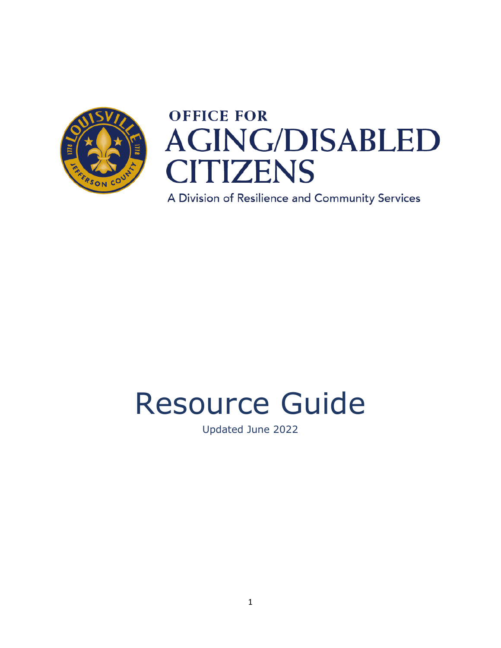

# **OFFICE FOR AGING/DISABLED CITIZENS**

A Division of Resilience and Community Services

# Resource Guide

Updated June 2022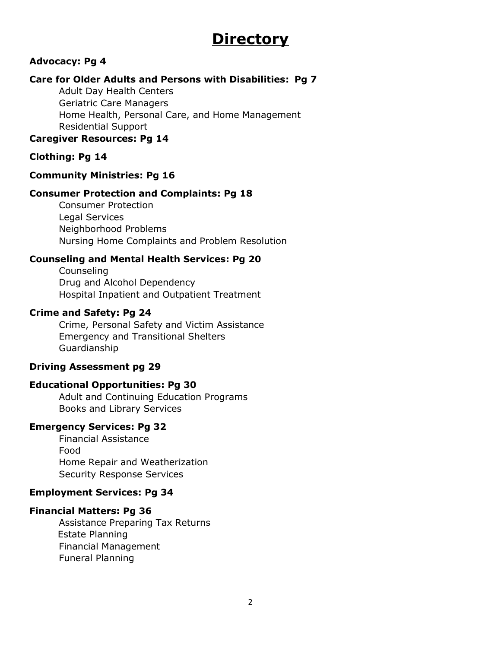# **Directory**

#### **Advocacy: Pg 4**

#### **Care for Older Adults and Persons with Disabilities: Pg 7**

Adult Day Health Centers Geriatric Care Managers Home Health, Personal Care, and Home Management Residential Support

#### **Caregiver Resources: Pg 14**

#### **Clothing: Pg 14**

#### **Community Ministries: Pg 16**

#### **Consumer Protection and Complaints: Pg 18**

Consumer Protection Legal Services Neighborhood Problems Nursing Home Complaints and Problem Resolution

#### **Counseling and Mental Health Services: Pg 20**

Counseling Drug and Alcohol Dependency Hospital Inpatient and Outpatient Treatment

#### **Crime and Safety: Pg 24**

Crime, Personal Safety and Victim Assistance Emergency and Transitional Shelters Guardianship

#### **Driving Assessment pg 29**

#### **Educational Opportunities: Pg 30**

Adult and Continuing Education Programs Books and Library Services

#### **Emergency Services: Pg 32**

Financial Assistance Food Home Repair and Weatherization Security Response Services

#### **Employment Services: Pg 34**

#### **Financial Matters: Pg 36**

Assistance Preparing Tax Returns Estate Planning Financial Management Funeral Planning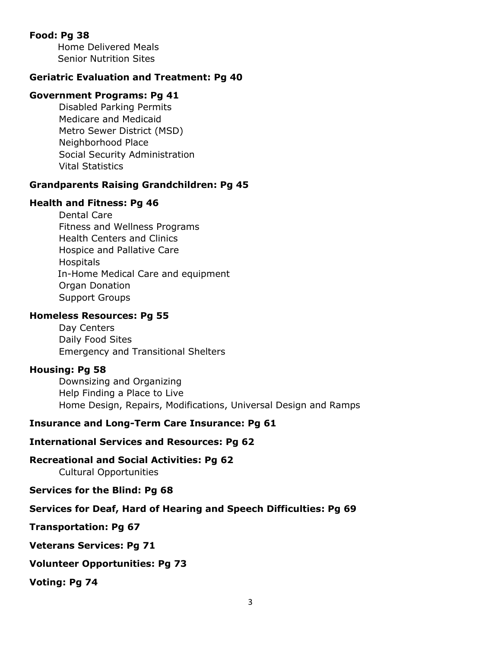#### **Food: Pg 38**

 Home Delivered Meals Senior Nutrition Sites

#### **Geriatric Evaluation and Treatment: Pg 40**

#### **Government Programs: Pg 41**

Disabled Parking Permits Medicare and Medicaid Metro Sewer District (MSD) Neighborhood Place Social Security Administration Vital Statistics

#### **Grandparents Raising Grandchildren: Pg 45**

#### **Health and Fitness: Pg 46**

Dental Care Fitness and Wellness Programs Health Centers and Clinics Hospice and Pallative Care **Hospitals**  In-Home Medical Care and equipment Organ Donation Support Groups

#### **Homeless Resources: Pg 55**

Day Centers Daily Food Sites Emergency and Transitional Shelters

#### **Housing: Pg 58**

Downsizing and Organizing Help Finding a Place to Live Home Design, Repairs, Modifications, Universal Design and Ramps

#### **Insurance and Long-Term Care Insurance: Pg 61**

#### **International Services and Resources: Pg 62**

**Recreational and Social Activities: Pg 62**

Cultural Opportunities

#### **Services for the Blind: Pg 68**

#### **Services for Deaf, Hard of Hearing and Speech Difficulties: Pg 69**

**Transportation: Pg 67**

**Veterans Services: Pg 71**

#### **Volunteer Opportunities: Pg 73**

**Voting: Pg 74**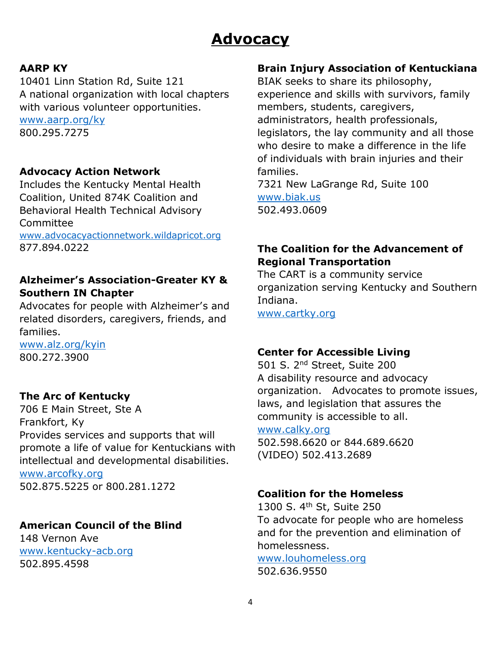# **Advocacy**

# **AARP KY**

10401 Linn Station Rd, Suite 121 A national organization with local chapters with various volunteer opportunities. [www.aarp.org/ky](http://www.aarp.org/ky) 800.295.7275

# **Advocacy Action Network**

Includes the Kentucky Mental Health Coalition, United 874K Coalition and Behavioral Health Technical Advisory Committee

[www.advocacyactionnetwork.wildapricot.org](http://www.advocacyactionnetwork.wildapricot.org/) 877.894.0222

# **Alzheimer's Association-Greater KY & Southern IN Chapter**

Advocates for people with Alzheimer's and related disorders, caregivers, friends, and families.

[www.alz.org/kyin](http://www.alz.org/kyin) 800.272.3900

# **The Arc of Kentucky**

706 E Main Street, Ste A Frankfort, Ky Provides services and supports that will promote a life of value for Kentuckians with intellectual and developmental disabilities. [www.arcofky.org](http://www.arcofky.org/) 502.875.5225 or 800.281.1272

# **American Council of the Blind**

148 Vernon Ave [www.kentucky-acb.org](http://www.kentucky-acb.org/) 502.895.4598

#### **Brain Injury Association of Kentuckiana**

BIAK seeks to share its philosophy, experience and skills with survivors, family members, students, caregivers, administrators, health professionals, legislators, the lay community and all those who desire to make a difference in the life of individuals with brain injuries and their families.

7321 New LaGrange Rd, Suite 100 [www.biak.us](http://www.biak.us/) 502.493.0609

# **The Coalition for the Advancement of Regional Transportation**

The CART is a community service organization serving Kentucky and Southern Indiana.

[www.cartky.org](http://www.cartky.org/)

#### **Center for Accessible Living**

501 S. 2nd Street, Suite 200 A disability resource and advocacy organization. Advocates to promote issues, laws, and legislation that assures the community is accessible to all.

[www.calky.org](http://www.calky.org/)

502.598.6620 or 844.689.6620 (VIDEO) 502.413.2689

# **Coalition for the Homeless**

1300 S. 4th St, Suite 250 To advocate for people who are homeless and for the prevention and elimination of homelessness.

[www.louhomeless.org](http://www.louhomeless.org/) 502.636.9550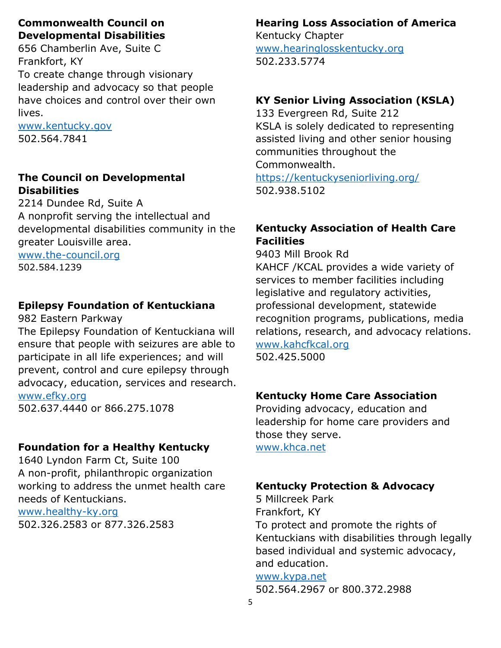# **Commonwealth Council on Developmental Disabilities**

656 Chamberlin Ave, Suite C Frankfort, KY To create change through visionary leadership and advocacy so that people have choices and control over their own lives.

[www.kentucky.gov](http://www.kentucky.gov/) 502.564.7841

# **The Council on Developmental Disabilities**

2214 Dundee Rd, Suite A A nonprofit serving the intellectual and developmental disabilities community in the greater Louisville area.

[www.the-council.org](http://www.the-council.org/) 502.584.1239

# **Epilepsy Foundation of Kentuckiana**

982 Eastern Parkway

The Epilepsy Foundation of Kentuckiana will ensure that people with seizures are able to participate in all life experiences; and will prevent, control and cure epilepsy through advocacy, education, services and research. [www.efky.org](http://www.efky.org/)

502.637.4440 or 866.275.1078

# **Foundation for a Healthy Kentucky**

1640 Lyndon Farm Ct, Suite 100 A non-profit, philanthropic organization working to address the unmet health care needs of Kentuckians.

[www.healthy-ky.org](http://www.healthy-ky.org/) 502.326.2583 or 877.326.2583

# **Hearing Loss Association of America**

Kentucky Chapter [www.hearinglosskentucky.org](http://www.hearinglosskentucky.org/) 502.233.5774

# **KY Senior Living Association (KSLA)**

133 Evergreen Rd, Suite 212 KSLA is solely dedicated to representing assisted living and other senior housing communities throughout the Commonwealth. <https://kentuckyseniorliving.org/> 502.938.5102

# **Kentucky Association of Health Care Facilities**

9403 Mill Brook Rd KAHCF /KCAL provides a wide variety of services to member facilities including legislative and regulatory activities, professional development, statewide recognition programs, publications, media relations, research, and advocacy relations. [www.kahcfkcal.org](http://www.kahcfkcal.org/) 502.425.5000

# **Kentucky Home Care Association**

Providing advocacy, education and leadership for home care providers and those they serve. [www.khca.net](http://www.khca.net/)

# **Kentucky Protection & Advocacy**

5 Millcreek Park Frankfort, KY To protect and promote the rights of Kentuckians with disabilities through legally based individual and systemic advocacy, and education.

#### [www.kypa.net](http://www.kypa.net/)

502.564.2967 or 800.372.2988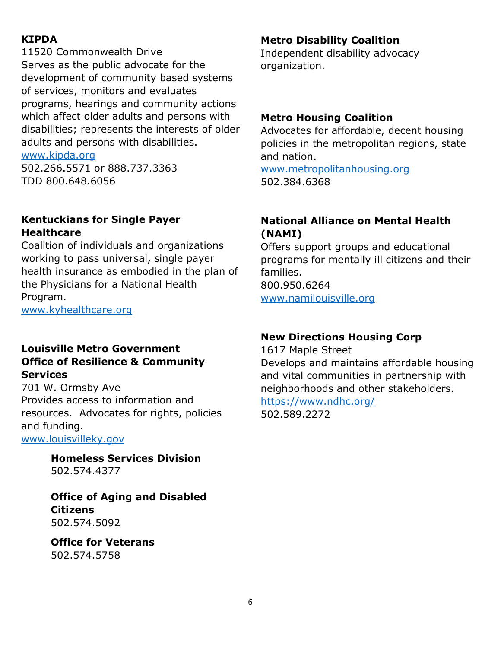# **KIPDA**

11520 Commonwealth Drive Serves as the public advocate for the development of community based systems of services, monitors and evaluates programs, hearings and community actions which affect older adults and persons with disabilities; represents the interests of older adults and persons with disabilities.

[www.kipda.org](http://www.kipda.org/)

502.266.5571 or 888.737.3363 TDD 800.648.6056

#### **Kentuckians for Single Payer Healthcare**

Coalition of individuals and organizations working to pass universal, single payer health insurance as embodied in the plan of the Physicians for a National Health Program.

[www.kyhealthcare.org](http://www.kyhealthcare.org/)

#### **Louisville Metro Government Office of Resilience & Community Services**

701 W. Ormsby Ave Provides access to information and resources. Advocates for rights, policies and funding.

[www.louisvilleky.gov](http://www.louisvilleky.gov/)

**Homeless Services Division** 502.574.4377

**Office of Aging and Disabled Citizens** 502.574.5092

**Office for Veterans** 502.574.5758

#### **Metro Disability Coalition**

Independent disability advocacy organization.

#### **Metro Housing Coalition**

Advocates for affordable, decent housing policies in the metropolitan regions, state and nation.

[www.metropolitanhousing.org](http://www.metropolitanhousing.org/) 502.384.6368

# **National Alliance on Mental Health (NAMI)**

Offers support groups and educational programs for mentally ill citizens and their families. 800.950.6264 [www.namilouisville.org](http://www.namilouisville.org/)

# **New Directions Housing Corp**

1617 Maple Street Develops and maintains affordable housing and vital communities in partnership with neighborhoods and other stakeholders. <https://www.ndhc.org/>

502.589.2272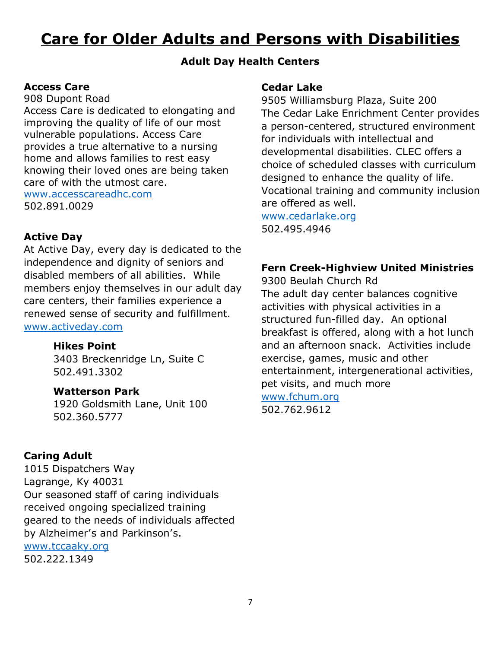# **Care for Older Adults and Persons with Disabilities**

#### **Adult Day Health Centers**

#### **Access Care**

908 Dupont Road

Access Care is dedicated to elongating and improving the quality of life of our most vulnerable populations. Access Care provides a true alternative to a nursing home and allows families to rest easy knowing their loved ones are being taken care of with the utmost care. [www.accesscareadhc.com](http://www.accesscareadhc.com/) 502.891.0029

#### **Active Day**

At Active Day, every day is dedicated to the independence and dignity of seniors and disabled members of all abilities. While members enjoy themselves in our adult day care centers, their families experience a renewed sense of security and fulfillment. [www.activeday.com](http://www.activeday.com/)

#### **Hikes Point**

3403 Breckenridge Ln, Suite C 502.491.3302

#### **Watterson Park**

1920 Goldsmith Lane, Unit 100 502.360.5777

#### **Caring Adult**

1015 Dispatchers Way Lagrange, Ky 40031 Our seasoned staff of caring individuals received ongoing specialized training geared to the needs of individuals affected by Alzheimer's and Parkinson's.

[www.tccaaky.org](http://www.tccaaky.org/)

502.222.1349

#### **Cedar Lake**

9505 Williamsburg Plaza, Suite 200 The Cedar Lake Enrichment Center provides a person-centered, structured environment for individuals with intellectual and developmental disabilities. CLEC offers a choice of scheduled classes with curriculum designed to enhance the quality of life. Vocational training and community inclusion are offered as well.

[www.cedarlake.org](http://www.cedarlake.org/) 502.495.4946

#### **Fern Creek-Highview United Ministries**

9300 Beulah Church Rd The adult day center balances cognitive activities with physical activities in a structured fun-filled day. An optional breakfast is offered, along with a hot lunch and an afternoon snack. Activities include exercise, games, music and other entertainment, intergenerational activities, pet visits, and much more

[www.fchum.org](http://www.fchum.org/) 502.762.9612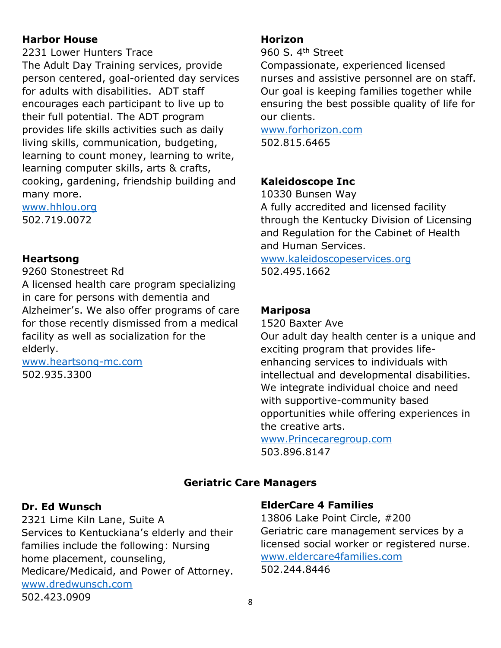#### **Harbor House**

2231 Lower Hunters Trace The Adult Day Training services, provide person centered, goal-oriented day services for adults with disabilities. ADT staff encourages each participant to live up to their full potential. The ADT program provides life skills activities such as daily living skills, communication, budgeting, learning to count money, learning to write, learning computer skills, arts & crafts, cooking, gardening, friendship building and many more.

[www.hhlou.org](http://www.hhlou.org/) 502.719.0072

#### **Heartsong**

9260 Stonestreet Rd

A licensed health care program specializing in care for persons with dementia and Alzheimer's. We also offer programs of care for those recently dismissed from a medical facility as well as socialization for the elderly.

[www.heartsong-mc.com](http://www.heartsong-mc.com/) 502.935.3300

#### **Horizon**

960 S. 4<sup>th</sup> Street

Compassionate, experienced licensed nurses and assistive personnel are on staff. Our goal is keeping families together while ensuring the best possible quality of life for our clients.

[www.forhorizon.com](http://www.forhorizon.com/) 502.815.6465

#### **Kaleidoscope Inc**

10330 Bunsen Way

A fully accredited and licensed facility through the Kentucky Division of Licensing and Regulation for the Cabinet of Health and Human Services.

[www.kaleidoscopeservices.org](http://www.kaleidoscopeservices.org/) 502.495.1662

#### **Mariposa**

1520 Baxter Ave Our adult day health center is a unique and exciting program that provides lifeenhancing services to individuals with intellectual and developmental disabilities. We integrate individual choice and need with supportive-community based opportunities while offering experiences in the creative arts.

[www.Princecaregroup.com](http://www.princecaregroup.com/) 503.896.8147

# **Geriatric Care Managers**

#### **Dr. Ed Wunsch**

2321 Lime Kiln Lane, Suite A Services to Kentuckiana's elderly and their families include the following: Nursing home placement, counseling, Medicare/Medicaid, and Power of Attorney. [www.dredwunsch.com](http://www.dredwunsch.com/) 502.423.0909

#### **ElderCare 4 Families**

13806 Lake Point Circle, #200 Geriatric care management services by a licensed social worker or registered nurse. [www.eldercare4families.com](http://www.eldercare4families.com/) 502.244.8446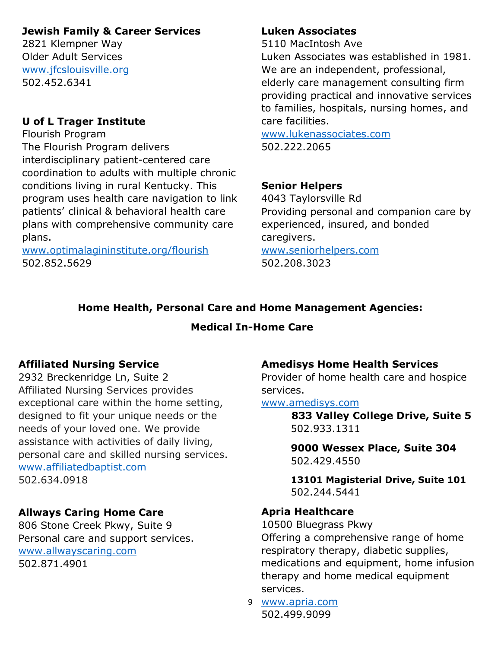#### **Jewish Family & Career Services**

2821 Klempner Way Older Adult Services [www.jfcslouisville.org](http://www.jfcslouisville.org/) 502.452.6341

#### **U of L Trager Institute**

Flourish Program The Flourish Program delivers interdisciplinary patient-centered care coordination to adults with multiple chronic conditions living in rural Kentucky. This program uses health care navigation to link patients' clinical & behavioral health care plans with comprehensive community care plans.

[www.optimalagininstitute.org/flourish](http://www.optimalagininstitute.org/flourish) 502.852.5629

#### **Luken Associates**

5110 MacIntosh Ave

Luken Associates was established in 1981. We are an independent, professional, elderly care management consulting firm providing practical and innovative services to families, hospitals, nursing homes, and care facilities.

[www.lukenassociates.com](http://www.lukenassociates.com/) 502.222.2065

#### **Senior Helpers**

4043 Taylorsville Rd Providing personal and companion care by experienced, insured, and bonded caregivers. [www.seniorhelpers.com](http://www.seniorhelpers.com/)

502.208.3023

# **Home Health, Personal Care and Home Management Agencies:**

#### **Medical In-Home Care**

#### **Affiliated Nursing Service**

2932 Breckenridge Ln, Suite 2 Affiliated Nursing Services provides exceptional care within the home setting, designed to fit your unique needs or the needs of your loved one. We provide assistance with activities of daily living, personal care and skilled nursing services. [www.affiliatedbaptist.com](http://www.affiliatedbaptist.com/) 502.634.0918

#### **Allways Caring Home Care**

806 Stone Creek Pkwy, Suite 9 Personal care and support services. [www.allwayscaring.com](http://www.allwayscaring.com/) 502.871.4901

#### **Amedisys Home Health Services**

Provider of home health care and hospice services.

#### [www.amedisys.com](http://www.amedisys.com/)

 **833 Valley College Drive, Suite 5** 502.933.1311

**9000 Wessex Place, Suite 304** 502.429.4550

**13101 Magisterial Drive, Suite 101** 502.244.5441

#### **Apria Healthcare**

10500 Bluegrass Pkwy

Offering a comprehensive range of home respiratory therapy, diabetic supplies, medications and equipment, home infusion therapy and home medical equipment services.

9 [www.apria.com](http://www.apria.com/) 502.499.9099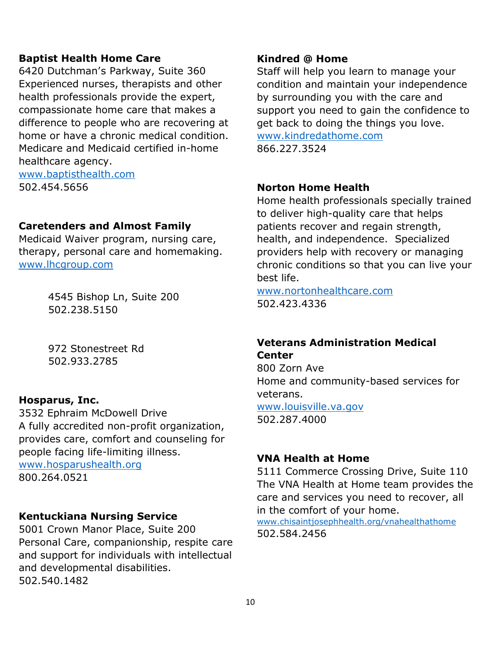#### **Baptist Health Home Care**

6420 Dutchman's Parkway, Suite 360 Experienced nurses, therapists and other health professionals provide the expert, compassionate home care that makes a difference to people who are recovering at home or have a chronic medical condition. Medicare and Medicaid certified in-home healthcare agency. [www.baptisthealth.com](http://www.baptisthealth.com/)

502.454.5656

#### **Caretenders and Almost Family**

Medicaid Waiver program, nursing care, therapy, personal care and homemaking. [www.lhcgroup.com](http://www.lhcgroup.com/)

> 4545 Bishop Ln, Suite 200 502.238.5150

972 Stonestreet Rd 502.933.2785

#### **Hosparus, Inc.**

3532 Ephraim McDowell Drive A fully accredited non-profit organization, provides care, comfort and counseling for people facing life-limiting illness. [www.hosparushealth.org](http://www.hosparushealth.org/)

800.264.0521

#### **Kentuckiana Nursing Service**

5001 Crown Manor Place, Suite 200 Personal Care, companionship, respite care and support for individuals with intellectual and developmental disabilities. 502.540.1482

#### **Kindred @ Home**

Staff will help you learn to manage your condition and maintain your independence by surrounding you with the care and support you need to gain the confidence to get back to doing the things you love. [www.kindredathome.com](http://www.kindredathome.com/) 866.227.3524

#### **Norton Home Health**

Home health professionals specially trained to deliver high-quality care that helps patients recover and regain strength, health, and independence. Specialized providers help with recovery or managing chronic conditions so that you can live your best life.

[www.nortonhealthcare.com](http://www.nortonhealthcare.com/) 502.423.4336

# **Veterans Administration Medical Center**

800 Zorn Ave Home and community-based services for veterans. [www.louisville.va.gov](http://www.louisville.va.gov/) 502.287.4000

#### **VNA Health at Home**

5111 Commerce Crossing Drive, Suite 110 The VNA Health at Home team provides the care and services you need to recover, all in the comfort of your home.

[www.chisaintjosephhealth.org/vnahealthathome](http://www.chisaintjosephhealth.org/vnahealthathome) 502.584.2456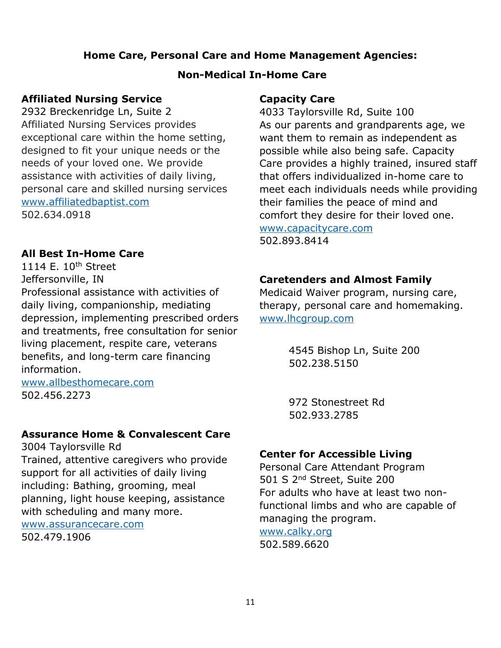#### **Home Care, Personal Care and Home Management Agencies:**

#### **Non-Medical In-Home Care**

#### **Affiliated Nursing Service**

2932 Breckenridge Ln, Suite 2 Affiliated Nursing Services provides exceptional care within the home setting, designed to fit your unique needs or the needs of your loved one. We provide assistance with activities of daily living, personal care and skilled nursing services [www.affiliatedbaptist.com](http://www.affiliatedbaptist.com/) 502.634.0918

#### **All Best In-Home Care**

1114 E. 10<sup>th</sup> Street Jeffersonville, IN

Professional assistance with activities of daily living, companionship, mediating depression, implementing prescribed orders and treatments, free consultation for senior living placement, respite care, veterans benefits, and long-term care financing information.

[www.allbesthomecare.com](http://www.allbesthomecare.com/) 502.456.2273

#### **Assurance Home & Convalescent Care**

3004 Taylorsville Rd Trained, attentive caregivers who provide support for all activities of daily living including: Bathing, grooming, meal planning, light house keeping, assistance with scheduling and many more.

[www.assurancecare.com](http://www.assurancecare.com/) 502.479.1906

#### **Capacity Care**

4033 Taylorsville Rd, Suite 100 As our parents and grandparents age, we want them to remain as independent as possible while also being safe. Capacity Care provides a highly trained, insured staff that offers individualized in-home care to meet each individuals needs while providing their families the peace of mind and comfort they desire for their loved one. [www.capacitycare.com](http://www.capacitycare.com/) 502.893.8414

#### **Caretenders and Almost Family**

Medicaid Waiver program, nursing care, therapy, personal care and homemaking. [www.lhcgroup.com](http://www.lhcgroup.com/)

> 4545 Bishop Ln, Suite 200 502.238.5150

972 Stonestreet Rd 502.933.2785

#### **Center for Accessible Living**

Personal Care Attendant Program 501 S 2nd Street, Suite 200 For adults who have at least two nonfunctional limbs and who are capable of managing the program.

[www.calky.org](http://www.calky.org/) 502.589.6620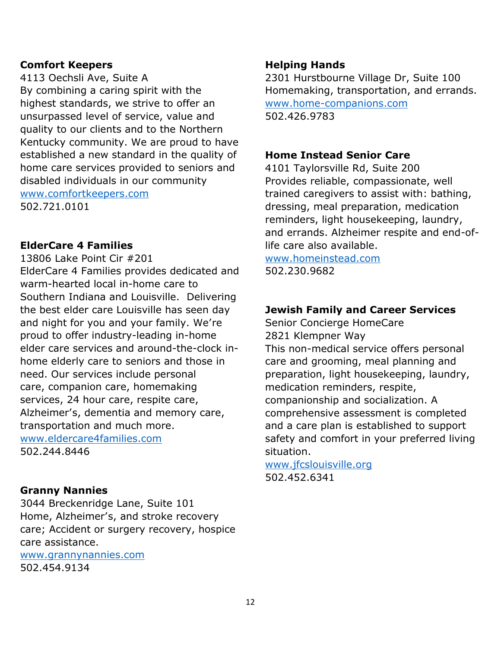#### **Comfort Keepers**

4113 Oechsli Ave, Suite A By combining a caring spirit with the highest standards, we strive to offer an unsurpassed level of service, value and quality to our clients and to the Northern Kentucky community. We are proud to have established a new standard in the quality of home care services provided to seniors and disabled individuals in our community [www.comfortkeepers.com](http://www.comfortkeepers.com/) 502.721.0101

#### **ElderCare 4 Families**

13806 Lake Point Cir #201 ElderCare 4 Families provides dedicated and warm-hearted local in-home care to Southern Indiana and Louisville. Delivering the best elder care Louisville has seen day and night for you and your family. We're proud to offer industry-leading in-home elder care services and around-the-clock inhome elderly care to seniors and those in need. Our [services](http://eldercare.sg-host.com/elder-services/) include [personal](https://eldercare4families.com/personal-care-services/) [care,](https://eldercare4families.com/personal-care-services/) companion care, homemaking services, 24 hour care, respite care, Alzheimer's, dementia and memory care, transportation and much more. [www.eldercare4families.com](http://www.eldercare4families.com/)

502.244.8446

#### **Granny Nannies**

3044 Breckenridge Lane, Suite 101 Home, Alzheimer's, and stroke recovery care; Accident or surgery recovery, hospice care assistance.

[www.grannynannies.com](http://www.grannynannies.com/) 502.454.9134

#### **Helping Hands**

2301 Hurstbourne Village Dr, Suite 100 Homemaking, transportation, and errands. [www.home-companions.com](http://www.home-companions.com/) 502.426.9783

#### **Home Instead Senior Care**

4101 Taylorsville Rd, Suite 200 Provides reliable, compassionate, well trained caregivers to assist with: bathing, dressing, meal preparation, medication reminders, light housekeeping, laundry, and errands. Alzheimer respite and end-oflife care also available.

[www.homeinstead.com](http://www.homeinstead.com/) 502.230.9682

#### **Jewish Family and Career Services**

Senior Concierge HomeCare 2821 Klempner Way This non-medical service offers personal care and grooming, meal planning and preparation, light housekeeping, laundry, medication reminders, respite, companionship and socialization. A comprehensive assessment is completed and a care plan is established to support safety and comfort in your preferred living situation.

[www.jfcslouisville.org](http://www.jfcslouisville.org/) 502.452.6341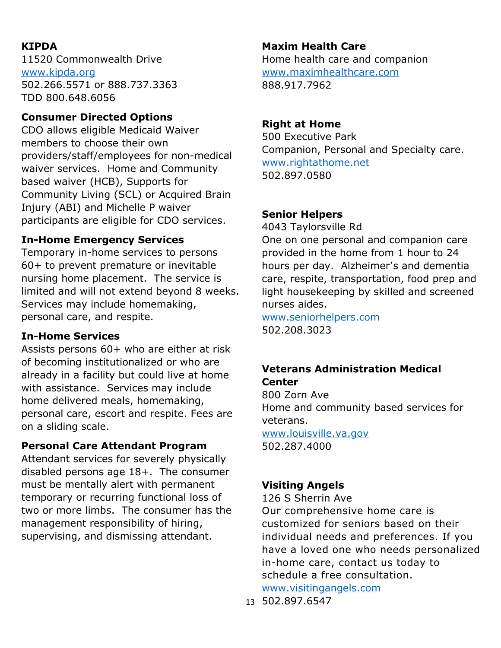# **KIPDA**

11520 Commonwealth Drive [www.kipda.org](http://www.kipda.org/) 502.266.5571 or 888.737.3363 TDD 800.648.6056

# **Consumer Directed Options**

CDO allows eligible Medicaid Waiver members to choose their own providers/staff/employees for non-medical waiver services. Home and Community based waiver (HCB), Supports for Community Living (SCL) or Acquired Brain Injury (ABI) and Michelle P waiver participants are eligible for CDO services.

# **In-Home Emergency Services**

Temporary in-home services to persons 60+ to prevent premature or inevitable nursing home placement. The service is limited and will not extend beyond 8 weeks. Services may include homemaking, personal care, and respite.

# **In-Home Services**

Assists persons 60+ who are either at risk of becoming institutionalized or who are already in a facility but could live at home with assistance. Services may include home delivered meals, homemaking, personal care, escort and respite. Fees are on a sliding scale.

# **Personal Care Attendant Program**

Attendant services for severely physically disabled persons age 18+. The consumer must be mentally alert with permanent temporary or recurring functional loss of two or more limbs. The consumer has the management responsibility of hiring, supervising, and dismissing attendant.

# **Maxim Health Care**

Home health care and companion [www.maximhealthcare.com](http://www.maximhealthcare.com/) 888.917.7962

# **Right at Home**

500 Executive Park Companion, Personal and Specialty care. [www.rightathome.net](http://www.rightathome.net/) 502.897.0580

# **Senior Helpers**

4043 Taylorsville Rd One on one personal and companion care provided in the home from 1 hour to 24 hours per day. Alzheimer's and dementia care, respite, transportation, food prep and light housekeeping by skilled and screened nurses aides.

[www.seniorhelpers.com](http://www.seniorhelpers.com/) 502.208.3023

# **Veterans Administration Medical Center**

800 Zorn Ave Home and community based services for veterans. [www.louisville.va.gov](http://www.louisville.va.gov/) 502.287.4000

# **Visiting Angels**

126 S Sherrin Ave

Our comprehensive home care is customized for seniors based on their individual needs and preferences. If you have a loved one who needs personalized in-home care, contact us today to schedule a free consultation.

[www.visitingangels.com](http://www.visitingangels.com/)

13 502.897.6547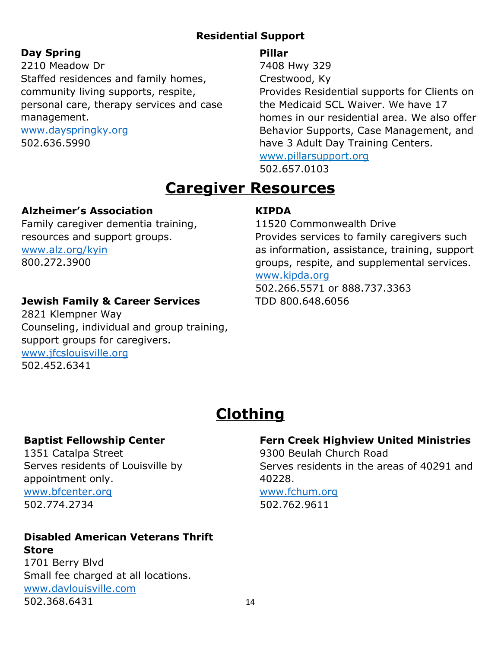# **Residential Support**

# **Day Spring**

2210 Meadow Dr Staffed residences and family homes, community living supports, respite, personal care, therapy services and case management.

[www.dayspringky.org](http://www.dayspringky.org/) 502.636.5990

# **Pillar**

7408 Hwy 329

Crestwood, Ky

Provides Residential supports for Clients on the Medicaid SCL Waiver. We have 17 homes in our residential area. We also offer Behavior Supports, Case Management, and have 3 Adult Day Training Centers.

[www.pillarsupport.org](http://www.pillarsupport.org/) 502.657.0103

# **Caregiver Resources**

# **Alzheimer's Association**

Family caregiver dementia training, resources and support groups. [www.alz.org/kyin](http://www.alz.org/kyin) 800.272.3900

# **Jewish Family & Career Services**

2821 Klempner Way Counseling, individual and group training, support groups for caregivers. [www.jfcslouisville.org](http://www.jfcslouisville.org/) 502.452.6341

# **KIPDA**

11520 Commonwealth Drive Provides services to family caregivers such as information, assistance, training, support groups, respite, and supplemental services. [www.kipda.org](http://www.kipda.org/)

502.266.5571 or 888.737.3363 TDD 800.648.6056

# **Clothing**

# **Baptist Fellowship Center**

1351 Catalpa Street Serves residents of Louisville by appointment only. [www.bfcenter.org](http://www.bfcenter.org/) 502.774.2734

#### **Disabled American Veterans Thrift Store**

1701 Berry Blvd Small fee charged at all locations. [www.davlouisville.com](http://www.davlouisville.com/) 502.368.6431

#### **Fern Creek Highview United Ministries**

9300 Beulah Church Road Serves residents in the areas of 40291 and 40228.

# [www.fchum.org](http://www.fchum.org/)

502.762.9611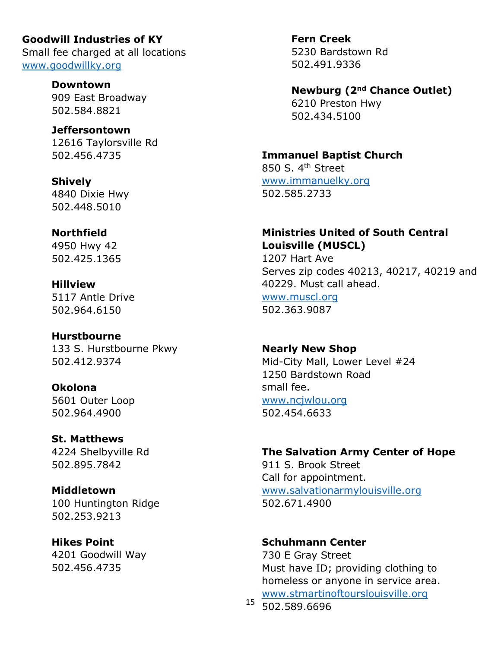# **Goodwill Industries of KY** Small fee charged at all locations

[www.goodwillky.org](http://www.goodwillky.org/)

**Downtown** 909 East Broadway 502.584.8821

# **Jeffersontown** 12616 Taylorsville Rd

502.456.4735

# **Shively**

4840 Dixie Hwy 502.448.5010

# **Northfield**

4950 Hwy 42 502.425.1365

**Hillview** 5117 Antle Drive 502.964.6150

#### **Hurstbourne** 133 S. Hurstbourne Pkwy 502.412.9374

**Okolona** 5601 Outer Loop 502.964.4900

#### **St. Matthews** 4224 Shelbyville Rd 502.895.7842

#### **Middletown** 100 Huntington Ridge 502.253.9213

**Hikes Point** 4201 Goodwill Way 502.456.4735

**Fern Creek** 5230 Bardstown Rd 502.491.9336

# **Newburg (2nd Chance Outlet)**

6210 Preston Hwy 502.434.5100

# **Immanuel Baptist Church**

850 S. 4th Street [www.immanuelky.org](http://www.immanuelky.org/) 502.585.2733

# **Ministries United of South Central Louisville (MUSCL)**

1207 Hart Ave Serves zip codes 40213, 40217, 40219 and 40229. Must call ahead.

[www.muscl.org](http://www.muscl.org/) 502.363.9087

# **Nearly New Shop**

Mid-City Mall, Lower Level #24 1250 Bardstown Road small fee. [www.ncjwlou.org](http://www.ncjwlou.org/) 502.454.6633

# **The Salvation Army Center of Hope**

911 S. Brook Street Call for appointment. [www.salvationarmylouisville.org](http://www.salvationarmylouisville.org/) 502.671.4900

# **Schuhmann Center**

730 E Gray Street Must have ID; providing clothing to homeless or anyone in service area. [www.stmartinoftourslouisville.org](http://www.stmartinoftourslouisville.org/)

15 502.589.6696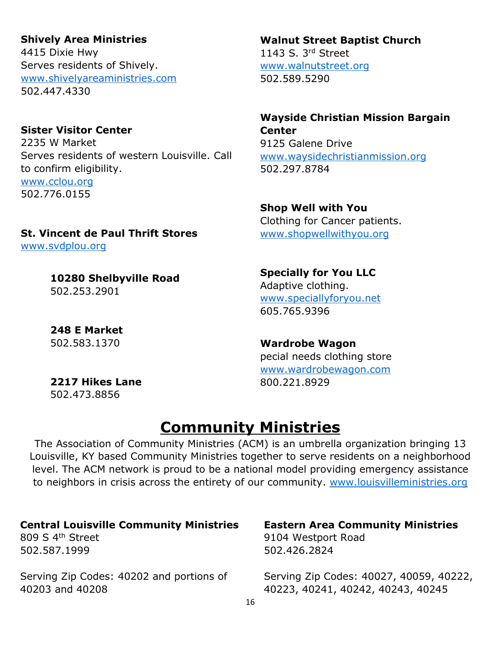#### **Shively Area Ministries**

4415 Dixie Hwy Serves residents of Shively. [www.shivelyareaministries.com](http://www.shivelyareaministries.com/) 502.447.4330

# **Sister Visitor Center**

2235 W Market Serves residents of western Louisville. Call to confirm eligibility. [www.cclou.org](http://www.cclou.org/) 502.776.0155

# **St. Vincent de Paul Thrift Stores**

[www.svdplou.org](http://www.svdplou.org/)

**10280 Shelbyville Road** 502.253.2901

**248 E Market** 502.583.1370

**2217 Hikes Lane** 502.473.8856

# **Walnut Street Baptist Church**

1143 S. 3rd Street [www.walnutstreet.org](http://www.walnutstreet.org/) 502.589.5290

#### **Wayside Christian Mission Bargain Center**

9125 Galene Drive [www.waysidechristianmission.org](http://www.waysidechristianmission.org/) 502.297.8784

#### **Shop Well with You**

Clothing for Cancer patients. [www.shopwellwithyou.org](http://www.shopwellwithyou.org/)

#### **Specially for You LLC** Adaptive clothing. [www.speciallyforyou.net](http://www.speciallyforyou.net/) 605.765.9396

#### **Wardrobe Wagon**

pecial needs clothing store [www.wardrobewagon.com](http://www.wardrobewagon.com/) 800.221.8929

# **Community Ministries**

The Association of Community Ministries (ACM) is an umbrella organization bringing 13 Louisville, KY based Community Ministries together to serve residents on a neighborhood level. The ACM network is proud to be a national model providing emergency assistance to neighbors in crisis across the entirety of our community. [www.louisvilleministries.org](http://www.louisvilleministries.org/)

#### **Central Louisville Community Ministries**

809 S 4th Street 502.587.1999

Serving Zip Codes: 40202 and portions of 40203 and 40208

#### **Eastern Area Community Ministries** 9104 Westport Road

502.426.2824

Serving Zip Codes: 40027, 40059, 40222, 40223, 40241, 40242, 40243, 40245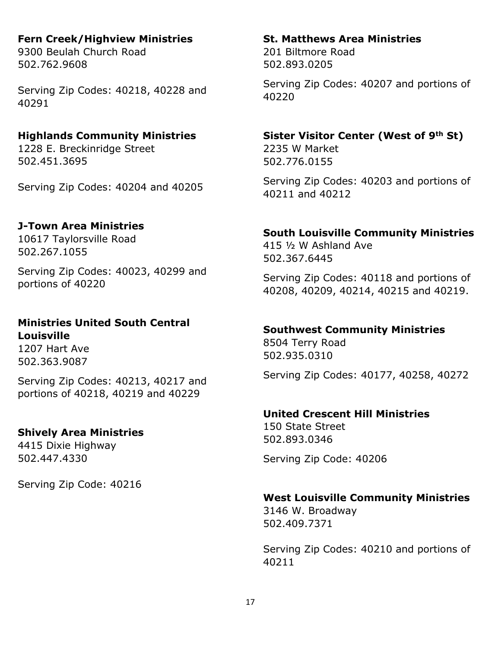# **Fern Creek/Highview Ministries**

9300 Beulah Church Road 502.762.9608

Serving Zip Codes: 40218, 40228 and 40291

#### **Highlands Community Ministries**

1228 E. Breckinridge Street 502.451.3695

Serving Zip Codes: 40204 and 40205

# **J-Town Area Ministries**

10617 Taylorsville Road 502.267.1055

Serving Zip Codes: 40023, 40299 and portions of 40220

#### **Ministries United South Central Louisville**

1207 Hart Ave 502.363.9087

Serving Zip Codes: 40213, 40217 and portions of 40218, 40219 and 40229

# **Shively Area Ministries**

4415 Dixie Highway 502.447.4330

Serving Zip Code: 40216

#### **St. Matthews Area Ministries**

201 Biltmore Road 502.893.0205

Serving Zip Codes: 40207 and portions of 40220

#### **Sister Visitor Center (West of 9th St)**

2235 W Market 502.776.0155

Serving Zip Codes: 40203 and portions of 40211 and 40212

#### **South Louisville Community Ministries**

415 ½ W Ashland Ave 502.367.6445

Serving Zip Codes: 40118 and portions of 40208, 40209, 40214, 40215 and 40219.

#### **Southwest Community Ministries**

8504 Terry Road 502.935.0310

Serving Zip Codes: 40177, 40258, 40272

#### **United Crescent Hill Ministries**

150 State Street 502.893.0346

Serving Zip Code: 40206

# **West Louisville Community Ministries**

3146 W. Broadway 502.409.7371

Serving Zip Codes: 40210 and portions of 40211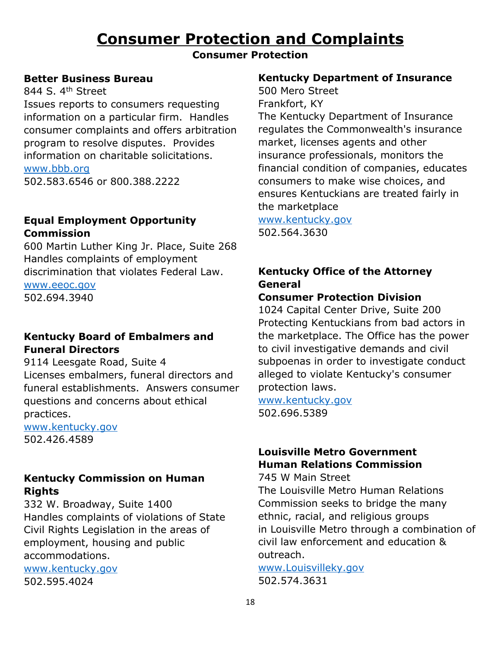# **Consumer Protection and Complaints**

#### **Consumer Protection**

#### **Better Business Bureau**

844 S. 4<sup>th</sup> Street Issues reports to consumers requesting information on a particular firm. Handles consumer complaints and offers arbitration program to resolve disputes. Provides information on charitable solicitations. [www.bbb.org](http://www.bbb.org/)

502.583.6546 or 800.388.2222

# **Equal Employment Opportunity Commission**

600 Martin Luther King Jr. Place, Suite 268 Handles complaints of employment discrimination that violates Federal Law.

[www.eeoc.gov](http://www.eeoc.gov/)

502.694.3940

# **Kentucky Board of Embalmers and Funeral Directors**

9114 Leesgate Road, Suite 4 Licenses embalmers, funeral directors and funeral establishments. Answers consumer questions and concerns about ethical practices.

[www.kentucky.gov](http://www.kentucky.gov/) 502.426.4589

# **Kentucky Commission on Human Rights**

332 W. Broadway, Suite 1400 Handles complaints of violations of State Civil Rights Legislation in the areas of employment, housing and public accommodations.

[www.kentucky.gov](http://www.kentucky.gov/)

502.595.4024

#### **Kentucky Department of Insurance**

500 Mero Street Frankfort, KY The Kentucky Department of Insurance regulates the Commonwealth's insurance market, licenses agents and other insurance professionals, monitors the financial condition of companies, educates consumers to make wise choices, and ensures Kentuckians are treated fairly in the marketplace

[www.kentucky.gov](http://www.kentucky.gov/)

502.564.3630

# **Kentucky Office of the Attorney General**

# **Consumer Protection Division**

1024 Capital Center Drive, Suite 200 Protecting Kentuckians from bad actors in the marketplace. The Office has the power to civil investigative demands and civil subpoenas in order to investigate conduct alleged to violate Kentucky's consumer protection laws.

[www.kentucky.gov](http://www.kentucky.gov/) 502.696.5389

# **Louisville Metro Government Human Relations Commission**

745 W Main Street

The Louisville Metro Human Relations Commission seeks to bridge the many ethnic, racial, and religious groups in Louisville Metro through a combination of civil law enforcement and education & outreach.

[www.Louisvilleky.gov](http://www.louisvilleky.gov/) 502.574.3631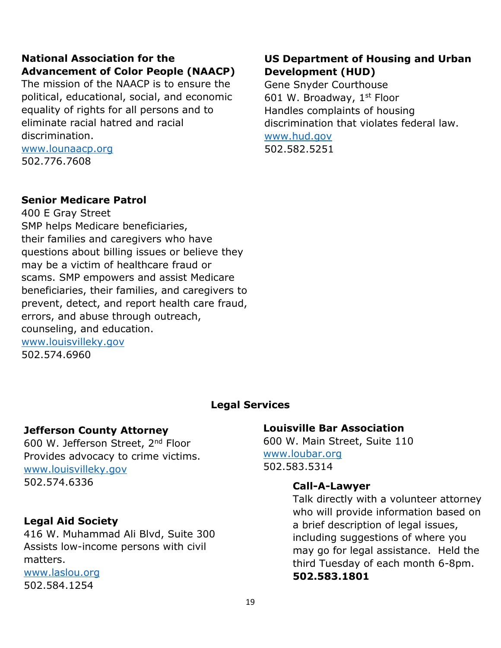# **National Association for the Advancement of Color People (NAACP)**

The mission of the NAACP is to ensure the political, educational, social, and economic equality of rights for all persons and to eliminate racial hatred and racial discrimination.

[www.lounaacp.org](http://www.lounaacp.org/) 502.776.7608

#### **US Department of Housing and Urban Development (HUD)**

Gene Snyder Courthouse 601 W. Broadway, 1st Floor Handles complaints of housing discrimination that violates federal law. [www.hud.gov](http://www.hud.gov/) 502.582.5251

# **Senior Medicare Patrol**

400 E Gray Street SMP helps Medicare beneficiaries, their families and caregivers who have questions about billing issues or believe they may be a victim of healthcare fraud or scams. SMP empowers and assist Medicare beneficiaries, their families, and caregivers to prevent, detect, and report health care fraud, errors, and abuse through outreach, counseling, and education. [www.louisvilleky.gov](http://www.louisvilleky.gov/) 502.574.6960

#### **Legal Services**

# **Jefferson County Attorney**

600 W. Jefferson Street, 2nd Floor Provides advocacy to crime victims. [www.louisvilleky.gov](http://www.louisvilleky.gov/) 502.574.6336

# **Legal Aid Society**

416 W. Muhammad Ali Blvd, Suite 300 Assists low-income persons with civil matters.

[www.laslou.org](http://www.laslou.org/) 502.584.1254

# **Louisville Bar Association**

600 W. Main Street, Suite 110 [www.loubar.org](http://www.loubar.org/) 502.583.5314

# **Call-A-Lawyer**

Talk directly with a volunteer attorney who will provide information based on a brief description of legal issues, including suggestions of where you may go for legal assistance. Held the third Tuesday of each month 6-8pm. **502.583.1801**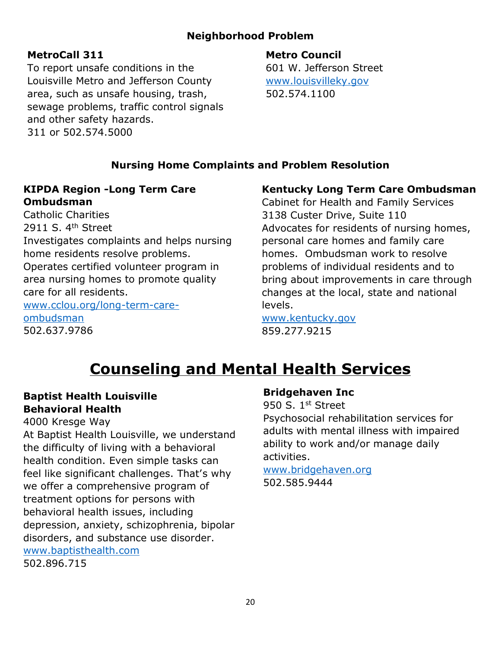# **Neighborhood Problem**

#### **MetroCall 311**

**Metro Council**

To report unsafe conditions in the Louisville Metro and Jefferson County area, such as unsafe housing, trash, sewage problems, traffic control signals and other safety hazards. 311 or 502.574.5000

601 W. Jefferson Street [www.louisvilleky.gov](http://www.louisvilleky.gov/) 502.574.1100

# **Nursing Home Complaints and Problem Resolution**

# **KIPDA Region -Long Term Care Ombudsman**

Catholic Charities 2911 S.  $4<sup>th</sup>$  Street Investigates complaints and helps nursing home residents resolve problems. Operates certified volunteer program in area nursing homes to promote quality care for all residents. [www.cclou.org/long-term-care](http://www.cclou.org/long-term-care-ombudsman)[ombudsman](http://www.cclou.org/long-term-care-ombudsman) 502.637.9786

# **Kentucky Long Term Care Ombudsman**

Cabinet for Health and Family Services 3138 Custer Drive, Suite 110 Advocates for residents of nursing homes, personal care homes and family care homes. Ombudsman work to resolve problems of individual residents and to bring about improvements in care through changes at the local, state and national levels.

[www.kentucky.gov](http://www.kentucky.gov/) 859.277.9215

# **Counseling and Mental Health Services**

# **Baptist Health Louisville Behavioral Health**

4000 Kresge Way

At Baptist Health Louisville, we understand the difficulty of living with a behavioral health condition. Even simple tasks can feel like significant challenges. That's why we offer a comprehensive program of treatment options for persons with behavioral health issues, including depression, anxiety, schizophrenia, bipolar disorders, and substance use disorder. [www.baptisthealth.com](http://www.baptisthealth.com/) 502.896.715

#### **Bridgehaven Inc**

950 S. 1st Street Psychosocial rehabilitation services for adults with mental illness with impaired ability to work and/or manage daily activities.

[www.bridgehaven.org](http://www.bridgehaven.org/) 502.585.9444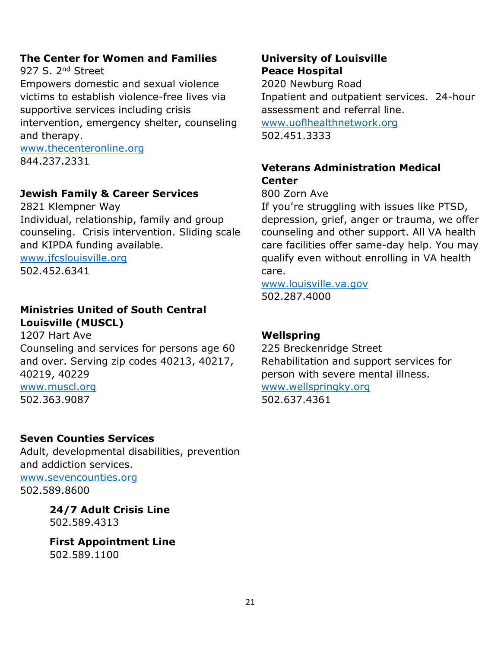# **The Center for Women and Families**

927 S. 2<sup>nd</sup> Street

Empowers domestic and sexual violence victims to establish violence-free lives via supportive services including crisis intervention, emergency shelter, counseling and therapy.

[www.thecenteronline.org](http://www.thecenteronline.org/) 844.237.2331

# **Jewish Family & Career Services**

2821 Klempner Way Individual, relationship, family and group counseling. Crisis intervention. Sliding scale and KIPDA funding available. [www.jfcslouisville.org](http://www.jfcslouisville.org/)

502.452.6341

# **Ministries United of South Central Louisville (MUSCL)**

1207 Hart Ave Counseling and services for persons age 60 and over. Serving zip codes 40213, 40217, 40219, 40229 [www.muscl.org](http://www.muscl.org/)

502.363.9087

# **Seven Counties Services**

Adult, developmental disabilities, prevention and addiction services.

[www.sevencounties.org](http://www.sevencounties.org/) 502.589.8600

> **24/7 Adult Crisis Line** 502.589.4313

**First Appointment Line** 502.589.1100

# **University of Louisville Peace Hospital**

2020 Newburg Road Inpatient and outpatient services. 24-hour assessment and referral line. [www.uoflhealthnetwork.org](http://www.uoflhealthnetwork.org/)

502.451.3333

# **Veterans Administration Medical Center**

800 Zorn Ave

If you're struggling with issues like PTSD, depression, grief, anger or trauma, we offer counseling and other support. All VA health care facilities offer same-day help. You may qualify even without enrolling in VA health care.

[www.louisville.va.gov](http://www.louisville.va.gov/) 502.287.4000

# **Wellspring**

225 Breckenridge Street Rehabilitation and support services for person with severe mental illness. [www.wellspringky.org](http://www.wellspringky.org/)

502.637.4361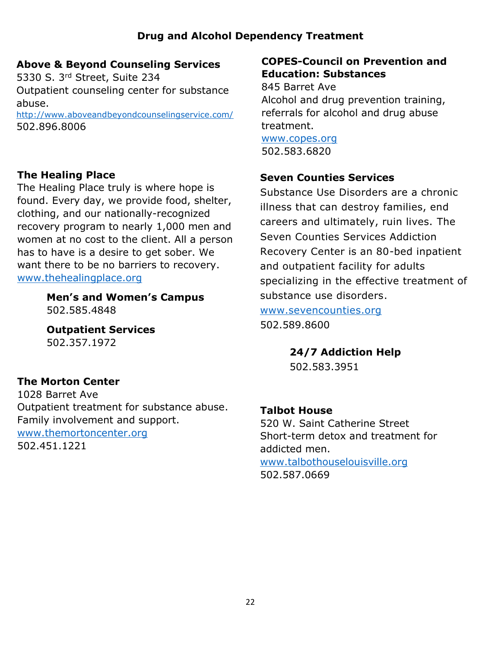# **Above & Beyond Counseling Services**

5330 S. 3rd Street, Suite 234 Outpatient counseling center for substance abuse.

<http://www.aboveandbeyondcounselingservice.com/> 502.896.8006

# **The Healing Place**

The Healing Place truly is where hope is found. Every day, we provide food, shelter, clothing, and our nationally-recognized recovery program to nearly 1,000 men and women at no cost to the client. All a person has to have is a desire to get sober. We want there to be no barriers to recovery. [www.thehealingplace.org](http://www.thehealingplace.org/)

> **Men's and Women's Campus** 502.585.4848

**Outpatient Services** 502.357.1972

# **The Morton Center**

1028 Barret Ave Outpatient treatment for substance abuse. Family involvement and support. [www.themortoncenter.org](http://www.themortoncenter.org/) 502.451.1221

# **COPES-Council on Prevention and Education: Substances**

845 Barret Ave Alcohol and drug prevention training, referrals for alcohol and drug abuse treatment.

[www.copes.org](http://www.copes.org/) 502.583.6820

# **Seven Counties Services**

Substance Use Disorders are a chronic illness that can destroy families, end careers and ultimately, ruin lives. The Seven Counties Services Addiction Recovery Center is an 80-bed inpatient and outpatient facility for adults specializing in the effective treatment of substance use disorders.

[www.sevencounties.org](http://www.sevencounties.org/) 502.589.8600

**24/7 Addiction Help**

502.583.3951

# **Talbot House**

520 W. Saint Catherine Street Short-term detox and treatment for addicted men. [www.talbothouselouisville.org](http://www.talbothouselouisville.org/) 502.587.0669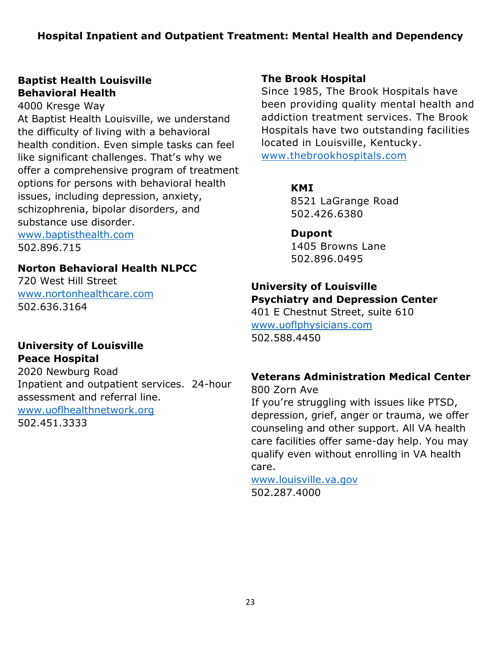# **Baptist Health Louisville Behavioral Health**

4000 Kresge Way At Baptist Health Louisville, we understand the difficulty of living with a behavioral health condition. Even simple tasks can feel like significant challenges. That's why we offer a comprehensive program of treatment options for persons with behavioral health issues, including depression, anxiety, schizophrenia, bipolar disorders, and substance use disorder.

[www.baptisthealth.com](http://www.baptisthealth.com/) 502.896.715

# **Norton Behavioral Health NLPCC**

720 West Hill Street [www.nortonhealthcare.com](http://www.nortonhealthcare.com/) 502.636.3164

#### **University of Louisville Peace Hospital**

2020 Newburg Road Inpatient and outpatient services. 24-hour assessment and referral line. [www.uoflhealthnetwork.org](http://www.uoflhealthnetwork.org/) 502.451.3333

# **The Brook Hospital**

Since 1985, The Brook Hospitals have been providing quality mental health and addiction treatment services. The Brook Hospitals have two outstanding facilities located in Louisville, Kentucky. [www.thebrookhospitals.com](http://www.thebrookhospitals.com/)

#### **KMI**

8521 LaGrange Road 502.426.6380

# **Dupont**

1405 Browns Lane 502.896.0495

#### **University of Louisville Psychiatry and Depression Center**

401 E Chestnut Street, suite 610 [www.uoflphysicians.com](http://www.uoflphysicians.com/) 502.588.4450

# **Veterans Administration Medical Center**

800 Zorn Ave If you're struggling with issues like PTSD, depression, grief, anger or trauma, we offer counseling and other support. All VA health care facilities offer same-day help. You may qualify even without enrolling in VA health care.

[www.louisville.va.gov](http://www.louisville.va.gov/) 502.287.4000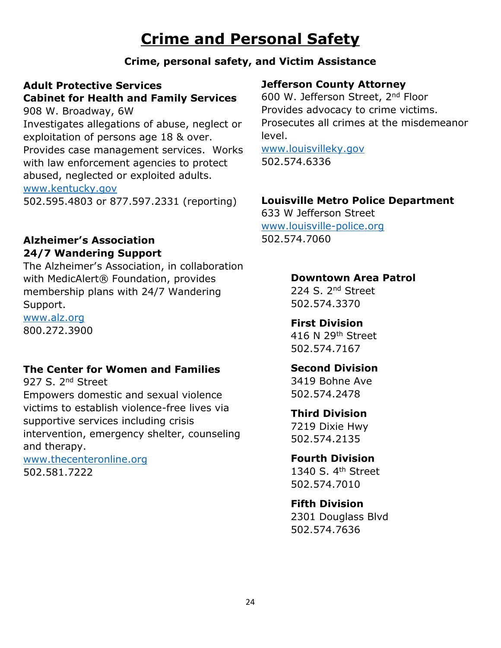# **Crime and Personal Safety**

# **Crime, personal safety, and Victim Assistance**

# **Adult Protective Services Cabinet for Health and Family Services**

908 W. Broadway, 6W Investigates allegations of abuse, neglect or exploitation of persons age 18 & over. Provides case management services. Works with law enforcement agencies to protect abused, neglected or exploited adults. [www.kentucky.gov](http://www.kentucky.gov/) 502.595.4803 or 877.597.2331 (reporting)

# **Alzheimer's Association 24/7 Wandering Support**

The Alzheimer's Association, in collaboration with MedicAlert® Foundation, provides membership plans with 24/7 Wandering Support.

[www.alz.org](http://www.alz.org/) 800.272.3900

# **The Center for Women and Families**

927 S. 2<sup>nd</sup> Street

Empowers domestic and sexual violence victims to establish violence-free lives via supportive services including crisis intervention, emergency shelter, counseling and therapy.

[www.thecenteronline.org](http://www.thecenteronline.org/) 502.581.7222

# **Jefferson County Attorney**

600 W. Jefferson Street, 2nd Floor Provides advocacy to crime victims. Prosecutes all crimes at the misdemeanor level.

[www.louisvilleky.gov](http://www.louisvilleky.gov/) 502.574.6336

#### **Louisville Metro Police Department**

633 W Jefferson Street [www.louisville-police.org](http://www.louisville-police.org/) 502.574.7060

# **Downtown Area Patrol**

224 S. 2<sup>nd</sup> Street 502.574.3370

#### **First Division**

416 N 29th Street 502.574.7167

# **Second Division**

3419 Bohne Ave 502.574.2478

# **Third Division**

7219 Dixie Hwy 502.574.2135

#### **Fourth Division**

1340 S. 4th Street 502.574.7010

#### **Fifth Division**

2301 Douglass Blvd 502.574.7636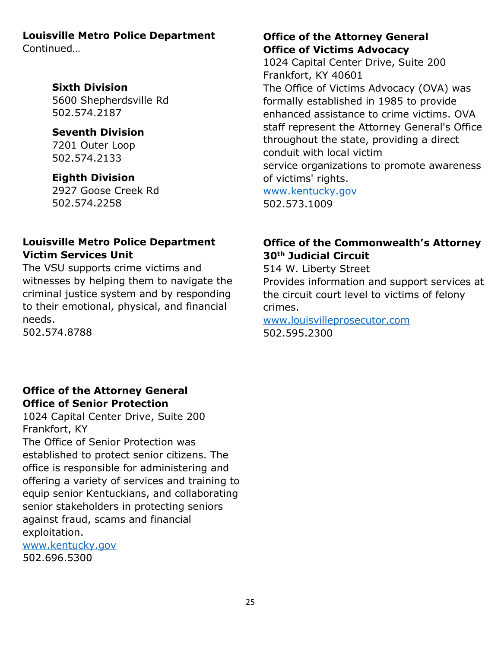#### **Louisville Metro Police Department**

Continued…

#### **Sixth Division**

5600 Shepherdsville Rd 502.574.2187

#### **Seventh Division**

7201 Outer Loop 502.574.2133

# **Eighth Division**

2927 Goose Creek Rd 502.574.2258

# **Louisville Metro Police Department Victim Services Unit**

The VSU supports crime victims and witnesses by helping them to navigate the criminal justice system and by responding to their emotional, physical, and financial needs.

502.574.8788

# **Office of the Attorney General Office of Senior Protection**

1024 Capital Center Drive, Suite 200 Frankfort, KY The Office of Senior Protection was established to protect senior citizens. The office is responsible for administering and offering a variety of services and training to equip senior Kentuckians, and collaborating senior stakeholders in protecting seniors against fraud, scams and financial exploitation.

[www.kentucky.gov](http://www.kentucky.gov/) 502.696.5300

# **Office of the Attorney General Office of Victims Advocacy**

1024 Capital Center Drive, Suite 200 Frankfort, KY 40601 The Office of Victims Advocacy (OVA) was formally established in 1985 to provide enhanced assistance to crime victims. OVA staff represent the Attorney General's Office throughout the state, providing a direct conduit with local victim service organizations to promote awareness of victims' rights. [www.kentucky.gov](http://www.kentucky.gov/) 502.573.1009

# **Office of the Commonwealth's Attorney 30th Judicial Circuit**

514 W. Liberty Street

Provides information and support services at the circuit court level to victims of felony crimes.

[www.louisvilleprosecutor.com](http://www.louisvilleprosecutor.com/) 502.595.2300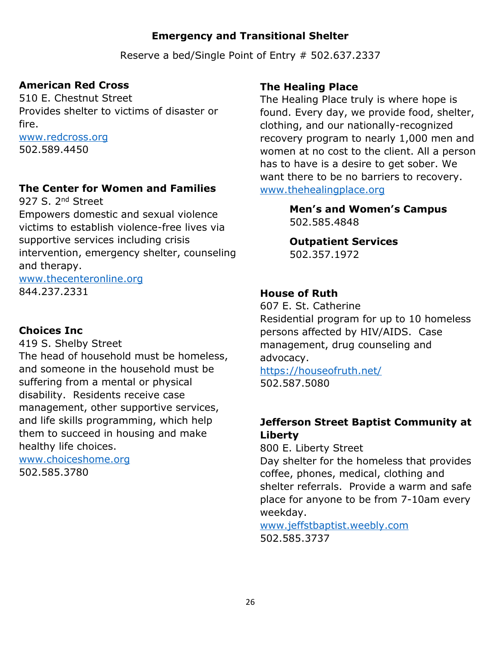# **Emergency and Transitional Shelter**

Reserve a bed/Single Point of Entry # 502.637.2337

# **American Red Cross**

510 E. Chestnut Street Provides shelter to victims of disaster or fire.

[www.redcross.org](http://www.redcross.org/) 502.589.4450

# **The Center for Women and Families**

927 S. 2<sup>nd</sup> Street Empowers domestic and sexual violence victims to establish violence-free lives via supportive services including crisis intervention, emergency shelter, counseling and therapy.

[www.thecenteronline.org](http://www.thecenteronline.org/) 844.237.2331

#### **Choices Inc**

419 S. Shelby Street

The head of household must be homeless, and someone in the household must be suffering from a mental or physical disability. Residents receive case management, other supportive services, and life skills programming, which help them to succeed in housing and make healthy life choices.

[www.choiceshome.org](http://www.choiceshome.org/) 502.585.3780

#### **The Healing Place**

The Healing Place truly is where hope is found. Every day, we provide food, shelter, clothing, and our nationally-recognized recovery program to nearly 1,000 men and women at no cost to the client. All a person has to have is a desire to get sober. We want there to be no barriers to recovery. [www.thehealingplace.org](http://www.thehealingplace.org/)

> **Men's and Women's Campus** 502.585.4848

**Outpatient Services** 502.357.1972

# **House of Ruth**

607 E. St. Catherine Residential program for up to 10 homeless persons affected by HIV/AIDS. Case management, drug counseling and advocacy.

<https://houseofruth.net/> 502.587.5080

# **Jefferson Street Baptist Community at Liberty**

800 E. Liberty Street Day shelter for the homeless that provides coffee, phones, medical, clothing and shelter referrals. Provide a warm and safe place for anyone to be from 7-10am every weekday.

[www.jeffstbaptist.weebly.com](http://www.jeffstbaptist.weebly.com/) 502.585.3737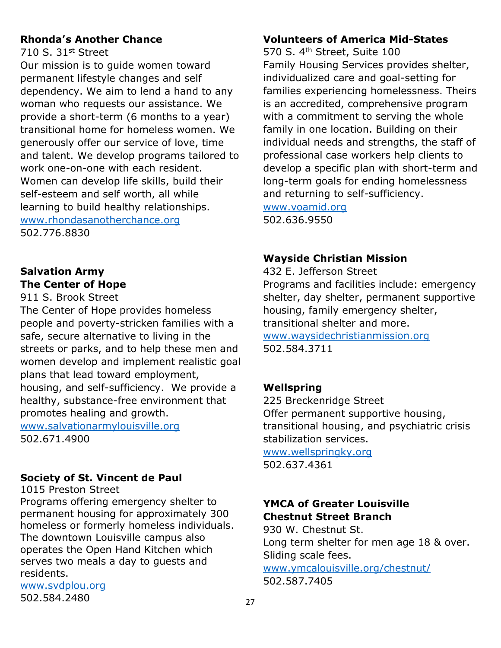# **Rhonda's Another Chance**

710 S. 31st Street

Our mission is to guide women toward permanent lifestyle changes and self dependency. We aim to lend a hand to any woman who requests our assistance. We provide a short-term (6 months to a year) transitional home for homeless women. We generously offer our service of love, time and talent. We develop programs tailored to work one-on-one with each resident. Women can develop life skills, build their self-esteem and self worth, all while learning to build healthy relationships. [www.rhondasanotherchance.org](http://www.rhondasanotherchance.org/) 502.776.8830

# **Salvation Army The Center of Hope**

911 S. Brook Street

The Center of Hope provides homeless people and poverty-stricken families with a safe, secure alternative to living in the streets or parks, and to help these men and women develop and implement realistic goal plans that lead toward employment, housing, and self-sufficiency. We provide a healthy, substance-free environment that promotes healing and growth.

[www.salvationarmylouisville.org](http://www.salvationarmylouisville.org/) 502.671.4900

# **Society of St. Vincent de Paul**

1015 Preston Street

Programs offering emergency shelter to permanent housing for approximately 300 homeless or formerly homeless individuals. The downtown Louisville campus also operates the Open Hand Kitchen which serves two meals a day to guests and residents.

[www.svdplou.org](http://www.svdplou.org/) 502.584.2480

# **Volunteers of America Mid-States**

570 S. 4<sup>th</sup> Street, Suite 100 Family Housing Services provides shelter, individualized care and goal-setting for families experiencing homelessness. Theirs is an accredited, comprehensive program with a commitment to serving the whole family in one location. Building on their individual needs and strengths, the staff of professional case workers help clients to develop a specific plan with short-term and long-term goals for ending homelessness and returning to self-sufficiency.

[www.voamid.org](http://www.voamid.org/) 502.636.9550

# **Wayside Christian Mission**

432 E. Jefferson Street Programs and facilities include: emergency shelter, day shelter, permanent supportive housing, family emergency shelter, transitional shelter and more. [www.waysidechristianmission.org](http://www.waysidechristianmission.org/) 502.584.3711

# **Wellspring**

225 Breckenridge Street Offer permanent supportive housing, transitional housing, and psychiatric crisis stabilization services.

[www.wellspringky.org](http://www.wellspringky.org/) 502.637.4361

# **YMCA of Greater Louisville Chestnut Street Branch**

930 W. Chestnut St. Long term shelter for men age 18 & over. Sliding scale fees. [www.ymcalouisville.org/chestnut/](http://www.ymcalouisville.org/chestnut/) 502.587.7405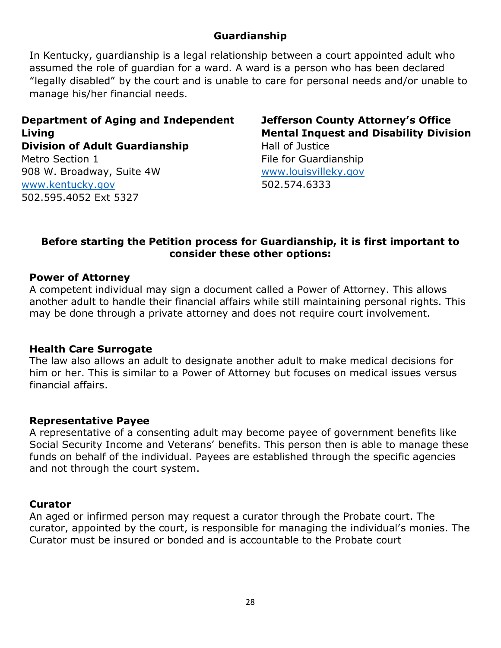# **Guardianship**

In Kentucky, guardianship is a legal relationship between a court appointed adult who assumed the role of guardian for a ward. A ward is a person who has been declared "legally disabled" by the court and is unable to care for personal needs and/or unable to manage his/her financial needs.

**Department of Aging and Independent Living Division of Adult Guardianship** Metro Section 1 908 W. Broadway, Suite 4W [www.kentucky.gov](http://www.kentucky.gov/) 502.595.4052 Ext 5327

**Jefferson County Attorney's Office Mental Inquest and Disability Division** Hall of Justice

File for Guardianship [www.louisvilleky.gov](http://www.louisvilleky.gov/) 502.574.6333

#### **Before starting the Petition process for Guardianship, it is first important to consider these other options:**

#### **Power of Attorney**

A competent individual may sign a document called a Power of Attorney. This allows another adult to handle their financial affairs while still maintaining personal rights. This may be done through a private attorney and does not require court involvement.

#### **Health Care Surrogate**

The law also allows an adult to designate another adult to make medical decisions for him or her. This is similar to a Power of Attorney but focuses on medical issues versus financial affairs.

#### **Representative Payee**

A representative of a consenting adult may become payee of government benefits like Social Security Income and Veterans' benefits. This person then is able to manage these funds on behalf of the individual. Payees are established through the specific agencies and not through the court system.

#### **Curator**

An aged or infirmed person may request a curator through the Probate court. The curator, appointed by the court, is responsible for managing the individual's monies. The Curator must be insured or bonded and is accountable to the Probate court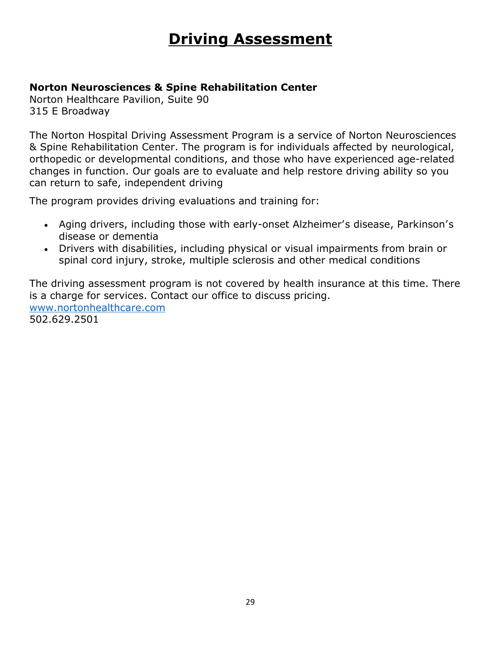# **Driving Assessment**

# **Norton Neurosciences & Spine Rehabilitation Center**

Norton Healthcare Pavilion, Suite 90 315 E Broadway

The Norton Hospital Driving Assessment Program is a service of Norton Neurosciences & Spine Rehabilitation Center. The program is for individuals affected by neurological, orthopedic or developmental conditions, and those who have experienced age-related changes in function. Our goals are to evaluate and help restore driving ability so you can return to safe, independent driving

The program provides driving evaluations and training for:

- Aging drivers, including those with early-onset Alzheimer's disease, Parkinson's disease or dementia
- Drivers with disabilities, including physical or visual impairments from brain or spinal cord injury, stroke, multiple sclerosis and other medical conditions

The driving assessment program is not covered by health insurance at this time. There is a charge for services. Contact our office to discuss pricing. [www.nortonhealthcare.com](http://www.nortonhealthcare.com/) 502.629.2501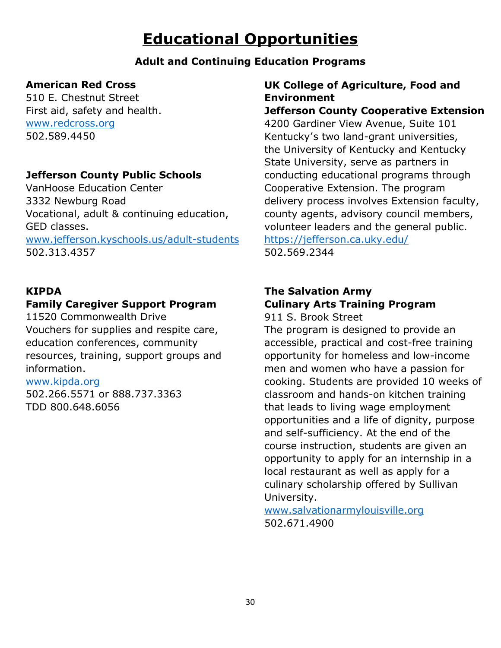# **Educational Opportunities**

# **Adult and Continuing Education Programs**

# **American Red Cross**

510 E. Chestnut Street First aid, safety and health. [www.redcross.org](http://www.redcross.org/) 502.589.4450

# **Jefferson County Public Schools**

VanHoose Education Center 3332 Newburg Road Vocational, adult & continuing education, GED classes. [www.jefferson.kyschools.us/adult-students](http://www.jefferson.kyschools.us/adult-students) 502.313.4357

#### **KIPDA**

# **Family Caregiver Support Program**

11520 Commonwealth Drive Vouchers for supplies and respite care, education conferences, community resources, training, support groups and information.

#### [www.kipda.org](http://www.kipda.org/)

502.266.5571 or 888.737.3363 TDD 800.648.6056

# **UK College of Agriculture, Food and Environment**

# **Jefferson County Cooperative Extension**

4200 Gardiner View Avenue, Suite 101 Kentucky's two land-grant universities, the [University of Kentucky](http://www.uky.edu/) and [Kentucky](http://www.kysu.edu/landgrant)  [State University,](http://www.kysu.edu/landgrant) serve as partners in conducting educational programs through Cooperative Extension. The program delivery process involves Extension faculty, county agents, advisory council members, volunteer leaders and the general public.

<https://jefferson.ca.uky.edu/>

502.569.2344

# **The Salvation Army Culinary Arts Training Program**

911 S. Brook Street

The program is designed to provide an accessible, practical and cost-free training opportunity for homeless and low-income men and women who have a passion for cooking. Students are provided 10 weeks of classroom and hands-on kitchen training that leads to living wage employment opportunities and a life of dignity, purpose and self-sufficiency. At the end of the course instruction, students are given an opportunity to apply for an internship in a local restaurant as well as apply for a culinary scholarship offered by Sullivan University.

[www.salvationarmylouisville.org](http://www.salvationarmylouisville.org/) 502.671.4900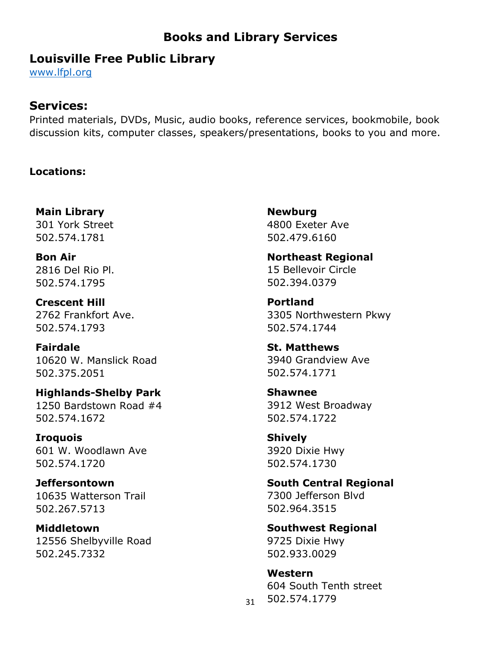# **Books and Library Services**

# **Louisville Free Public Library**

[www.lfpl.org](http://www.lfpl.org/)

# **Services:**

Printed materials, DVDs, Music, audio books, reference services, bookmobile, book discussion kits, computer classes, speakers/presentations, books to you and more.

#### **Locations:**

**Main Library** 301 York Street 502.574.1781

**Bon Air** 2816 Del Rio Pl. 502.574.1795

**Crescent Hill** 2762 Frankfort Ave. 502.574.1793

**Fairdale** 10620 W. Manslick Road 502.375.2051

**Highlands-Shelby Park** 1250 Bardstown Road #4 502.574.1672

**Iroquois** 601 W. Woodlawn Ave 502.574.1720

**Jeffersontown** 10635 Watterson Trail 502.267.5713

**Middletown** 12556 Shelbyville Road 502.245.7332

**Newburg** 4800 Exeter Ave 502.479.6160

**Northeast Regional** 15 Bellevoir Circle 502.394.0379

**Portland** 3305 Northwestern Pkwy 502.574.1744

**St. Matthews** 3940 Grandview Ave 502.574.1771

**Shawnee** 3912 West Broadway 502.574.1722

**Shively** 3920 Dixie Hwy 502.574.1730

**South Central Regional** 7300 Jefferson Blvd 502.964.3515

**Southwest Regional** 9725 Dixie Hwy 502.933.0029

**Western** 604 South Tenth street 502.574.1779

31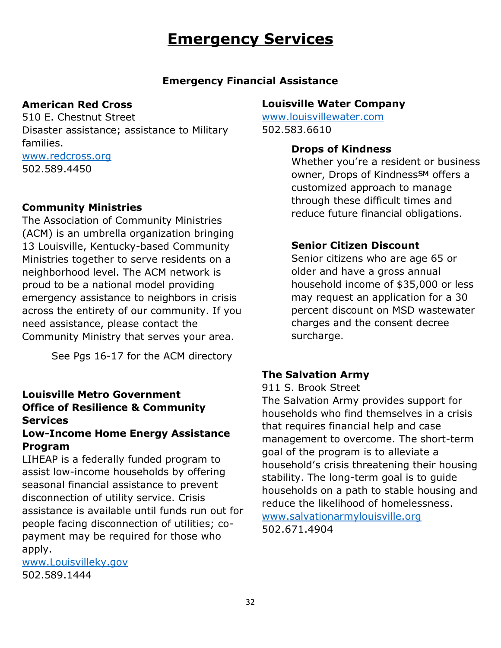# **Emergency Services**

#### **Emergency Financial Assistance**

#### **American Red Cross**

510 E. Chestnut Street Disaster assistance; assistance to Military families. [www.redcross.org](http://www.redcross.org/) 502.589.4450

#### **Community Ministries**

The Association of Community Ministries (ACM) is an umbrella organization bringing 13 Louisville, Kentucky-based Community Ministries together to serve residents on a neighborhood level. The ACM network is proud to be a national model providing emergency assistance to neighbors in crisis across the entirety of our community. If you need assistance, please contact the Community Ministry that serves your area.

See Pgs 16-17 for the ACM directory

# **Louisville Metro Government Office of Resilience & Community Services**

# **Low-Income Home Energy Assistance Program**

LIHEAP is a federally funded program to assist low-income households by offering seasonal financial assistance to prevent disconnection of utility service. Crisis assistance is available until funds run out for people facing disconnection of utilities; copayment may be required for those who apply.

[www.Louisvilleky.gov](http://www.louisvilleky.gov/) 502.589.1444

#### **Louisville Water Company**

[www.louisvillewater.com](http://www.louisvillewater.com/) 502.583.6610

#### **Drops of Kindness**

Whether you're a resident or business owner, Drops of KindnessSM offers a customized approach to manage through these difficult times and reduce future financial obligations.

#### **Senior Citizen Discount**

Senior citizens who are age 65 or older and have a gross annual household income of \$35,000 or less may request an application for a 30 percent discount on MSD wastewater charges and the consent decree surcharge.

# **The Salvation Army**

911 S. Brook Street

The Salvation Army provides support for households who find themselves in a crisis that requires financial help and case management to overcome. The short-term goal of the program is to alleviate a household's crisis threatening their housing stability. The long-term goal is to guide households on a path to stable housing and reduce the likelihood of homelessness. [www.salvationarmylouisville.org](http://www.salvationarmylouisville.org/)

502.671.4904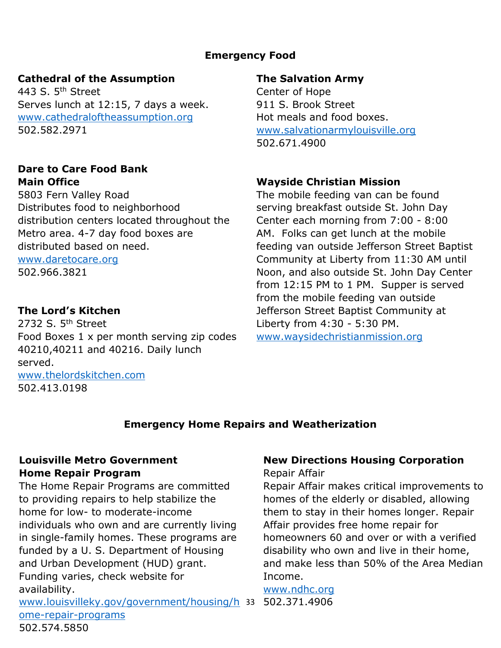# **Emergency Food**

#### **Cathedral of the Assumption**

443 S.  $5<sup>th</sup>$  Street Serves lunch at 12:15, 7 days a week. [www.cathedraloftheassumption.org](http://www.cathedraloftheassumption.org/) 502.582.2971

#### **Dare to Care Food Bank Main Office**

5803 Fern Valley Road Distributes food to neighborhood distribution centers located throughout the Metro area. 4-7 day food boxes are distributed based on need.

[www.daretocare.org](http://www.daretocare.org/) 502.966.3821

# **The Lord's Kitchen**

2732 S. 5<sup>th</sup> Street Food Boxes 1 x per month serving zip codes 40210,40211 and 40216. Daily lunch served. [www.thelordskitchen.com](http://www.thelordskitchen.com/) 502.413.0198

#### **The Salvation Army**

Center of Hope 911 S. Brook Street Hot meals and food boxes. [www.salvationarmylouisville.org](http://www.salvationarmylouisville.org/) 502.671.4900

# **Wayside Christian Mission**

The mobile feeding van can be found serving breakfast outside St. John Day Center each morning from 7:00 - 8:00 AM. Folks can get lunch at the mobile feeding van outside Jefferson Street Baptist Community at Liberty from 11:30 AM until Noon, and also outside St. John Day Center from 12:15 PM to 1 PM. Supper is served from the mobile feeding van outside Jefferson Street Baptist Community at Liberty from 4:30 - 5:30 PM. [www.waysidechristianmission.org](http://www.waysidechristianmission.org/)

# **Emergency Home Repairs and Weatherization**

# **Louisville Metro Government Home Repair Program**

The Home Repair Programs are committed to providing repairs to help stabilize the home for low- to moderate-income individuals who own and are currently living in single-family homes. These programs are funded by a U. S. Department of Housing and Urban Development (HUD) grant. Funding varies, check website for availability.

33 [www.louisvilleky.gov/government/housing/h](http://www.louisvilleky.gov/government/housing/home-repair-programs) 502.371.4906[ome-repair-programs](http://www.louisvilleky.gov/government/housing/home-repair-programs) 502.574.5850

# **New Directions Housing Corporation**

Repair Affair

Repair Affair makes critical improvements to homes of the elderly or disabled, allowing them to stay in their homes longer. Repair Affair provides free home repair for homeowners 60 and over or with a verified disability who own and live in their home, and make less than 50% of the Area Median Income.

# [www.ndhc.org](http://www.ndhc.org/)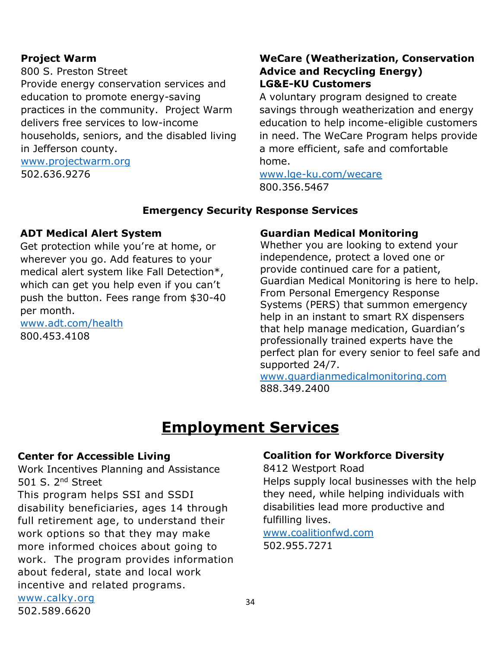#### **Project Warm**

800 S. Preston Street

Provide energy conservation services and education to promote energy-saving practices in the community. Project Warm delivers free services to low-income households, seniors, and the disabled living in Jefferson county.

#### [www.projectwarm.org](http://www.projectwarm.org/) 502.636.9276

# **WeCare (Weatherization, Conservation Advice and Recycling Energy) LG&E-KU Customers**

A voluntary program designed to create savings through weatherization and energy education to help income-eligible customers in need. The WeCare Program helps provide a more efficient, safe and comfortable home.

[www.lge-ku.com/wecare](http://www.lge-ku.com/wecare) 800.356.5467

#### **Emergency Security Response Services**

#### **ADT Medical Alert System**

Get protection while you're at home, or wherever you go. Add features to your medical alert system like Fall Detection\*, which can get you help even if you can't push the button. Fees range from \$30-40 per month.

[www.adt.com/health](http://www.adt.com/health) 800.453.4108

#### **Guardian Medical Monitoring**

Whether you are looking to extend your independence, protect a loved one or provide continued care for a patient, Guardian Medical Monitoring is here to help. From Personal Emergency Response Systems (PERS) that summon emergency help in an instant to smart RX dispensers that help manage medication, Guardian's professionally trained experts have the perfect plan for every senior to feel safe and supported 24/7.

[www.guardianmedicalmonitoring.com](http://www.guardianmedicalmonitoring.com/) 888.349.2400

# **Employment Services**

#### **Center for Accessible Living**

[www.calky.org](http://www.calky.org/) 502.589.6620

Work Incentives Planning and Assistance 501 S. 2nd Street

This program helps SSI and SSDI disability beneficiaries, ages 14 through full retirement age, to understand their work options so that they may make more informed choices about going to work. The program provides information about federal, state and local work incentive and related programs.

#### **Coalition for Workforce Diversity**

8412 Westport Road

Helps supply local businesses with the help they need, while helping individuals with disabilities lead more productive and fulfilling lives.

[www.coalitionfwd.com](http://www.coalitionfwd.com/) 502.955.7271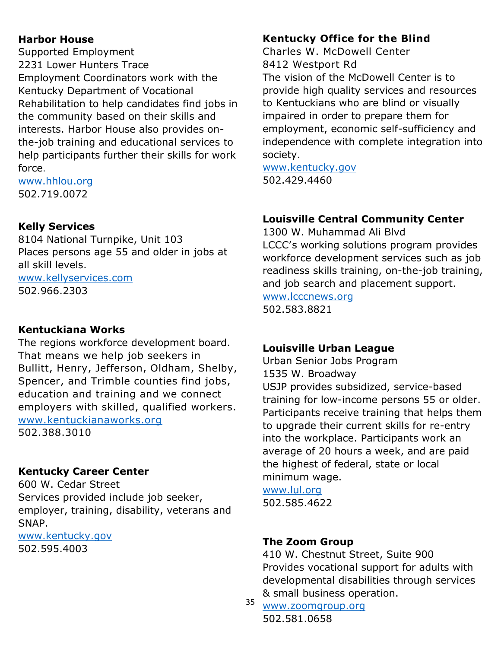# **Harbor House**

Supported Employment 2231 Lower Hunters Trace Employment Coordinators work with the Kentucky Department of Vocational Rehabilitation to help candidates find jobs in the community based on their skills and interests. Harbor House also provides onthe-job training and educational services to help participants further their skills for work force.

[www.hhlou.org](http://www.hhlou.org/) 502.719.0072

# **Kelly Services**

8104 National Turnpike, Unit 103 Places persons age 55 and older in jobs at all skill levels. [www.kellyservices.com](http://www.kellyservices.com/) 502.966.2303

# **Kentuckiana Works**

The regions workforce development board. That means we help job seekers in Bullitt, Henry, Jefferson, Oldham, Shelby, Spencer, and Trimble counties find jobs, education and training and we connect employers with skilled, qualified workers. [www.kentuckianaworks.org](http://www.kentuckianaworks.org/) 502.388.3010

# **Kentucky Career Center**

600 W. Cedar Street Services provided include job seeker, employer, training, disability, veterans and SNAP.

[www.kentucky.gov](http://www.kentucky.gov/) 502.595.4003

# **Kentucky Office for the Blind**

Charles W. McDowell Center 8412 Westport Rd

The vision of the McDowell Center is to provide high quality services and resources to Kentuckians who are blind or visually impaired in order to prepare them for employment, economic self-sufficiency and independence with complete integration into society.

[www.kentucky.gov](http://www.kentucky.gov/) 502.429.4460

# **Louisville Central Community Center**

1300 W. Muhammad Ali Blvd LCCC's working solutions program provides workforce development services such as job readiness skills training, on-the-job training, and job search and placement support.

[www.lcccnews.org](http://www.lcccnews.org/) 502.583.8821

# **Louisville Urban League**

Urban Senior Jobs Program 1535 W. Broadway USJP provides subsidized, service-based training for low-income persons 55 or older. Participants receive training that helps them

to upgrade their current skills for re-entry into the workplace. Participants work an average of 20 hours a week, and are paid the highest of federal, state or local minimum wage.

[www.lul.org](http://www.lul.org/) 502.585.4622

#### **The Zoom Group**

410 W. Chestnut Street, Suite 900 Provides vocational support for adults with developmental disabilities through services & small business operation.

35 [www.zoomgroup.org](http://www.zoomgroup.org/) 502.581.0658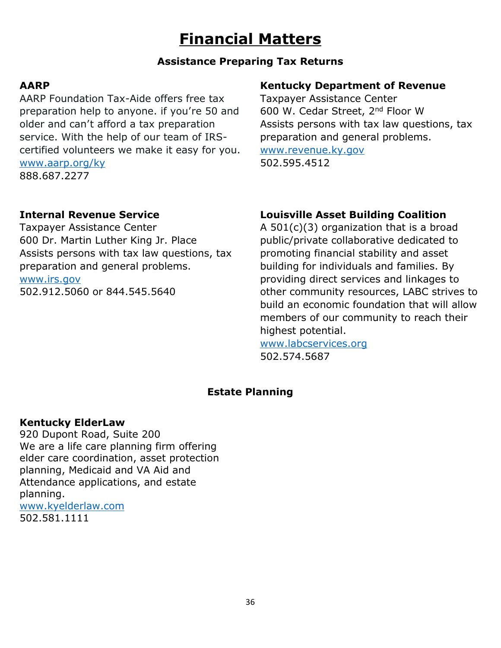# **Financial Matters**

# **Assistance Preparing Tax Returns**

# **AARP**

AARP Foundation Tax-Aide offers free tax preparation help to anyone. if you're 50 and older and can't afford a tax preparation service. With the help of our team of IRScertified volunteers we make it easy for you. [www.aarp.org/ky](http://www.aarp.org/ky) 888.687.2277

# **Internal Revenue Service**

Taxpayer Assistance Center 600 Dr. Martin Luther King Jr. Place Assists persons with tax law questions, tax preparation and general problems.

#### [www.irs.gov](http://www.irs.gov/)

502.912.5060 or 844.545.5640

# **Kentucky Department of Revenue**

Taxpayer Assistance Center 600 W. Cedar Street, 2nd Floor W Assists persons with tax law questions, tax preparation and general problems. [www.revenue.ky.gov](http://www.revenue.ky.gov/) 502.595.4512

# **Louisville Asset Building Coalition**

A  $501(c)(3)$  organization that is a broad public/private collaborative dedicated to promoting financial stability and asset building for individuals and families. By providing direct services and linkages to other community resources, LABC strives to build an economic foundation that will allow members of our community to reach their highest potential.

[www.labcservices.org](http://www.labcservices.org/) 502.574.5687

# **Estate Planning**

# **Kentucky ElderLaw**

920 Dupont Road, Suite 200 We are a life care planning firm offering elder care coordination, asset protection planning, Medicaid and VA Aid and Attendance applications, and estate planning. [www.kyelderlaw.com](http://www.kyelderlaw.com/)

502.581.1111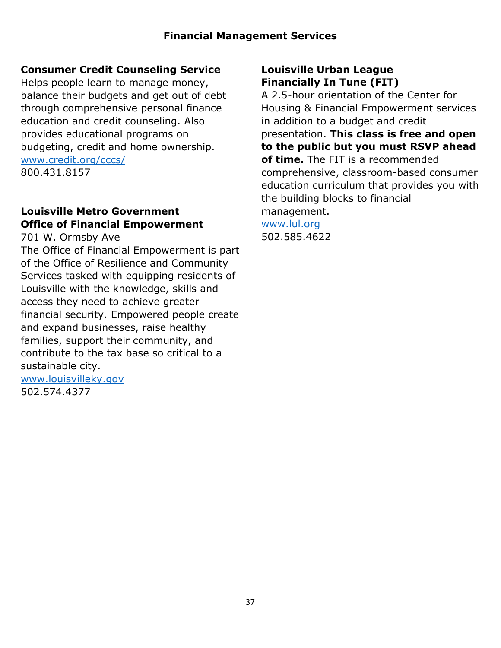# **Consumer Credit Counseling Service**

Helps people learn to manage money, balance their budgets and get out of debt through comprehensive personal finance education and credit counseling. Also provides educational programs on budgeting, credit and home ownership. [www.credit.org/cccs/](http://www.credit.org/cccs/) 800.431.8157

## **Louisville Metro Government Office of Financial Empowerment**

701 W. Ormsby Ave

The Office of Financial Empowerment is part of the Office of Resilience and Community Services tasked with equipping residents of Louisville with the knowledge, skills and access they need to achieve greater financial security. Empowered people create and expand businesses, raise healthy families, support their community, and contribute to the tax base so critical to a sustainable city.

[www.louisvilleky.gov](http://www.louisvilleky.gov/) 502.574.4377

## **Louisville Urban League Financially In Tune (FIT)**

A 2.5-hour orientation of the Center for Housing & Financial Empowerment services in addition to a budget and credit presentation. **This class is free and open to the public but you must RSVP ahead of time.** The FIT is a recommended comprehensive, classroom-based consumer education curriculum that provides you with the building blocks to financial management. [www.lul.org](http://www.lul.org/) 502.585.4622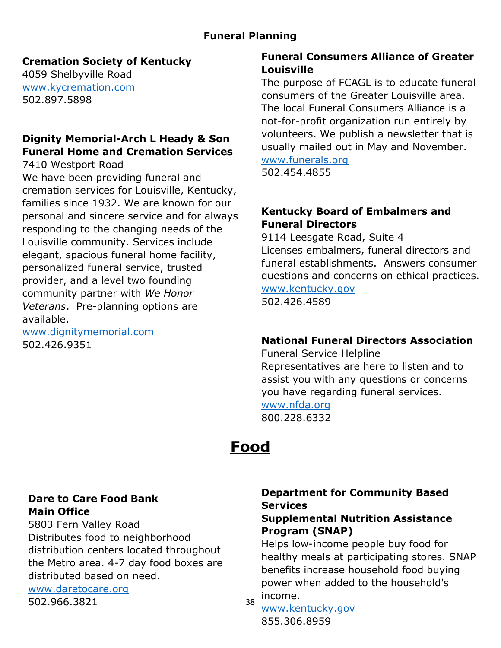# **Funeral Planning**

## **Cremation Society of Kentucky**

4059 Shelbyville Road [www.kycremation.com](http://www.kycremation.com/) 502.897.5898

# **Dignity Memorial-Arch L Heady & Son Funeral Home and Cremation Services**

7410 Westport Road

We have been providing funeral and cremation services for Louisville, Kentucky, families since 1932. We are known for our personal and sincere service and for always responding to the changing needs of the Louisville community. Services include elegant, spacious funeral home facility, personalized funeral service, trusted provider, and a level two founding community partner with *We Honor Veterans*. Pre-planning options are available.

[www.dignitymemorial.com](http://www.dignitymemorial.com/) 502.426.9351

# **Funeral Consumers Alliance of Greater Louisville**

The purpose of FCAGL is to educate funeral consumers of the Greater Louisville area. The local Funeral Consumers Alliance is a not-for-profit organization run entirely by volunteers. We publish a newsletter that is usually mailed out in May and November. [www.funerals.org](http://www.funerals.org/)

502.454.4855

# **Kentucky Board of Embalmers and Funeral Directors**

9114 Leesgate Road, Suite 4 Licenses embalmers, funeral directors and funeral establishments. Answers consumer questions and concerns on ethical practices. [www.kentucky.gov](http://www.kentucky.gov/)

502.426.4589

# **National Funeral Directors Association**

Funeral Service Helpline Representatives are here to listen and to assist you with any questions or concerns you have regarding funeral services.

[www.nfda.org](http://www.nfda.org/) 800.228.6332

# **Food**

## **Dare to Care Food Bank Main Office**

5803 Fern Valley Road Distributes food to neighborhood distribution centers located throughout the Metro area. 4-7 day food boxes are distributed based on need.

[www.daretocare.org](http://www.daretocare.org/)

502.966.3821

# **Department for Community Based Services**

## **Supplemental Nutrition Assistance Program (SNAP)**

Helps low-income people buy food for healthy meals at participating stores. SNAP benefits increase household food buying power when added to the household's income.

38 [www.kentucky.gov](http://www.kentucky.gov/) 855.306.8959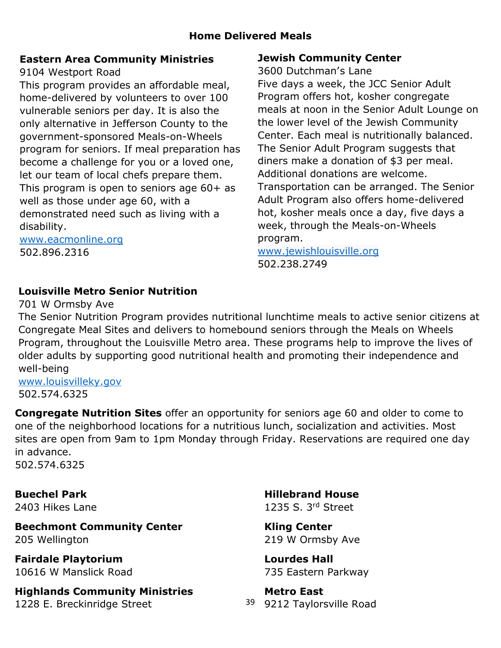# **Eastern Area Community Ministries**

9104 Westport Road

This program provides an affordable meal, home-delivered by volunteers to over 100 vulnerable seniors per day. It is also the only alternative in Jefferson County to the government-sponsored Meals-on-Wheels program for seniors. If meal preparation has become a challenge for you or a loved one, let our team of local chefs prepare them. This program is open to seniors age 60+ as well as those under age 60, with a demonstrated need such as living with a disability.

[www.eacmonline.org](http://www.eacmonline.org/) 502.896.2316

# **Jewish Community Center**

3600 Dutchman's Lane Five days a week, the JCC Senior Adult Program offers hot, kosher congregate meals at noon in the Senior Adult Lounge on the lower level of the Jewish Community Center. Each meal is nutritionally balanced. The Senior Adult Program suggests that diners make a donation of \$3 per meal. Additional donations are welcome. Transportation can be arranged. The Senior Adult Program also offers home-delivered hot, kosher meals once a day, five days a week, through the Meals-on-Wheels program.

[www.jewishlouisville.org](http://www.jewishlouisville.org/) 502.238.2749

# **Louisville Metro Senior Nutrition**

701 W Ormsby Ave

The Senior Nutrition Program provides nutritional lunchtime meals to active senior citizens at Congregate Meal Sites and delivers to homebound seniors through the Meals on Wheels Program, throughout the Louisville Metro area. These programs help to improve the lives of older adults by supporting good nutritional health and promoting their independence and well-being

[www.louisvilleky.gov](http://www.louisvilleky.gov/) 502.574.6325

**Congregate Nutrition Sites** offer an opportunity for seniors age 60 and older to come to one of the neighborhood locations for a nutritious lunch, socialization and activities. Most sites are open from 9am to 1pm Monday through Friday. Reservations are required one day in advance. 502.574.6325

**Buechel Park**  2403 Hikes Lane

**Beechmont Community Center** 205 Wellington

**Fairdale Playtorium** 10616 W Manslick Road

**Highlands Community Ministries**  1228 E. Breckinridge Street

**Hillebrand House**  1235 S. 3rd Street

**Kling Center** 219 W Ormsby Ave

**Lourdes Hall**  735 Eastern Parkway

39 9212 Taylorsville Road **Metro East**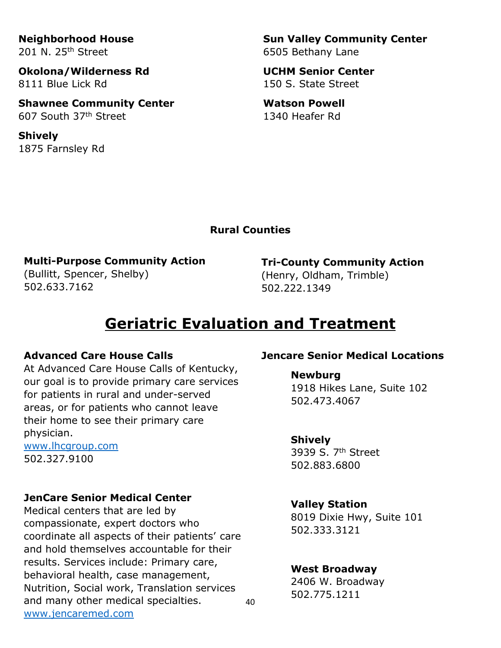**Neighborhood House**  201 N. 25th Street

**Okolona/Wilderness Rd**  8111 Blue Lick Rd

**Shawnee Community Center** 607 South 37th Street

**Shively**  1875 Farnsley Rd **Sun Valley Community Center**  6505 Bethany Lane

**UCHM Senior Center**  150 S. State Street

**Watson Powell**  1340 Heafer Rd

#### **Rural Counties**

**Multi-Purpose Community Action** (Bullitt, Spencer, Shelby) 502.633.7162

**Tri-County Community Action** (Henry, Oldham, Trimble) 502.222.1349

# **Geriatric Evaluation and Treatment**

#### **Advanced Care House Calls**

At Advanced Care House Calls of Kentucky, our goal is to provide primary care services for patients in rural and under-served areas, or for patients who cannot leave their home to see their primary care physician.

[www.lhcgroup.com](http://www.lhcgroup.com/) 502.327.9100

#### **JenCare Senior Medical Center**

Medical centers that are led by compassionate, expert doctors who coordinate all aspects of their patients' care and hold themselves accountable for their results. Services include: Primary care, behavioral health, case management, Nutrition, Social work, Translation services and many other medical specialties. [www.jencaremed.com](http://www.jencaremed.com/)

#### **Jencare Senior Medical Locations**

**Newburg**

1918 Hikes Lane, Suite 102 502.473.4067

#### **Shively**

3939 S. 7th Street 502.883.6800

#### **Valley Station**

8019 Dixie Hwy, Suite 101 502.333.3121

#### **West Broadway**

2406 W. Broadway 502.775.1211

40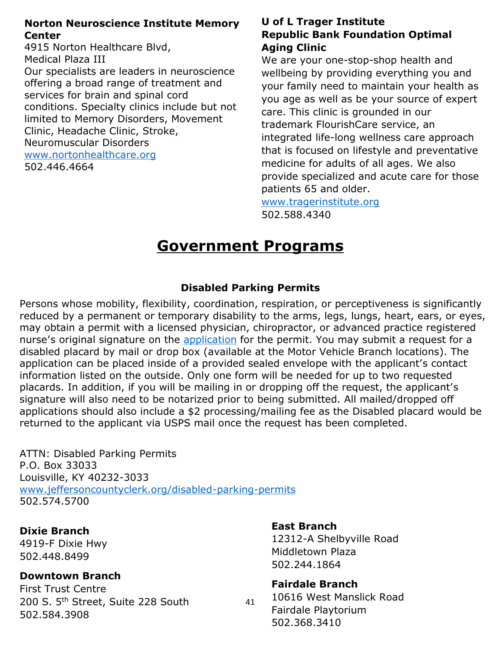#### **Norton Neuroscience Institute Memory Center**

4915 Norton Healthcare Blvd, Medical Plaza III Our specialists are leaders in neuroscience offering a broad range of treatment and services for brain and spinal cord conditions. Specialty clinics include but not limited to Memory Disorders, Movement Clinic, Headache Clinic, Stroke, Neuromuscular Disorders [www.nortonhealthcare.org](http://www.nortonhealthcare.org/) 502.446.4664

### **U of L Trager Institute Republic Bank Foundation Optimal Aging Clinic**

We are your one-stop-shop health and wellbeing by providing everything you and your family need to maintain your health as you age as well as be your source of expert care. This clinic is grounded in our trademark FlourishCare service, an integrated life-long wellness care approach that is focused on lifestyle and preventative medicine for adults of all ages. We also provide specialized and acute care for those patients 65 and older.

[www.tragerinstitute.org](http://www.tragerinstitute.org/) 502.588.4340

# **Government Programs**

## **Disabled Parking Permits**

Persons whose mobility, flexibility, coordination, respiration, or perceptiveness is significantly reduced by a permanent or temporary disability to the arms, legs, lungs, heart, ears, or eyes, may obtain a permit with a licensed physician, chiropractor, or advanced practice registered nurse's original signature on the [application](file:///C:/Users/ahwoosley/OneDrive%20-%20Louisville%20Jefferson%20County%20Metro%20Government/Desktop/May%20OADC%20Newsletter/TC%2096-347%20-%20Disabled%20Placard%20Application%20as%20of%205-2020.pdf) for the permit. You may submit a request for a disabled placard by mail or drop box (available at the Motor Vehicle Branch locations). The application can be placed inside of a provided sealed envelope with the applicant's contact information listed on the outside. Only one form will be needed for up to two requested placards. In addition, if you will be mailing in or dropping off the request, the applicant's signature will also need to be notarized prior to being submitted. All mailed/dropped off applications should also include a \$2 processing/mailing fee as the Disabled placard would be returned to the applicant via USPS mail once the request has been completed.

ATTN: Disabled Parking Permits P.O. Box 33033 Louisville, KY 40232-3033 [www.jeffersoncountyclerk.org/disabled-parking-permits](http://www.jeffersoncountyclerk.org/disabled-parking-permits) 502.574.5700

#### **Dixie Branch**

4919-F Dixie Hwy 502.448.8499

## **Downtown Branch**

First Trust Centre 200 S. 5<sup>th</sup> Street, Suite 228 South 502.584.3908

#### **East Branch**

12312-A Shelbyville Road Middletown Plaza 502.244.1864

## **Fairdale Branch**

41 10616 West Manslick Road Fairdale Playtorium 502.368.3410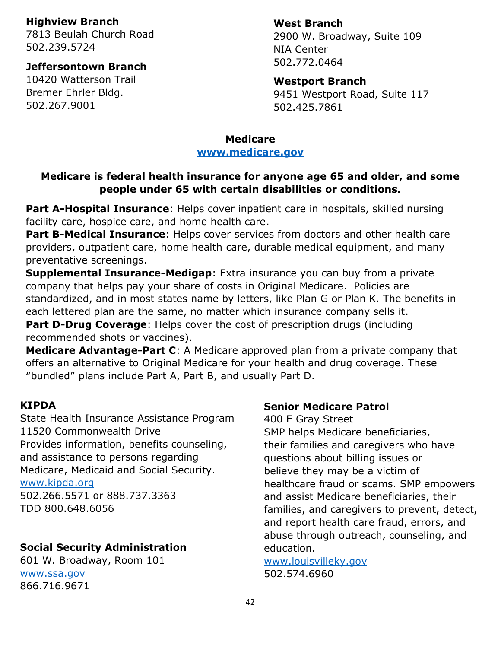#### **Highview Branch**

7813 Beulah Church Road 502.239.5724

#### **Jeffersontown Branch**

10420 Watterson Trail Bremer Ehrler Bldg. 502.267.9001

#### **West Branch**

2900 W. Broadway, Suite 109 NIA Center 502.772.0464

#### **Westport Branch**

9451 Westport Road, Suite 117 502.425.7861

# **Medicare**

# **[www.medicare.gov](http://www.medicare.gov/)**

## **Medicare is federal health insurance for anyone age 65 and older, and some people under 65 with certain disabilities or conditions.**

**Part A-Hospital Insurance**: Helps cover inpatient care in hospitals, skilled nursing facility care, hospice care, and home health care.

**Part B-Medical Insurance**: Helps cover services from doctors and other health care providers, outpatient care, home health care, durable medical equipment, and many preventative screenings.

**Supplemental Insurance-Medigap**: Extra insurance you can buy from a private company that helps pay your share of costs in Original Medicare. Policies are standardized, and in most states name by letters, like Plan G or Plan K. The benefits in each lettered plan are the same, no matter which insurance company sells it. **Part D-Drug Coverage**: Helps cover the cost of prescription drugs (including recommended shots or vaccines).

**Medicare Advantage-Part C**: A Medicare approved plan from a private company that offers an alternative to Original Medicare for your health and drug coverage. These "bundled" plans include Part A, Part B, and usually Part D.

#### **KIPDA**

State Health Insurance Assistance Program 11520 Commonwealth Drive Provides information, benefits counseling, and assistance to persons regarding Medicare, Medicaid and Social Security. [www.kipda.org](http://www.kipda.org/) 502.266.5571 or 888.737.3363 TDD 800.648.6056

## **Social Security Administration**

601 W. Broadway, Room 101 [www.ssa.gov](http://www.ssa.gov/) 866.716.9671

#### **Senior Medicare Patrol**

400 E Gray Street SMP helps Medicare beneficiaries, their families and caregivers who have questions about billing issues or believe they may be a victim of healthcare fraud or scams. SMP empowers and assist Medicare beneficiaries, their families, and caregivers to prevent, detect, and report health care fraud, errors, and abuse through outreach, counseling, and education.

[www.louisvilleky.gov](http://www.louisvilleky.gov/) 502.574.6960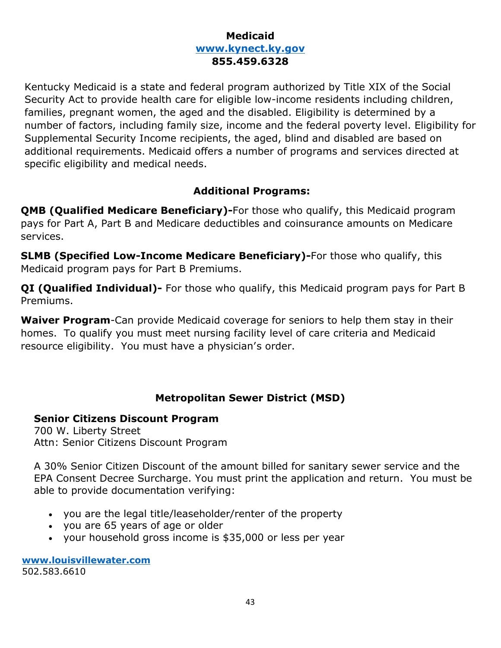## **Medicaid [www.kynect.ky.gov](http://www.kynect.ky.gov/) 855.459.6328**

Kentucky Medicaid is a state and federal program authorized by Title XIX of the Social Security Act to provide health care for eligible low-income residents including children, families, pregnant women, the aged and the disabled. Eligibility is determined by a number of factors, including family size, income and the federal poverty level. Eligibility for Supplemental Security Income recipients, the aged, blind and disabled are based on additional requirements. Medicaid offers a number of programs and services directed at specific eligibility and medical needs.

## **Additional Programs:**

**QMB (Qualified Medicare Beneficiary)-**For those who qualify, this Medicaid program pays for Part A, Part B and Medicare deductibles and coinsurance amounts on Medicare services.

**SLMB (Specified Low-Income Medicare Beneficiary)-**For those who qualify, this Medicaid program pays for Part B Premiums.

**QI (Qualified Individual)-** For those who qualify, this Medicaid program pays for Part B Premiums.

**Waiver Program**-Can provide Medicaid coverage for seniors to help them stay in their homes. To qualify you must meet nursing facility level of care criteria and Medicaid resource eligibility. You must have a physician's order.

# **Metropolitan Sewer District (MSD)**

## **Senior Citizens Discount Program**

700 W. Liberty Street Attn: Senior Citizens Discount Program

A 30% Senior Citizen Discount of the amount billed for sanitary sewer service and the EPA Consent Decree Surcharge. You must print the application and return. You must be able to provide documentation verifying:

- you are the legal title/leaseholder/renter of the property
- you are 65 years of age or older
- your household gross income is \$35,000 or less per year

**[www.louisvillewater.com](http://www.louisvillewater.com/)** 502.583.6610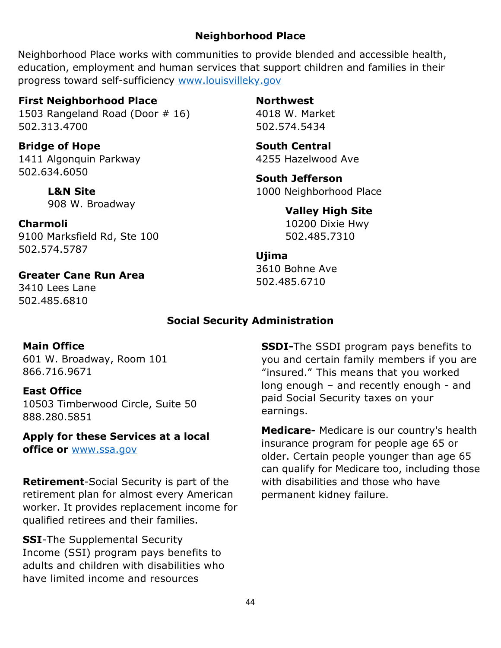## **Neighborhood Place**

Neighborhood Place works with communities to provide blended and accessible health, education, employment and human services that support children and families in their progress toward self-sufficiency [www.louisvilleky.gov](http://www.louisvilleky.gov/)

#### **First Neighborhood Place**

1503 Rangeland Road (Door # 16) 502.313.4700

**Bridge of Hope**  1411 Algonquin Parkway 502.634.6050

> **L&N Site** 908 W. Broadway

**Charmoli** 9100 Marksfield Rd, Ste 100 502.574.5787

**Greater Cane Run Area** 3410 Lees Lane

502.485.6810

#### **Northwest**

4018 W. Market 502.574.5434

**South Central** 4255 Hazelwood Ave

**South Jefferson** 1000 Neighborhood Place

**Valley High Site**

10200 Dixie Hwy 502.485.7310

#### **Ujima**

3610 Bohne Ave 502.485.6710

#### **Social Security Administration**

#### **Main Office**

601 W. Broadway, Room 101 866.716.9671

#### **East Office**

10503 Timberwood Circle, Suite 50 888.280.5851

**Apply for these Services at a local office or** [www.ssa.gov](http://www.ssa.gov/)

**Retirement**-Social Security is part of the retirement plan for almost every American worker. It provides replacement income for qualified retirees and their families.

**SSI**-The [Supplemental Security](https://www.ssa.gov/benefits/ssi/)  [Income](https://www.ssa.gov/benefits/ssi/) (SSI) program pays benefits to adults and children with disabilities who have limited income and resources

**SSDI-**The SSDI program pays benefits to you and certain [family members](https://www.ssa.gov/benefits/disability/family.html) if you are "insured." This means that you worked long enough – and recently enough - and paid Social Security taxes on your earnings.

**Medicare-** Medicare is our country's health insurance program for people age 65 or older. Certain people younger than age 65 can qualify for Medicare too, including those with disabilities and those who have permanent kidney failure.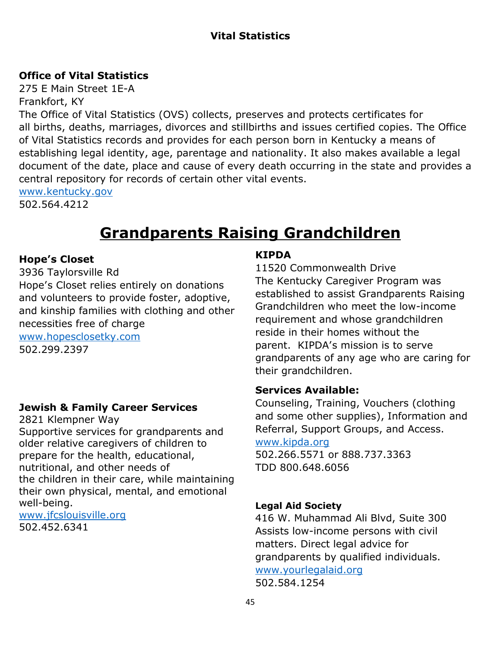# **Vital Statistics**

## **Office of Vital Statistics**

275 E Main Street 1E-A Frankfort, KY The Office of Vital Statistics (OVS) collects, preserves and protects certificates for all [births,](https://chfs.ky.gov/agencies/dph/dehp/vsb/Pages/birth-certificates.aspx) [deaths,](https://chfs.ky.gov/agencies/dph/dehp/vsb/Pages/death-certificates.aspx) [marriages, divorces](https://chfs.ky.gov/agencies/dph/dehp/vsb/Pages/marriage-divorce.aspx) and [stillbirths](https://chfs.ky.gov/agencies/dph/dehp/vsb/Pages/birth-certificates.aspx) and issues certified copies. The Office of Vital Statistics records and provides for each person born in Kentucky a means of establishing legal identity, age, parentage and nationality. It also makes available a legal document of the date, place and cause of every death occurring in the state and provides a central repository for records of certain other vital events. [www.kentucky.gov](http://www.kentucky.gov/)

502.564.4212

# **Grandparents Raising Grandchildren**

#### **Hope's Closet**

#### 3936 Taylorsville Rd

Hope's Closet relies entirely on donations and volunteers to provide foster, adoptive, and kinship families with clothing and other necessities free of charge [www.hopesclosetky.com](http://www.hopesclosetky.com/)

502.299.2397

## **Jewish & Family Career Services**

2821 Klempner Way Supportive services for grandparents and older relative caregivers of children to prepare for the health, educational, nutritional, and other needs of the children in their care, while maintaining their own physical, mental, and emotional well-being.

[www.jfcslouisville.org](http://www.jfcslouisville.org/) 502.452.6341

## **KIPDA**

11520 Commonwealth Drive The Kentucky Caregiver Program was established to assist Grandparents Raising Grandchildren who meet the low-income requirement and whose grandchildren reside in their homes without the parent. KIPDA's mission is to serve grandparents of any age who are caring for their grandchildren.

## **Services Available:**

Counseling, Training, Vouchers (clothing and some other supplies), Information and Referral, Support Groups, and Access. [www.kipda.org](http://www.kipda.org/) 502.266.5571 or 888.737.3363

TDD 800.648.6056

#### **Legal Aid Society**

416 W. Muhammad Ali Blvd, Suite 300 Assists low-income persons with civil matters. Direct legal advice for grandparents by qualified individuals. [www.yourlegalaid.org](http://www.yourlegalaid.org/) 502.584.1254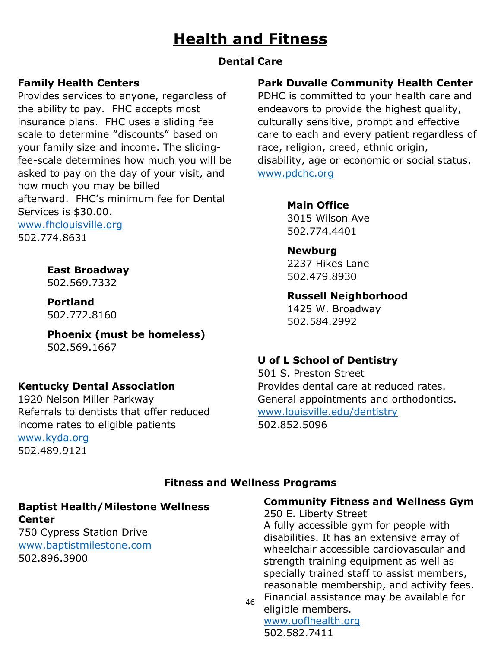# **Health and Fitness**

# **Dental Care**

# **Family Health Centers**

Provides services to anyone, regardless of the ability to pay. FHC accepts most insurance plans. FHC uses a sliding fee scale to determine "discounts" based on your family size and income. The slidingfee-scale determines how much you will be asked to pay on the day of your visit, and how much you may be billed afterward. FHC's minimum fee for Dental Services is \$30.00.

[www.fhclouisville.org](http://www.fhclouisville.org/) 502.774.8631

**East Broadway**

502.569.7332

**Portland** 502.772.8160

**Phoenix (must be homeless)** 502.569.1667

# **Kentucky Dental Association**

1920 Nelson Miller Parkway Referrals to dentists that offer reduced income rates to eligible patients [www.kyda.org](http://www.kyda.org/) 502.489.9121

# **Park Duvalle Community Health Center**

PDHC is committed to your health care and endeavors to provide the highest quality, culturally sensitive, prompt and effective care to each and every patient regardless of race, religion, creed, ethnic origin, disability, age or economic or social status. [www.pdchc.org](http://www.pdchc.org/)

### **Main Office**

3015 Wilson Ave 502.774.4401

## **Newburg**

2237 Hikes Lane 502.479.8930

### **Russell Neighborhood**

1425 W. Broadway 502.584.2992

# **U of L School of Dentistry**

501 S. Preston Street Provides dental care at reduced rates. General appointments and orthodontics. [www.louisville.edu/dentistry](http://www.louisville.edu/dentistry) 502.852.5096

## **Fitness and Wellness Programs**

#### **Baptist Health/Milestone Wellness Center**

750 Cypress Station Drive [www.baptistmilestone.com](http://www.baptistmilestone.com/) 502.896.3900

# **Community Fitness and Wellness Gym**

250 E. Liberty Street A fully accessible gym for people with disabilities. It has an extensive array of wheelchair accessible cardiovascular and strength training equipment as well as specially trained staff to assist members, reasonable membership, and activity fees.

46 Financial assistance may be available for eligible members.

[www.uoflhealth.org](http://www.uoflhealth.org/) 502.582.7411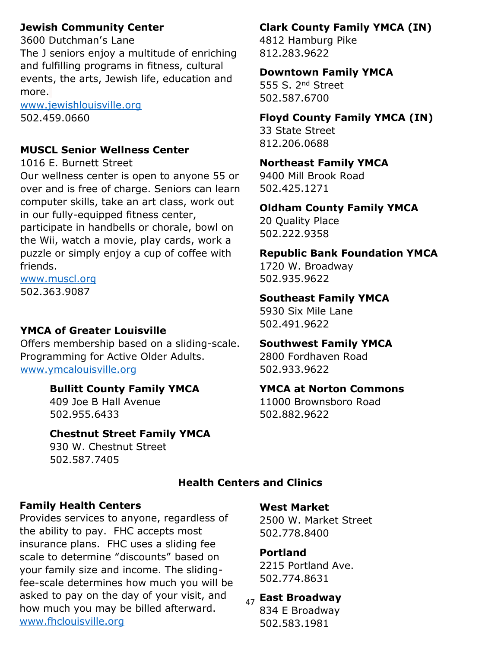## **Jewish Community Center**

3600 Dutchman's Lane The J seniors enjoy a multitude of enriching and fulfilling programs in fitness, cultural events, the arts, Jewish life, education and more.

[www.jewishlouisville.org](http://www.jewishlouisville.org/) 502.459.0660

#### **MUSCL Senior Wellness Center**

#### 1016 E. Burnett Street

Our wellness center is open to anyone 55 or over and is free of charge. Seniors can learn computer skills, take an art class, work out in our fully-equipped fitness center, participate in handbells or chorale, bowl on the Wii, watch a movie, play cards, work a puzzle or simply enjoy a cup of coffee with friends.

[www.muscl.org](http://www.muscl.org/)

502.363.9087

#### **YMCA of Greater Louisville**

Offers membership based on a sliding-scale. Programming for Active Older Adults. [www.ymcalouisville.org](http://www.ymcalouisville.org/)

#### **Bullitt County Family YMCA**

409 Joe B Hall Avenue 502.955.6433

#### **Chestnut Street Family YMCA**

930 W. Chestnut Street 502.587.7405

# **Clark County Family YMCA (IN)**

4812 Hamburg Pike 812.283.9622

#### **Downtown Family YMCA**

555 S. 2<sup>nd</sup> Street 502.587.6700

### **Floyd County Family YMCA (IN)**

33 State Street 812.206.0688

#### **Northeast Family YMCA**

9400 Mill Brook Road 502.425.1271

#### **Oldham County Family YMCA**

20 Quality Place 502.222.9358

#### **Republic Bank Foundation YMCA**

1720 W. Broadway 502.935.9622

#### **Southeast Family YMCA**

5930 Six Mile Lane 502.491.9622

#### **Southwest Family YMCA**

2800 Fordhaven Road 502.933.9622

## **YMCA at Norton Commons**

11000 Brownsboro Road 502.882.9622

## **Health Centers and Clinics**

#### **Family Health Centers**

Provides services to anyone, regardless of the ability to pay. FHC accepts most insurance plans. FHC uses a sliding fee scale to determine "discounts" based on your family size and income. The slidingfee-scale determines how much you will be asked to pay on the day of your visit, and how much you may be billed afterward. [www.fhclouisville.org](http://www.fhclouisville.org/)

#### **West Market**

2500 W. Market Street 502.778.8400

#### **Portland**

2215 Portland Ave. 502.774.8631

47 **East Broadway**

834 E Broadway 502.583.1981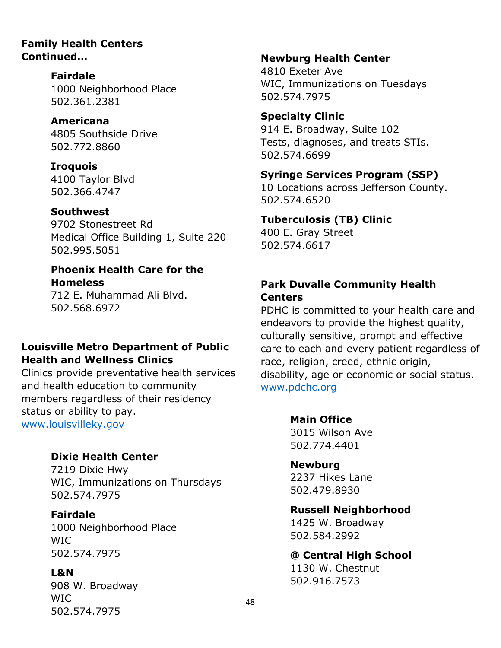#### **Family Health Centers Continued…**

**Fairdale**

1000 Neighborhood Place 502.361.2381

**Americana** 4805 Southside Drive 502.772.8860

**Iroquois** 4100 Taylor Blvd 502.366.4747

**Southwest** 9702 Stonestreet Rd

Medical Office Building 1, Suite 220 502.995.5051

# **Phoenix Health Care for the Homeless**

712 E. Muhammad Ali Blvd. 502.568.6972

# **Louisville Metro Department of Public Health and Wellness Clinics**

Clinics provide preventative health services and health education to community members regardless of their residency status or ability to pay. [www.louisvilleky.gov](http://www.louisvilleky.gov/)

**Dixie Health Center**

7219 Dixie Hwy WIC, Immunizations on Thursdays 502.574.7975

**Fairdale**  1000 Neighborhood Place WIC 502.574.7975

**L&N** 908 W. Broadway WIC 502.574.7975

#### **Newburg Health Center**

4810 Exeter Ave WIC, Immunizations on Tuesdays 502.574.7975

**Specialty Clinic** 914 E. Broadway, Suite 102 Tests, diagnoses, and treats STIs. 502.574.6699

## **Syringe Services Program (SSP)**

10 Locations across Jefferson County. 502.574.6520

## **Tuberculosis (TB) Clinic**

400 E. Gray Street 502.574.6617

## **Park Duvalle Community Health Centers**

PDHC is committed to your health care and endeavors to provide the highest quality, culturally sensitive, prompt and effective care to each and every patient regardless of race, religion, creed, ethnic origin, disability, age or economic or social status. [www.pdchc.org](http://www.pdchc.org/)

> **Main Office** 3015 Wilson Ave 502.774.4401

**Newburg** 2237 Hikes Lane 502.479.8930

**Russell Neighborhood** 1425 W. Broadway 502.584.2992

**@ Central High School** 1130 W. Chestnut 502.916.7573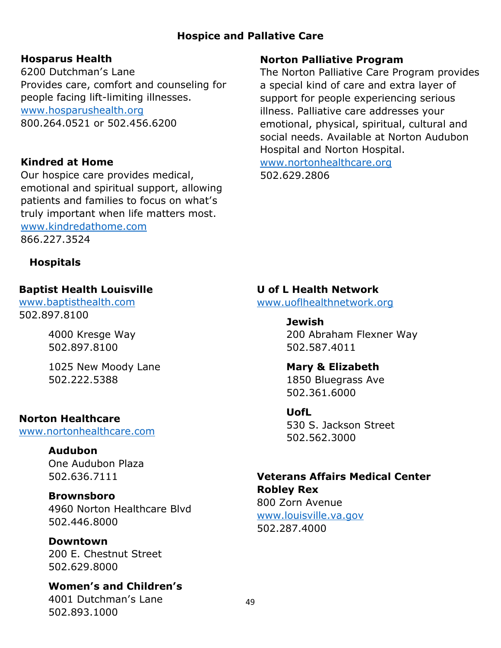## **Hospice and Pallative Care**

## **Hosparus Health**

6200 Dutchman's Lane Provides care, comfort and counseling for people facing lift-limiting illnesses. [www.hosparushealth.org](http://www.hosparushealth.org/) 800.264.0521 or 502.456.6200

## **Kindred at Home**

Our hospice care provides medical, emotional and spiritual support, allowing patients and families to focus on what's truly important when life matters most. [www.kindredathome.com](http://www.kindredathome.com/) 866.227.3524

## **Hospitals**

## **Baptist Health Louisville**

[www.baptisthealth.com](http://www.baptisthealth.com/) 502.897.8100

> 4000 Kresge Way 502.897.8100

1025 New Moody Lane 502.222.5388

## **Norton Healthcare**

[www.nortonhealthcare.com](http://www.nortonhealthcare.com/)

## **Audubon**

One Audubon Plaza 502.636.7111

## **Brownsboro**

4960 Norton Healthcare Blvd 502.446.8000

**Downtown** 200 E. Chestnut Street 502.629.8000

**Women's and Children's** 4001 Dutchman's Lane 502.893.1000

# **Norton Palliative Program**

The Norton Palliative Care Program provides a special kind of care and extra layer of support for people experiencing serious illness. Palliative care addresses your emotional, physical, spiritual, cultural and social needs. Available at Norton Audubon Hospital and Norton Hospital.

[www.nortonhealthcare.org](http://www.nortonhealthcare.org/) 502.629.2806

# **U of L Health Network**

[www.uoflhealthnetwork.org](http://www.uoflhealthnetwork.org/)

**Jewish**  200 Abraham Flexner Way 502.587.4011

## **Mary & Elizabeth**

1850 Bluegrass Ave 502.361.6000

#### **UofL**

530 S. Jackson Street 502.562.3000

# **Veterans Affairs Medical Center Robley Rex**

800 Zorn Avenue [www.louisville.va.gov](http://www.louisville.va.gov/) 502.287.4000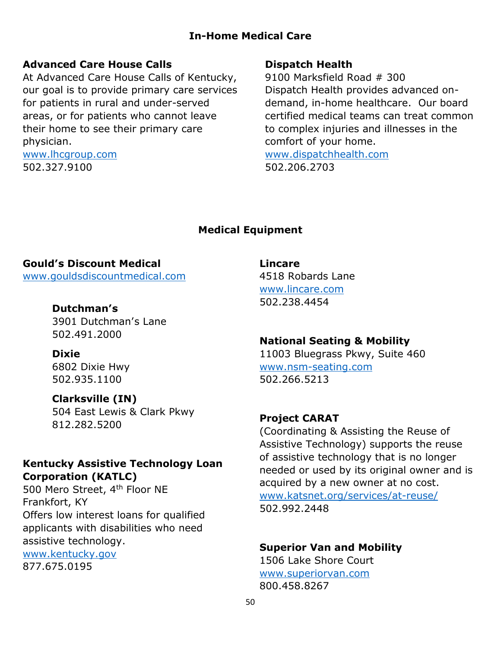## **In-Home Medical Care**

#### **Advanced Care House Calls**

At Advanced Care House Calls of Kentucky, our goal is to provide primary care services for patients in rural and under-served areas, or for patients who cannot leave their home to see their primary care physician.

[www.lhcgroup.com](http://www.lhcgroup.com/) 502.327.9100

#### **Dispatch Health**

9100 Marksfield Road # 300 Dispatch Health provides advanced ondemand, in-home healthcare. Our board certified medical teams can treat common to complex injuries and illnesses in the comfort of your home. [www.dispatchhealth.com](http://www.dispatchhealth.com/)

502.206.2703

#### **Medical Equipment**

#### **Gould's Discount Medical**

[www.gouldsdiscountmedical.com](http://www.gouldsdiscountmedical.com/)

#### **Dutchman's**

3901 Dutchman's Lane 502.491.2000

#### **Dixie**

6802 Dixie Hwy 502.935.1100

#### **Clarksville (IN)**

504 East Lewis & Clark Pkwy 812.282.5200

## **Kentucky Assistive Technology Loan Corporation (KATLC)**

500 Mero Street, 4<sup>th</sup> Floor NE Frankfort, KY Offers low interest loans for qualified applicants with disabilities who need assistive technology.

[www.kentucky.gov](http://www.kentucky.gov/) 877.675.0195

**Lincare** 4518 Robards Lane

[www.lincare.com](http://www.lincare.com/) 502.238.4454

#### **National Seating & Mobility**

11003 Bluegrass Pkwy, Suite 460 [www.nsm-seating.com](http://www.nsm-seating.com/) 502.266.5213

#### **Project CARAT**

(Coordinating & Assisting the Reuse of Assistive Technology) supports the reuse of assistive technology that is no longer needed or used by its original owner and is acquired by a new owner at no cost. [www.katsnet.org/services/at-reuse/](http://www.katsnet.org/services/at-reuse/) 502.992.2448

# **Superior Van and Mobility**

1506 Lake Shore Court [www.superiorvan.com](http://www.superiorvan.com/) 800.458.8267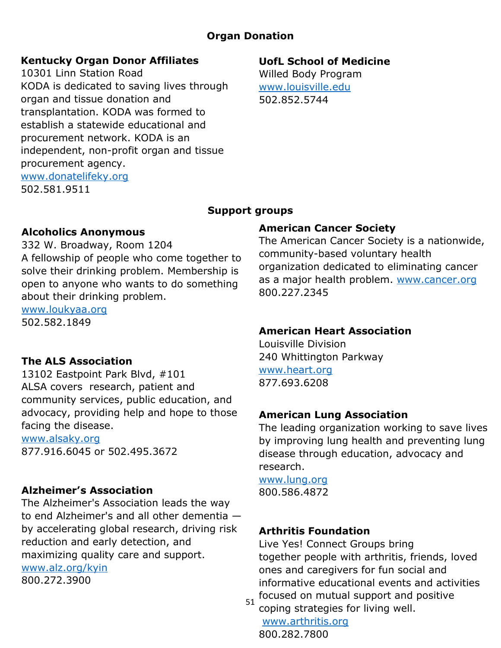## **Organ Donation**

### **Kentucky Organ Donor Affiliates**

10301 Linn Station Road KODA is dedicated to saving lives through organ and tissue donation and transplantation. KODA was formed to establish a statewide educational and procurement network. KODA is an independent, non-profit organ and tissue procurement agency. [www.donatelifeky.org](http://www.donatelifeky.org/) 502.581.9511

# **UofL School of Medicine**

Willed Body Program [www.louisville.edu](http://www.louisville.edu/) 502.852.5744

### **Support groups**

#### **Alcoholics Anonymous**

332 W. Broadway, Room 1204 A fellowship of people who come together to solve their drinking problem. Membership is open to anyone who wants to do something about their drinking problem.

[www.loukyaa.org](http://www.loukyaa.org/) 502.582.1849

## **The ALS Association**

13102 Eastpoint Park Blvd, #101 ALSA covers research, patient and community services, public education, and advocacy, providing help and hope to those facing the disease.

[www.alsaky.org](http://www.alsaky.org/) 877.916.6045 or 502.495.3672

## **Alzheimer's Association**

The Alzheimer's Association leads the way to end Alzheimer's and all other dementia by accelerating global research, driving risk reduction and early detection, and maximizing quality care and support. [www.alz.org/kyin](http://www.alz.org/kyin) 800.272.3900

## **American Cancer Society**

The American Cancer Society is a nationwide, community-based voluntary health organization dedicated to eliminating cancer as a major health problem. [www.cancer.org](http://www.cancer.org/) 800.227.2345

#### **American Heart Association**

Louisville Division 240 Whittington Parkway [www.heart.org](http://www.heart.org/) 877.693.6208

## **American Lung Association**

The leading organization working to save lives by improving lung health and preventing lung disease through education, advocacy and research.

[www.lung.org](http://www.lung.org/) 800.586.4872

## **Arthritis Foundation**

Live Yes! Connect Groups bring together people with arthritis, friends, loved ones and caregivers for fun social and informative educational events and activities focused on mutual support and positive

51 coping strategies for living well. [www.arthritis.org](http://www.arthritis.org/)

800.282.7800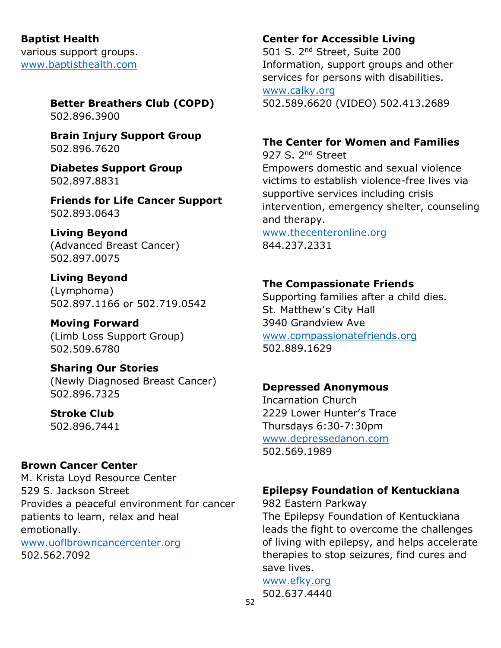**Baptist Health** various support groups. [www.baptisthealth.com](http://www.baptisthealth.com/)

# **Better Breathers Club (COPD)**

502.896.3900

**Brain Injury Support Group** 502.896.7620

**Diabetes Support Group** 502.897.8831

**Friends for Life Cancer Support** 502.893.0643

# **Living Beyond**

(Advanced Breast Cancer) 502.897.0075

**Living Beyond** (Lymphoma) 502.897.1166 or 502.719.0542

**Moving Forward** (Limb Loss Support Group) 502.509.6780

**Sharing Our Stories** (Newly Diagnosed Breast Cancer) 502.896.7325

**Stroke Club** 502.896.7441

# **Brown Cancer Center**

M. Krista Loyd Resource Center 529 S. Jackson Street Provides a peaceful environment for cancer patients to learn, relax and heal emotionally. [www.uoflbrowncancercenter.org](http://www.uoflbrowncancercenter.org/) 502.562.7092

# **Center for Accessible Living**

501 S. 2nd Street, Suite 200 Information, support groups and other services for persons with disabilities. [www.calky.org](http://www.calky.org/) 502.589.6620 (VIDEO) 502.413.2689

# **The Center for Women and Families**

927 S. 2<sup>nd</sup> Street Empowers domestic and sexual violence victims to establish violence-free lives via supportive services including crisis intervention, emergency shelter, counseling and therapy.

[www.thecenteronline.org](http://www.thecenteronline.org/) 844.237.2331

# **The Compassionate Friends**

Supporting families after a child dies. St. Matthew's City Hall 3940 Grandview Ave [www.compassionatefriends.org](http://www.compassionatefriends.org/) 502.889.1629

# **Depressed Anonymous**

Incarnation Church 2229 Lower Hunter's Trace Thursdays 6:30-7:30pm [www.depressedanon.com](http://www.depressedanon.com/) 502.569.1989

# **Epilepsy Foundation of Kentuckiana**

982 Eastern Parkway The Epilepsy Foundation of Kentuckiana leads the fight to overcome the challenges of living with epilepsy, and helps accelerate therapies to stop seizures, find cures and save lives.

[www.efky.org](http://www.efky.org/) 502.637.4440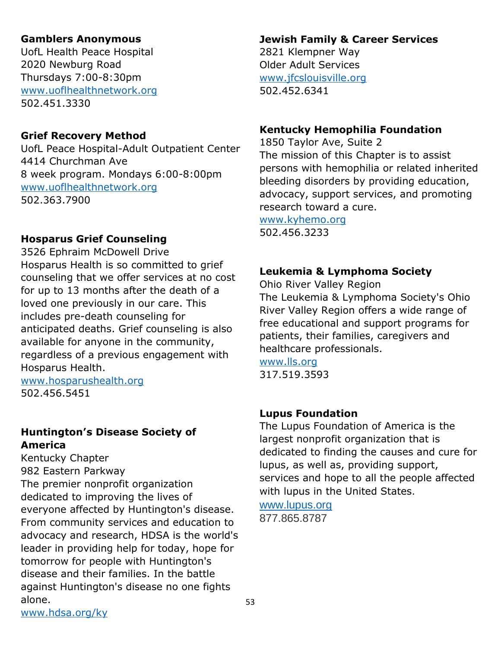## **Gamblers Anonymous**

UofL Health Peace Hospital 2020 Newburg Road Thursdays 7:00-8:30pm [www.uoflhealthnetwork.org](http://www.uoflhealthnetwork.org/) 502.451.3330

#### **Grief Recovery Method**

UofL Peace Hospital-Adult Outpatient Center 4414 Churchman Ave 8 week program. Mondays 6:00-8:00pm [www.uoflhealthnetwork.org](http://www.uoflhealthnetwork.org/) 502.363.7900

# **Hosparus Grief Counseling**

3526 Ephraim McDowell Drive Hosparus Health is so committed to grief counseling that we offer services at no cost for up to 13 months after the death of a loved one previously in our care. This includes pre-death counseling for anticipated deaths. Grief counseling is also available for anyone in the community, regardless of a previous engagement with Hosparus Health.

[www.hosparushealth.org](http://www.hosparushealth.org/) 502.456.5451

## **Huntington's Disease Society of America**

Kentucky Chapter 982 Eastern Parkway The premier nonprofit organization dedicated to improving the lives of everyone affected by Huntington's disease. From community services and education to advocacy and research, HDSA is the world's leader in providing help for today, hope for tomorrow for people with Huntington's disease and their families. In the battle against Huntington's disease no one fights alone.

# **Jewish Family & Career Services**

2821 Klempner Way Older Adult Services [www.jfcslouisville.org](http://www.jfcslouisville.org/) 502.452.6341

## **Kentucky Hemophilia Foundation**

1850 Taylor Ave, Suite 2 The mission of this Chapter is to assist persons with hemophilia or related inherited bleeding disorders by providing education, advocacy, support services, and promoting research toward a cure.

[www.kyhemo.org](http://www.kyhemo.org/) 502.456.3233

## **Leukemia & Lymphoma Society**

Ohio River Valley Region The Leukemia & Lymphoma Society's Ohio River Valley Region offers a wide range of free educational and support programs for patients, their families, caregivers and healthcare professionals.

[www.lls.org](http://www.lls.org/)

317.519.3593

## **Lupus Foundation**

The Lupus Foundation of America is the largest nonprofit organization that is dedicated to finding the causes and cure for lupus, as well as, providing support, services and hope to all the people affected with lupus in the United States.

[www.lupus.org](http://www.lupus.org/) 877.865.8787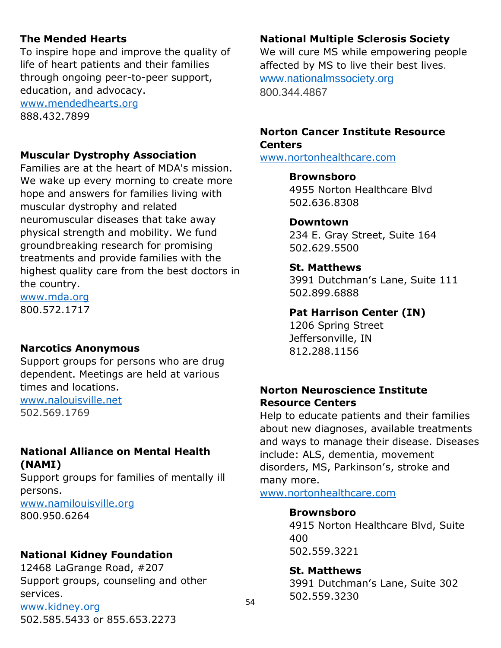## **The Mended Hearts**

To inspire hope and improve the quality of life of heart patients and their families through ongoing peer-to-peer support, education, and advocacy. [www.mendedhearts.org](http://www.mendedhearts.org/)

888.432.7899

#### **Muscular Dystrophy Association**

Families are at the heart of MDA's mission. We wake up every morning to create more hope and answers for families living with muscular dystrophy and related neuromuscular diseases that take away physical strength and mobility. We fund groundbreaking research for promising treatments and provide families with the highest quality care from the best doctors in the country.

[www.mda.org](http://www.mda.org/) 800.572.1717

#### **Narcotics Anonymous**

Support groups for persons who are drug dependent. Meetings are held at various times and locations. [www.nalouisville.net](http://www.nalouisville.net/)

502.569.1769

#### **National Alliance on Mental Health (NAMI)**

Support groups for families of mentally ill persons.

[www.namilouisville.org](http://www.namilouisville.org/) 800.950.6264

#### **National Kidney Foundation**

12468 LaGrange Road, #207 Support groups, counseling and other services. [www.kidney.org](http://www.kidney.org/) 502.585.5433 or 855.653.2273

#### **National Multiple Sclerosis Society**

We will cure MS while empowering people affected by MS to live their best lives. [www.nationalmssociety.org](http://www.nationalmssociety.org/) 800.344.4867

### **Norton Cancer Institute Resource Centers**

[www.nortonhealthcare.com](http://www.nortonhealthcare.com/)

#### **Brownsboro**

4955 Norton Healthcare Blvd 502.636.8308

#### **Downtown**

234 E. Gray Street, Suite 164 502.629.5500

#### **St. Matthews**

3991 Dutchman's Lane, Suite 111 502.899.6888

#### **Pat Harrison Center (IN)**

1206 Spring Street Jeffersonville, IN 812.288.1156

#### **Norton Neuroscience Institute Resource Centers**

Help to educate patients and their families about new diagnoses, available treatments and ways to manage their disease. Diseases include: ALS, dementia, movement disorders, MS, Parkinson's, stroke and many more.

[www.nortonhealthcare.com](http://www.nortonhealthcare.com/)

#### **Brownsboro**

4915 Norton Healthcare Blvd, Suite 400 502.559.3221

**St. Matthews**

3991 Dutchman's Lane, Suite 302 502.559.3230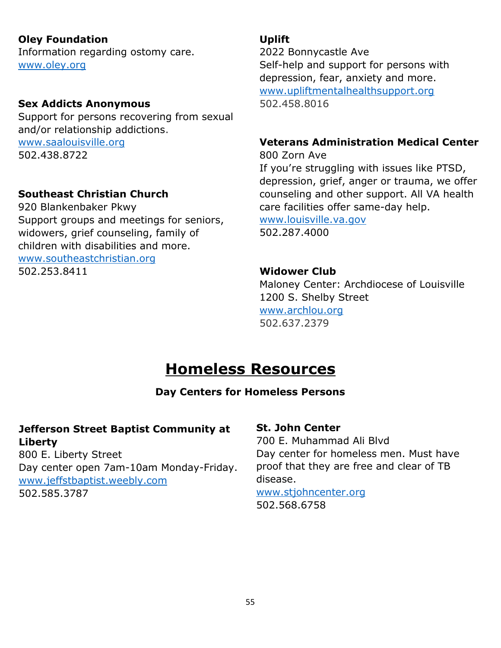## **Oley Foundation**

Information regarding ostomy care. [www.oley.org](http://www.oley.org/)

#### **Sex Addicts Anonymous**

Support for persons recovering from sexual and/or relationship addictions. [www.saalouisville.org](http://www.saalouisville.org/) 502.438.8722

### **Southeast Christian Church**

920 Blankenbaker Pkwy Support groups and meetings for seniors, widowers, grief counseling, family of children with disabilities and more. [www.southeastchristian.org](http://www.southeastchristian.org/) 502.253.8411

## **Uplift**

2022 Bonnycastle Ave Self-help and support for persons with depression, fear, anxiety and more. [www.upliftmentalhealthsupport.org](http://www.upliftmentalhealthsupport.org/) 502.458.8016

## **Veterans Administration Medical Center**

800 Zorn Ave If you're struggling with issues like PTSD, depression, grief, anger or trauma, we offer counseling and other support. All VA health care facilities offer same-day help. [www.louisville.va.gov](http://www.louisville.va.gov/)

502.287.4000

#### **Widower Club**

Maloney Center: Archdiocese of Louisville 1200 S. Shelby Street [www.archlou.org](http://www.archlou.org/) 502.637.2379

# **Homeless Resources**

## **Day Centers for Homeless Persons**

#### $\overline{a}$ **Jefferson Street Baptist Community at Liberty**

800 E. Liberty Street Day center open 7am-10am Monday-Friday. [www.jeffstbaptist.weebly.com](http://www.jeffstbaptist.weebly.com/) 502.585.3787

#### **St. John Center**

700 E. Muhammad Ali Blvd Day center for homeless men. Must have proof that they are free and clear of TB disease.

#### [www.stjohncenter.org](http://www.stjohncenter.org/) 502.568.6758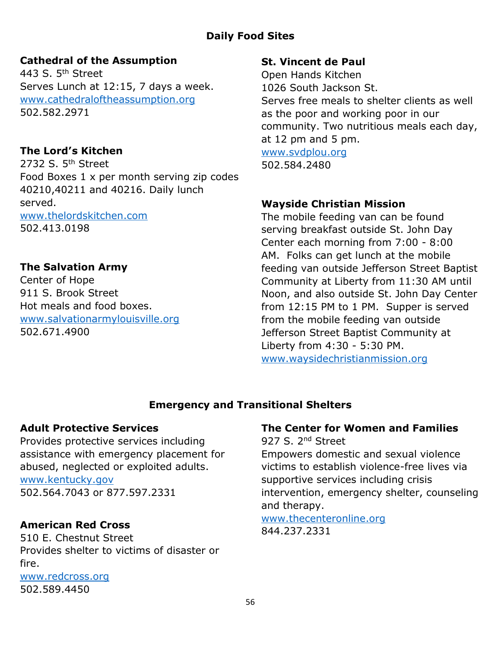# **Daily Food Sites**

## **Cathedral of the Assumption**

443 S. 5<sup>th</sup> Street Serves Lunch at 12:15, 7 days a week. [www.cathedraloftheassumption.org](http://www.cathedraloftheassumption.org/) 502.582.2971

## **The Lord's Kitchen**

2732 S. 5<sup>th</sup> Street Food Boxes 1 x per month serving zip codes 40210,40211 and 40216. Daily lunch served. [www.thelordskitchen.com](http://www.thelordskitchen.com/) 502.413.0198

## **The Salvation Army**

Center of Hope 911 S. Brook Street Hot meals and food boxes. [www.salvationarmylouisville.org](http://www.salvationarmylouisville.org/) 502.671.4900

## **St. Vincent de Paul**

Open Hands Kitchen 1026 South Jackson St. Serves free meals to shelter clients as well as the poor and working poor in our community. Two nutritious meals each day, at 12 pm and 5 pm. [www.svdplou.org](http://www.svdplou.org/) 502.584.2480

## **Wayside Christian Mission**

The mobile feeding van can be found serving breakfast outside St. John Day Center each morning from 7:00 - 8:00 AM. Folks can get lunch at the mobile feeding van outside Jefferson Street Baptist Community at Liberty from 11:30 AM until Noon, and also outside St. John Day Center from 12:15 PM to 1 PM. Supper is served from the mobile feeding van outside Jefferson Street Baptist Community at Liberty from 4:30 - 5:30 PM. [www.waysidechristianmission.org](http://www.waysidechristianmission.org/)

# **Emergency and Transitional Shelters**

## **Adult Protective Services**

Provides protective services including assistance with emergency placement for abused, neglected or exploited adults. [www.kentucky.gov](http://www.kentucky.gov/) 502.564.7043 or 877.597.2331

## **American Red Cross**

510 E. Chestnut Street Provides shelter to victims of disaster or fire. [www.redcross.org](http://www.redcross.org/) 502.589.4450

## **The Center for Women and Families**

927 S. 2<sup>nd</sup> Street Empowers domestic and sexual violence victims to establish violence-free lives via supportive services including crisis intervention, emergency shelter, counseling and therapy.

#### [www.thecenteronline.org](http://www.thecenteronline.org/) 844.237.2331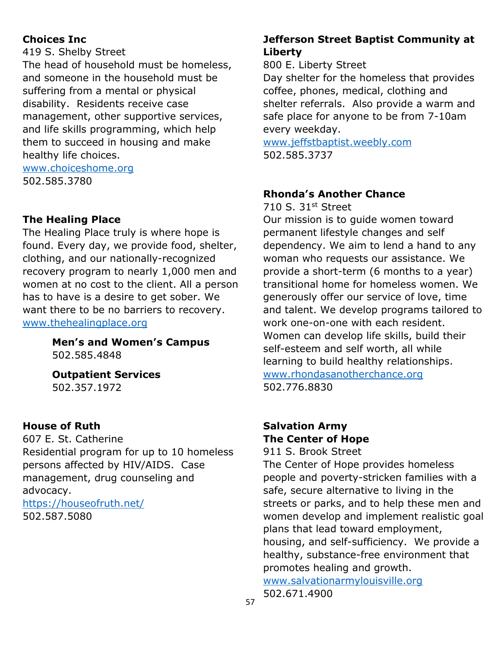# **Choices Inc**

419 S. Shelby Street

The head of household must be homeless, and someone in the household must be suffering from a mental or physical disability. Residents receive case management, other supportive services, and life skills programming, which help them to succeed in housing and make healthy life choices.

[www.choiceshome.org](http://www.choiceshome.org/) 502.585.3780

# **The Healing Place**

The Healing Place truly is where hope is found. Every day, we provide food, shelter, clothing, and our nationally-recognized recovery program to nearly 1,000 men and women at no cost to the client. All a person has to have is a desire to get sober. We want there to be no barriers to recovery. [www.thehealingplace.org](http://www.thehealingplace.org/)

> **Men's and Women's Campus** 502.585.4848

**Outpatient Services** 502.357.1972

## **House of Ruth**

607 E. St. Catherine Residential program for up to 10 homeless persons affected by HIV/AIDS. Case management, drug counseling and advocacy. <https://houseofruth.net/>

502.587.5080

## **Jefferson Street Baptist Community at Liberty**

800 E. Liberty Street

Day shelter for the homeless that provides coffee, phones, medical, clothing and shelter referrals. Also provide a warm and safe place for anyone to be from 7-10am every weekday.

[www.jeffstbaptist.weebly.com](http://www.jeffstbaptist.weebly.com/) 502.585.3737

# **Rhonda's Another Chance**

710 S. 31st Street

Our mission is to guide women toward permanent lifestyle changes and self dependency. We aim to lend a hand to any woman who requests our assistance. We provide a short-term (6 months to a year) transitional home for homeless women. We generously offer our service of love, time and talent. We develop programs tailored to work one-on-one with each resident. Women can develop life skills, build their self-esteem and self worth, all while learning to build healthy relationships. [www.rhondasanotherchance.org](http://www.rhondasanotherchance.org/) 502.776.8830

## **Salvation Army The Center of Hope**

911 S. Brook Street

The Center of Hope provides homeless people and poverty-stricken families with a safe, secure alternative to living in the streets or parks, and to help these men and women develop and implement realistic goal plans that lead toward employment, housing, and self-sufficiency. We provide a healthy, substance-free environment that promotes healing and growth. [www.salvationarmylouisville.org](http://www.salvationarmylouisville.org/)

502.671.4900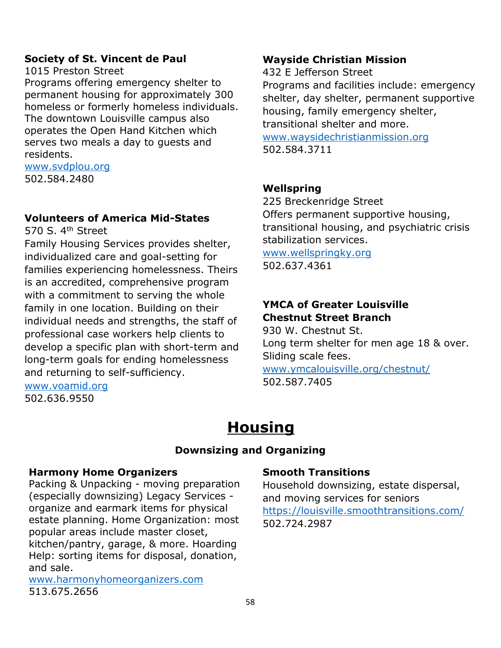### **Society of St. Vincent de Paul**

1015 Preston Street

Programs offering emergency shelter to permanent housing for approximately 300 homeless or formerly homeless individuals. The downtown Louisville campus also operates the Open Hand Kitchen which serves two meals a day to guests and residents.

# [www.svdplou.org](http://www.svdplou.org/)

502.584.2480

### **Volunteers of America Mid-States**

570 S.  $4<sup>th</sup>$  Street

Family Housing Services provides shelter, individualized care and goal-setting for families experiencing homelessness. Theirs is an accredited, comprehensive program with a commitment to serving the whole family in one location. Building on their individual needs and strengths, the staff of professional case workers help clients to develop a specific plan with short-term and long-term goals for ending homelessness and returning to self-sufficiency.

#### [www.voamid.org](http://www.voamid.org/) 502.636.9550

## **Wayside Christian Mission**

432 E Jefferson Street

Programs and facilities include: emergency shelter, day shelter, permanent supportive housing, family emergency shelter, transitional shelter and more. [www.waysidechristianmission.org](http://www.waysidechristianmission.org/) 502.584.3711

## **Wellspring**

225 Breckenridge Street Offers permanent supportive housing, transitional housing, and psychiatric crisis stabilization services.

[www.wellspringky.org](http://www.wellspringky.org/) 502.637.4361

## **YMCA of Greater Louisville Chestnut Street Branch**

930 W. Chestnut St. Long term shelter for men age 18 & over. Sliding scale fees. [www.ymcalouisville.org/chestnut/](http://www.ymcalouisville.org/chestnut/)

502.587.7405

# **Housing**

#### **Downsizing and Organizing**

#### **Harmony Home Organizers**

Packing & Unpacking - moving preparation (especially downsizing) Legacy Services organize and earmark items for physical estate planning. Home Organization: most popular areas include master closet, kitchen/pantry, garage, & more. Hoarding Help: sorting items for disposal, donation, and sale.

[www.harmonyhomeorganizers.com](http://www.harmonyhomeorganizers.com/) 513.675.2656

#### **Smooth Transitions**

Household downsizing, estate dispersal, and moving services for seniors <https://louisville.smoothtransitions.com/> 502.724.2987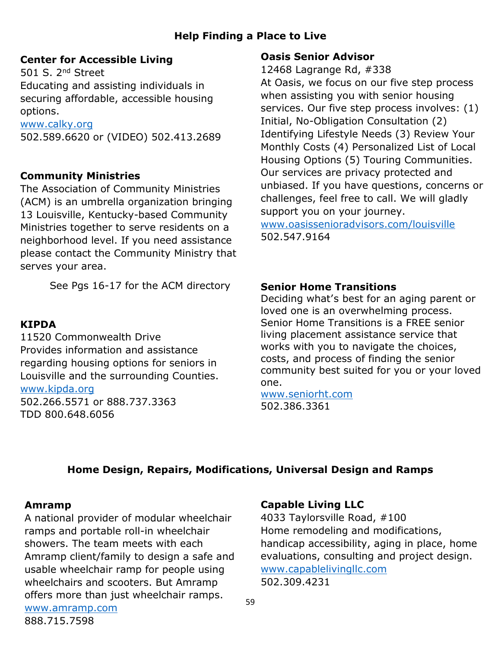# **Help Finding a Place to Live**

## **Center for Accessible Living**

501 S. 2nd Street Educating and assisting individuals in securing affordable, accessible housing options.

[www.calky.org](http://www.calky.org/) 502.589.6620 or (VIDEO) 502.413.2689

#### **Community Ministries**

The Association of Community Ministries (ACM) is an umbrella organization bringing 13 Louisville, Kentucky-based Community Ministries together to serve residents on a neighborhood level. If you need assistance please contact the Community Ministry that serves your area.

See Pgs 16-17 for the ACM directory

#### **KIPDA**

11520 Commonwealth Drive Provides information and assistance regarding housing options for seniors in Louisville and the surrounding Counties. [www.kipda.org](http://www.kipda.org/)

502.266.5571 or 888.737.3363 TDD 800.648.6056

#### **Oasis Senior Advisor**

12468 Lagrange Rd, #338

At Oasis, we focus on our five step process when assisting you with senior housing services. Our five step process involves: (1) Initial, No-Obligation Consultation (2) Identifying Lifestyle Needs (3) Review Your Monthly Costs (4) Personalized List of Local Housing Options (5) Touring Communities. Our services are privacy protected and unbiased. If you have questions, concerns or challenges, feel free to call. We will gladly support you on your journey.

[www.oasissenioradvisors.com/louisville](http://www.oasissenioradvisors.com/louisville) 502.547.9164

#### **Senior Home Transitions**

Deciding what's best for an aging parent or loved one is an overwhelming process. Senior Home Transitions is a FREE senior living placement assistance service that works with you to navigate the choices, costs, and process of finding the senior community best suited for you or your loved one.

[www.seniorht.com](http://www.seniorht.com/) 502.386.3361

#### **Home Design, Repairs, Modifications, Universal Design and Ramps**

#### **Amramp**

888.715.7598

A national provider of modular wheelchair ramps and portable roll-in wheelchair showers. The team meets with each Amramp client/family to design a safe and usable wheelchair ramp for people using wheelchairs and scooters. But Amramp offers more than just wheelchair ramps. [www.amramp.com](http://www.amramp.com/)

#### **Capable Living LLC**

4033 Taylorsville Road, #100 Home remodeling and modifications, handicap accessibility, aging in place, home evaluations, consulting and project design. [www.capablelivingllc.com](http://www.capablelivingllc.com/) 502.309.4231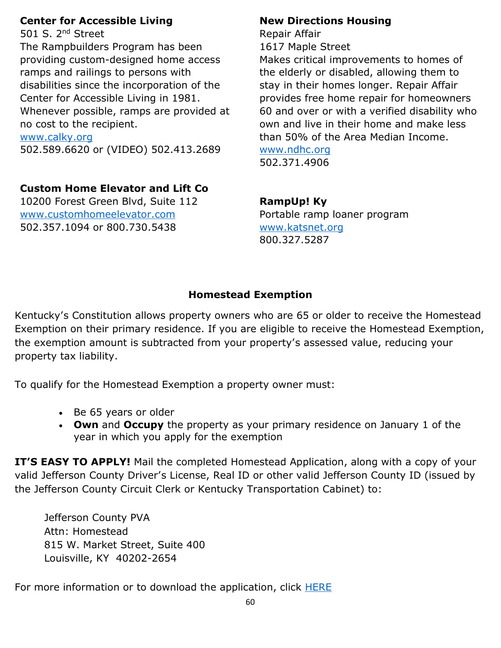### **Center for Accessible Living**

501 S. 2nd Street The Rampbuilders Program has been providing custom-designed home access ramps and railings to persons with disabilities since the incorporation of the Center for Accessible Living in 1981. Whenever possible, ramps are provided at no cost to the recipient. [www.calky.org](http://www.calky.org/)

502.589.6620 or (VIDEO) 502.413.2689

# **Custom Home Elevator and Lift Co**

10200 Forest Green Blvd, Suite 112 [www.customhomeelevator.com](http://www.customhomeelevator.com/) 502.357.1094 or 800.730.5438

### **New Directions Housing**

Repair Affair 1617 Maple Street

Makes critical improvements to homes of the elderly or disabled, allowing them to stay in their homes longer. Repair Affair provides free home repair for homeowners 60 and over or with a verified disability who own and live in their home and make less than 50% of the Area Median Income. [www.ndhc.org](http://www.ndhc.org/)

502.371.4906

## **RampUp! Ky**

Portable ramp loaner program [www.katsnet.org](http://www.katsnet.org/) 800.327.5287

## **Homestead Exemption**

Kentucky's Constitution allows property owners who are 65 or older to receive the Homestead Exemption on their primary residence. If you are eligible to receive the Homestead Exemption, the exemption amount is subtracted from your property's assessed value, reducing your property tax liability.

To qualify for the Homestead Exemption a property owner must:

- Be 65 years or older
- **Own** and **Occupy** the property as your primary residence on January 1 of the year in which you apply for the exemption

**IT'S EASY TO APPLY!** Mail the completed [Homestead Application,](https://jeffersonpva.ky.gov/wp-content/uploads/2022/01/HOMESTEAD-APP-REV-1.13.2022-WRITTABLE.pdf) along with a copy of your valid Jefferson County Driver's License, Real ID or other valid Jefferson County ID (issued by the Jefferson County Circuit Clerk or Kentucky Transportation Cabinet) to:

Jefferson County PVA Attn: Homestead 815 W. Market Street, Suite 400 Louisville, KY 40202-2654

For more information or to download the application, click **HERE**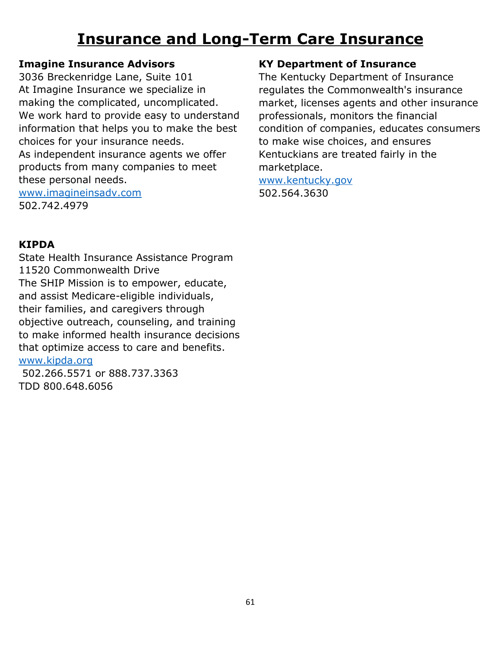# **Insurance and Long-Term Care Insurance**

## **Imagine Insurance Advisors**

3036 Breckenridge Lane, Suite 101 At Imagine Insurance we specialize in making the complicated, uncomplicated. We work hard to provide easy to understand information that helps you to make the best choices for your insurance needs. As independent insurance agents we offer products from many companies to meet these personal needs. [www.imagineinsadv.com](http://www.imagineinsadv.com/) 502.742.4979

### **KIPDA**

State Health Insurance Assistance Program 11520 Commonwealth Drive The SHIP Mission is to empower, educate, and assist Medicare-eligible individuals, their families, and caregivers through objective outreach, counseling, and training to make informed health insurance decisions that optimize access to care and benefits. [www.kipda.org](http://www.kipda.org/)

502.266.5571 or 888.737.3363 TDD 800.648.6056

#### **KY Department of Insurance**

The Kentucky Department of Insurance regulates the Commonwealth's insurance market, licenses agents and other insurance professionals, monitors the financial condition of companies, educates consumers to make wise choices, and ensures Kentuckians are treated fairly in the marketplace.

[www.kentucky.gov](http://www.kentucky.gov/) 502.564.3630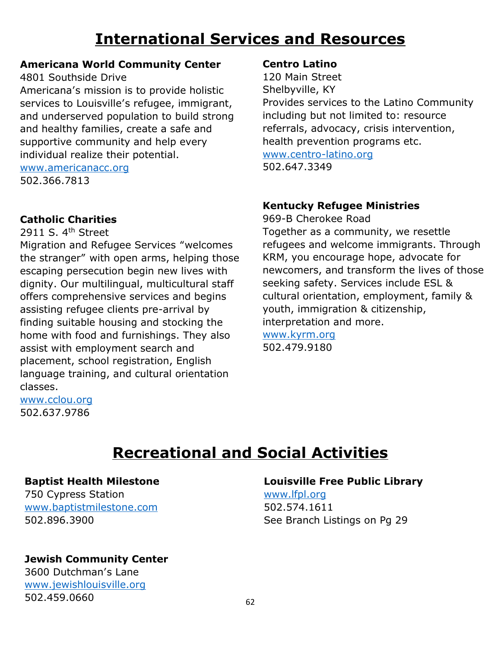# **International Services and Resources**

### **Americana World Community Center**

4801 Southside Drive

Americana's mission is to provide holistic services to Louisville's refugee, immigrant, and underserved population to build strong and healthy families, create a safe and supportive community and help every individual realize their potential.

[www.americanacc.org](http://www.americanacc.org/) 502.366.7813

## **Catholic Charities**

2911 S. 4<sup>th</sup> Street

Migration and Refugee Services "welcomes the stranger" with open arms, helping those escaping persecution begin new lives with dignity. Our multilingual, multicultural staff offers comprehensive services and begins assisting refugee clients pre-arrival by finding suitable housing and stocking the home with food and furnishings. They also assist with employment search and placement, school registration, English language training, and cultural orientation classes.

[www.cclou.org](http://www.cclou.org/) 502.637.9786

#### **Centro Latino**

120 Main Street Shelbyville, KY Provides services to the Latino Community including but not limited to: resource referrals, advocacy, crisis intervention, health prevention programs etc. [www.centro-latino.org](http://www.centro-latino.org/) 502.647.3349

## **Kentucky Refugee Ministries**

969-B Cherokee Road Together as a community, we resettle refugees and welcome immigrants. Through KRM, you encourage hope, advocate for newcomers, and transform the lives of those seeking safety. Services include ESL & cultural orientation, employment, family & youth, immigration & citizenship, interpretation and more. [www.kyrm.org](http://www.kyrm.org/) 502.479.9180

# **Recreational and Social Activities**

#### **Baptist Health Milestone**

750 Cypress Station [www.baptistmilestone.com](http://www.baptistmilestone.com/) 502.896.3900

## **Jewish Community Center**

3600 Dutchman's Lane [www.jewishlouisville.org](http://www.jewishlouisville.org/) 502.459.0660

## **Louisville Free Public Library**

[www.lfpl.org](http://www.lfpl.org/) 502.574.1611 See Branch Listings on Pg 29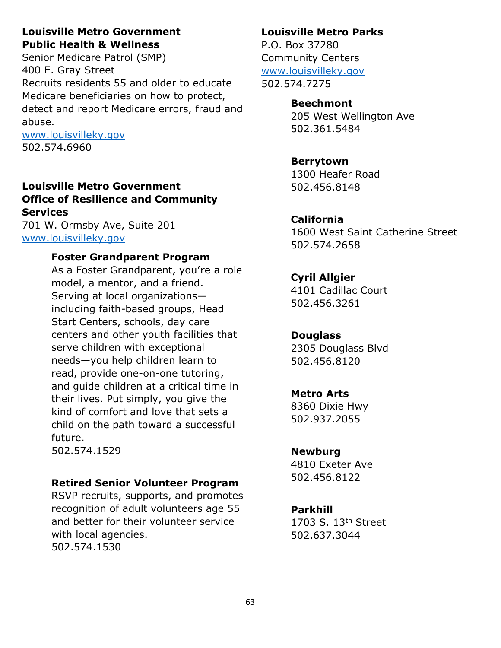### **Louisville Metro Government Public Health & Wellness**

Senior Medicare Patrol (SMP) 400 E. Gray Street Recruits residents 55 and older to educate Medicare beneficiaries on how to protect, detect and report Medicare errors, fraud and abuse.

[www.louisvilleky.gov](http://www.louisvilleky.gov/) 502.574.6960

## **Louisville Metro Government Office of Resilience and Community Services**

701 W. Ormsby Ave, Suite 201 [www.louisvilleky.gov](http://www.louisvilleky.gov/)

## **Foster Grandparent Program**

As a Foster Grandparent, you're a role model, a mentor, and a friend. Serving at local organizations including faith-based groups, Head Start Centers, schools, day care centers and other youth facilities that serve children with exceptional needs—you help children learn to read, provide one-on-one tutoring, and guide children at a critical time in their lives. Put simply, you give the kind of comfort and love that sets a child on the path toward a successful future.

502.574.1529

## **Retired Senior Volunteer Program**

RSVP recruits, supports, and promotes recognition of adult volunteers age 55 and better for their volunteer service with local agencies. 502.574.1530

## **Louisville Metro Parks**

P.O. Box 37280 Community Centers [www.louisvilleky.gov](http://www.louisvilleky.gov/) 502.574.7275

# **Beechmont**

205 West Wellington Ave 502.361.5484

## **Berrytown**

1300 Heafer Road 502.456.8148

## **California**

1600 West Saint Catherine Street 502.574.2658

# **Cyril Allgier**

4101 Cadillac Court 502.456.3261

## **Douglass**

2305 Douglass Blvd 502.456.8120

## **Metro Arts**

8360 Dixie Hwy 502.937.2055

## **Newburg**

4810 Exeter Ave 502.456.8122

## **Parkhill**

1703 S. 13<sup>th</sup> Street 502.637.3044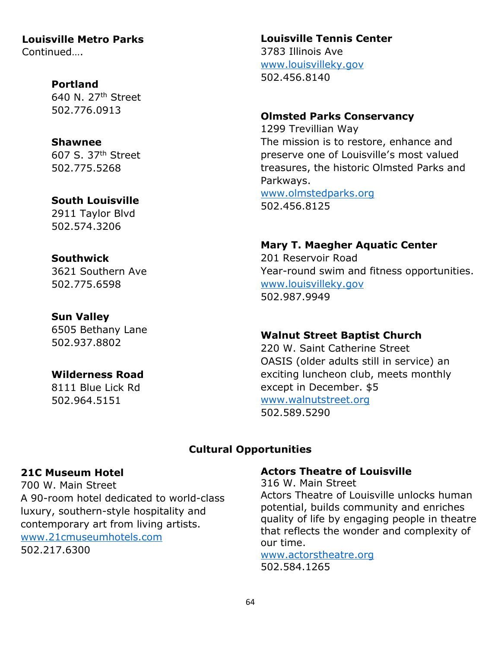**Louisville Metro Parks** Continued….

#### **Portland**

640 N. 27th Street 502.776.0913

#### **Shawnee**

607 S. 37th Street 502.775.5268

#### **South Louisville**

2911 Taylor Blvd 502.574.3206

#### **Southwick**

3621 Southern Ave 502.775.6598

#### **Sun Valley**

6505 Bethany Lane 502.937.8802

#### **Wilderness Road**

8111 Blue Lick Rd 502.964.5151

### **Louisville Tennis Center**

3783 Illinois Ave [www.louisvilleky.gov](http://www.louisvilleky.gov/) 502.456.8140

#### **Olmsted Parks Conservancy**

1299 Trevillian Way The mission is to restore, enhance and preserve one of Louisville's most valued treasures, the historic Olmsted Parks and Parkways. [www.olmstedparks.org](http://www.olmstedparks.org/)

502.456.8125

#### **Mary T. Maegher Aquatic Center**

201 Reservoir Road Year-round swim and fitness opportunities. [www.louisvilleky.gov](http://www.louisvilleky.gov/) 502.987.9949

#### **Walnut Street Baptist Church**

220 W. Saint Catherine Street OASIS (older adults still in service) an exciting luncheon club, meets monthly except in December. \$5 [www.walnutstreet.org](http://www.walnutstreet.org/) 502.589.5290

## **Cultural Opportunities**

#### **21C Museum Hotel**

700 W. Main Street A 90-room hotel dedicated to world-class luxury, southern-style hospitality and contemporary art from living artists. [www.21cmuseumhotels.com](http://www.21cmuseumhotels.com/) 502.217.6300

#### **Actors Theatre of Louisville**

316 W. Main Street Actors Theatre of Louisville unlocks human potential, builds community and enriches quality of life by engaging people in theatre that reflects the wonder and complexity of our time.

[www.actorstheatre.org](http://www.actorstheatre.org/) 502.584.1265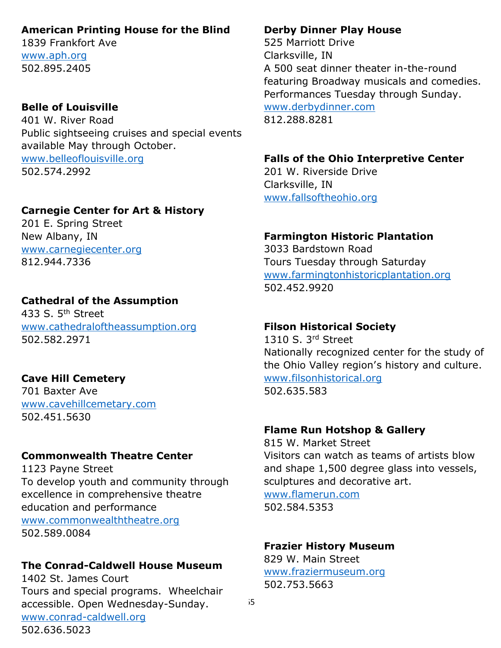#### **American Printing House for the Blind**

1839 Frankfort Ave [www.aph.org](http://www.aph.org/) 502.895.2405

### **Belle of Louisville**

401 W. River Road Public sightseeing cruises and special events available May through October. [www.belleoflouisville.org](http://www.belleoflouisville.org/) 502.574.2992

### **Carnegie Center for Art & History**

201 E. Spring Street New Albany, IN [www.carnegiecenter.org](http://www.carnegiecenter.org/) 812.944.7336

#### **Cathedral of the Assumption**

433 S. 5<sup>th</sup> Street [www.cathedraloftheassumption.org](http://www.cathedraloftheassumption.org/) 502.582.2971

## **Cave Hill Cemetery**

701 Baxter Ave [www.cavehillcemetary.com](http://www.cavehillcemetary.com/) 502.451.5630

## **Commonwealth Theatre Center**

1123 Payne Street To develop youth and community through excellence in comprehensive theatre education and performance [www.commonwealththeatre.org](http://www.commonwealththeatre.org/) 502.589.0084

#### **The Conrad-Caldwell House Museum**

1402 St. James Court Tours and special programs. Wheelchair accessible. Open Wednesday-Sunday. [www.conrad-caldwell.org](http://www.conrad-caldwell.org/) 502.636.5023

#### **Derby Dinner Play House**

525 Marriott Drive Clarksville, IN A 500 seat dinner theater in-the-round featuring Broadway musicals and comedies. Performances Tuesday through Sunday. [www.derbydinner.com](http://www.derbydinner.com/) 812.288.8281

## **Falls of the Ohio Interpretive Center**

201 W. Riverside Drive Clarksville, IN [www.fallsoftheohio.org](http://www.fallsoftheohio.org/)

### **Farmington Historic Plantation**

3033 Bardstown Road Tours Tuesday through Saturday [www.farmingtonhistoricplantation.org](http://www.farmingtonhistoricplantation.org/) 502.452.9920

#### **Filson Historical Society**

1310 S. 3rd Street Nationally recognized center for the study of the Ohio Valley region's history and culture. [www.filsonhistorical.org](http://www.filsonhistorical.org/) 502.635.583

#### **Flame Run Hotshop & Gallery**

815 W. Market Street Visitors can watch as teams of artists blow and shape 1,500 degree glass into vessels, sculptures and decorative art. [www.flamerun.com](http://www.flamerun.com/)

502.584.5353

#### **Frazier History Museum**

829 W. Main Street [www.fraziermuseum.org](http://www.fraziermuseum.org/) 502.753.5663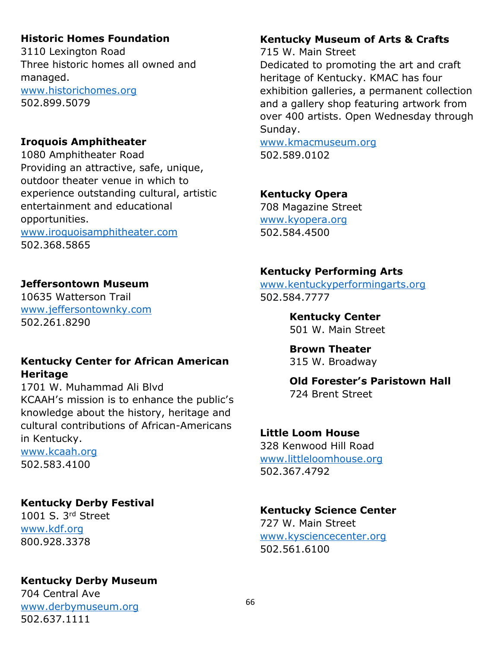## **Historic Homes Foundation**

3110 Lexington Road Three historic homes all owned and managed. [www.historichomes.org](http://www.historichomes.org/) 502.899.5079

## **Iroquois Amphitheater**

1080 Amphitheater Road Providing an attractive, safe, unique, outdoor theater venue in which to experience outstanding cultural, artistic entertainment and educational opportunities.

[www.iroquoisamphitheater.com](http://www.iroquoisamphitheater.com/) 502.368.5865

## **Jeffersontown Museum**

10635 Watterson Trail [www.jeffersontownky.com](http://www.jeffersontownky.com/) 502.261.8290

### **Kentucky Center for African American Heritage**

1701 W. Muhammad Ali Blvd KCAAH's mission is to enhance the public's knowledge about the history, heritage and cultural contributions of African-Americans in Kentucky.

[www.kcaah.org](http://www.kcaah.org/) 502.583.4100

## **Kentucky Derby Festival**

1001 S. 3rd Street [www.kdf.org](http://www.kdf.org/) 800.928.3378

## **Kentucky Derby Museum**

704 Central Ave [www.derbymuseum.org](http://www.derbymuseum.org/) 502.637.1111

## **Kentucky Museum of Arts & Crafts**

715 W. Main Street

Dedicated to promoting the art and craft heritage of Kentucky. KMAC has four exhibition galleries, a permanent collection and a gallery shop featuring artwork from over 400 artists. Open Wednesday through Sunday.

[www.kmacmuseum.org](http://www.kmacmuseum.org/) 502.589.0102

### **Kentucky Opera**

708 Magazine Street [www.kyopera.org](http://www.kyopera.org/) 502.584.4500

## **Kentucky Performing Arts**

[www.kentuckyperformingarts.org](http://www.kentuckyperformingarts.org/) 502.584.7777

**Kentucky Center**

501 W. Main Street

**Brown Theater** 315 W. Broadway

#### **Old Forester's Paristown Hall**  724 Brent Street

## **Little Loom House**

328 Kenwood Hill Road [www.littleloomhouse.org](http://www.littleloomhouse.org/) 502.367.4792

## **Kentucky Science Center**

727 W. Main Street [www.kysciencecenter.org](http://www.kysciencecenter.org/) 502.561.6100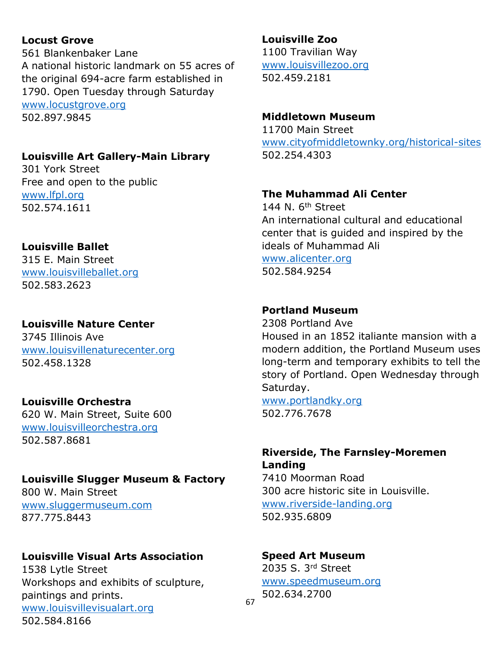## **Locust Grove**

561 Blankenbaker Lane A national historic landmark on 55 acres of the original 694-acre farm established in 1790. Open Tuesday through Saturday [www.locustgrove.org](http://www.locustgrove.org/) 502.897.9845

## **Louisville Art Gallery-Main Library**

301 York Street Free and open to the public [www.lfpl.org](http://www.lfpl.org/) 502.574.1611

#### **Louisville Ballet**

315 E. Main Street [www.louisvilleballet.org](http://www.louisvilleballet.org/) 502.583.2623

## **Louisville Nature Center**

3745 Illinois Ave [www.louisvillenaturecenter.org](http://www.louisvillenaturecenter.org/) 502.458.1328

## **Louisville Orchestra**

620 W. Main Street, Suite 600 [www.louisvilleorchestra.org](http://www.louisvilleorchestra.org/) 502.587.8681

#### **Louisville Slugger Museum & Factory**

800 W. Main Street [www.sluggermuseum.com](http://www.sluggermuseum.com/) 877.775.8443

## **Louisville Visual Arts Association**

1538 Lytle Street Workshops and exhibits of sculpture, paintings and prints. [www.louisvillevisualart.org](http://www.louisvillevisualart.org/) 502.584.8166

## **Louisville Zoo**

1100 Travilian Way [www.louisvillezoo.org](http://www.louisvillezoo.org/) 502.459.2181

#### **Middletown Museum**

11700 Main Street [www.cityofmiddletownky.org/historical-sites](http://www.cityofmiddletownky.org/historical-sites) 502.254.4303

#### **The Muhammad Ali Center**

144 N.  $6<sup>th</sup>$  Street An international cultural and educational center that is guided and inspired by the ideals of Muhammad Ali [www.alicenter.org](http://www.alicenter.org/) 502.584.9254

#### **Portland Museum**

2308 Portland Ave Housed in an 1852 italiante mansion with a modern addition, the Portland Museum uses long-term and temporary exhibits to tell the story of Portland. Open Wednesday through Saturday.

[www.portlandky.org](http://www.portlandky.org/) 502.776.7678

## **Riverside, The Farnsley-Moremen Landing**

7410 Moorman Road 300 acre historic site in Louisville. [www.riverside-landing.org](http://www.riverside-landing.org/) 502.935.6809

#### **Speed Art Museum**

2035 S. 3rd Street [www.speedmuseum.org](http://www.speedmuseum.org/) 502.634.2700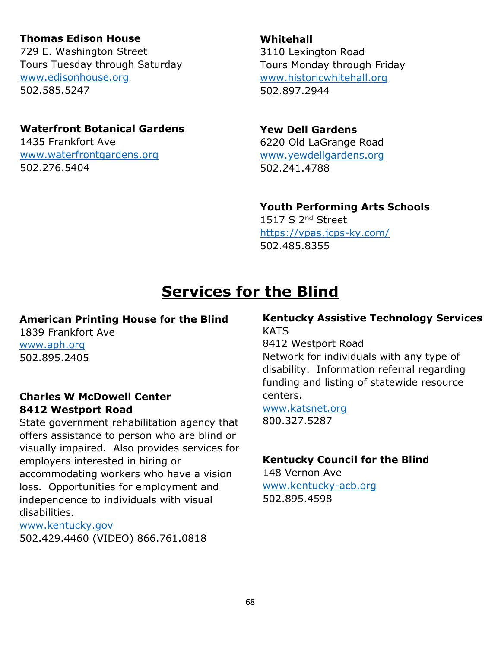## **Thomas Edison House**

729 E. Washington Street Tours Tuesday through Saturday [www.edisonhouse.org](http://www.edisonhouse.org/) 502.585.5247

### **Waterfront Botanical Gardens**

1435 Frankfort Ave [www.waterfrontgardens.org](http://www.waterfrontgardens.org/) 502.276.5404

**Whitehall** 3110 Lexington Road Tours Monday through Friday [www.historicwhitehall.org](http://www.historicwhitehall.org/) 502.897.2944

## **Yew Dell Gardens**

6220 Old LaGrange Road [www.yewdellgardens.org](http://www.yewdellgardens.org/) 502.241.4788

#### **Youth Performing Arts Schools**

1517 S 2<sup>nd</sup> Street <https://ypas.jcps-ky.com/> 502.485.8355

# **Services for the Blind**

#### **American Printing House for the Blind**

1839 Frankfort Ave [www.aph.org](http://www.aph.org/) 502.895.2405

#### **Charles W McDowell Center 8412 Westport Road**

State government rehabilitation agency that offers assistance to person who are blind or visually impaired. Also provides services for employers interested in hiring or accommodating workers who have a vision loss. Opportunities for employment and independence to individuals with visual disabilities.

[www.kentucky.gov](http://www.kentucky.gov/)

502.429.4460 (VIDEO) 866.761.0818

### **Kentucky Assistive Technology Services KATS**

8412 Westport Road Network for individuals with any type of disability. Information referral regarding funding and listing of statewide resource centers.

#### [www.katsnet.org](http://www.katsnet.org/) 800.327.5287

## **Kentucky Council for the Blind**

148 Vernon Ave [www.kentucky-acb.org](http://www.kentucky-acb.org/) 502.895.4598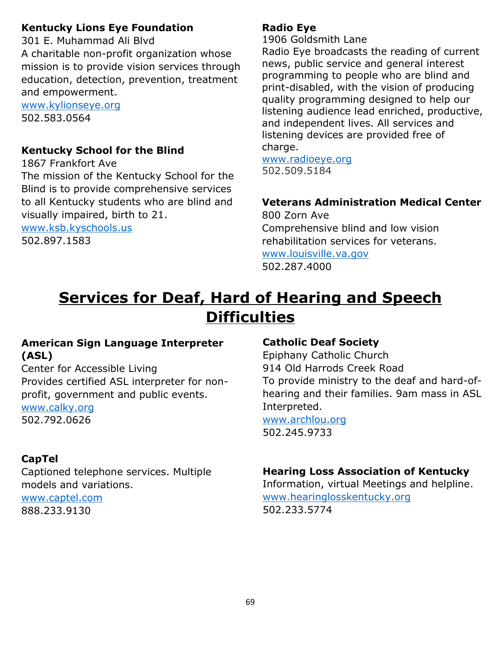## **Kentucky Lions Eye Foundation**

301 E. Muhammad Ali Blvd A charitable non-profit organization whose mission is to provide vision services through education, detection, prevention, treatment and empowerment. [www.kylionseye.org](http://www.kylionseye.org/)

502.583.0564

## **Kentucky School for the Blind**

1867 Frankfort Ave The mission of the Kentucky School for the Blind is to provide comprehensive services to all Kentucky students who are blind and visually impaired, birth to 21. [www.ksb.kyschools.us](http://www.ksb.kyschools.us/)

502.897.1583

### **Radio Eye**

1906 Goldsmith Lane

Radio Eye broadcasts the reading of current news, public service and general interest programming to people who are blind and print-disabled, with the vision of producing quality programming designed to help our listening audience lead enriched, productive, and independent lives. All services and listening devices are provided free of charge.

[www.radioeye.org](http://www.radioeye.org/) 502.509.5184

## **Veterans Administration Medical Center**

800 Zorn Ave Comprehensive blind and low vision rehabilitation services for veterans. [www.louisville.va.gov](http://www.louisville.va.gov/) 502.287.4000

# **Services for Deaf, Hard of Hearing and Speech Difficulties**

### **American Sign Language Interpreter (ASL)**

Center for Accessible Living Provides certified ASL interpreter for nonprofit, government and public events.

[www.calky.org](http://www.calky.org/) 502.792.0626

# **CapTel**

Captioned telephone services. Multiple models and variations. [www.captel.com](http://www.captel.com/)

888.233.9130

#### **Catholic Deaf Society**

Epiphany Catholic Church 914 Old Harrods Creek Road To provide ministry to the deaf and hard-ofhearing and their families. 9am mass in ASL Interpreted.

[www.archlou.org](http://www.archlou.org/) 502.245.9733

## **Hearing Loss Association of Kentucky**

Information, virtual Meetings and helpline. [www.hearinglosskentucky.org](http://www.hearinglosskentucky.org/) 502.233.5774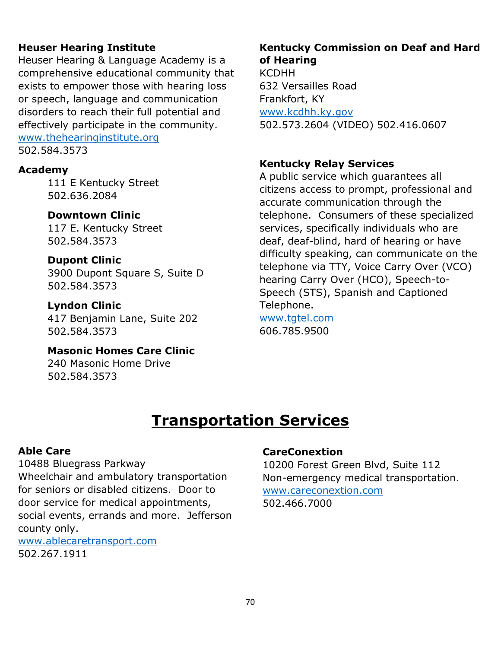### **Heuser Hearing Institute**

Heuser Hearing & Language Academy is a comprehensive educational community that exists to empower those with hearing loss or speech, language and communication disorders to reach their full potential and effectively participate in the community. [www.thehearinginstitute.org](http://www.thehearinginstitute.org/) 502.584.3573

#### **Academy**

111 E Kentucky Street 502.636.2084

### **Downtown Clinic**

117 E. Kentucky Street 502.584.3573

#### **Dupont Clinic** 3900 Dupont Square S, Suite D 502.584.3573

**Lyndon Clinic** 417 Benjamin Lane, Suite 202 502.584.3573

**Masonic Homes Care Clinic** 240 Masonic Home Drive 502.584.3573

## **Kentucky Commission on Deaf and Hard of Hearing**

KCDHH 632 Versailles Road Frankfort, KY [www.kcdhh.ky.gov](http://www.kcdhh.ky.gov/) 502.573.2604 (VIDEO) 502.416.0607

## **Kentucky Relay Services**

A public service which guarantees all citizens access to prompt, professional and accurate communication through the telephone. Consumers of these specialized services, specifically individuals who are deaf, deaf-blind, hard of hearing or have difficulty speaking, can communicate on the telephone via TTY, Voice Carry Over (VCO) hearing Carry Over (HCO), Speech-to-Speech (STS), Spanish and Captioned Telephone.

[www.tgtel.com](http://www.tgtel.com/) 606.785.9500

# **Transportation Services**

#### **Able Care**

10488 Bluegrass Parkway Wheelchair and ambulatory transportation for seniors or disabled citizens. Door to door service for medical appointments, social events, errands and more. Jefferson county only.

[www.ablecaretransport.com](http://www.ablecaretransport.com/) 502.267.1911

## **CareConextion**

10200 Forest Green Blvd, Suite 112 Non-emergency medical transportation. [www.careconextion.com](http://www.careconextion.com/) 502.466.7000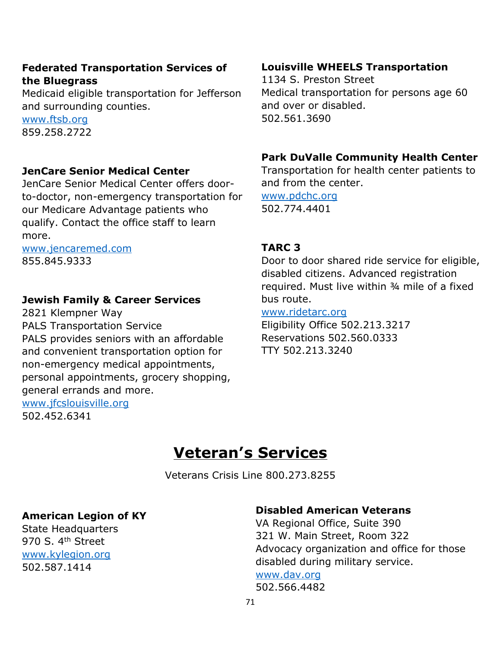### **Federated Transportation Services of the Bluegrass**

Medicaid eligible transportation for Jefferson and surrounding counties.

[www.ftsb.org](http://www.ftsb.org/) 859.258.2722

#### **JenCare Senior Medical Center**

JenCare Senior Medical Center offers doorto-doctor, non-emergency transportation for our Medicare Advantage patients who qualify. Contact the office staff to learn more.

[www.jencaremed.com](http://www.jencaremed.com/) 855.845.9333

## **Jewish Family & Career Services**

2821 Klempner Way PALS Transportation Service PALS provides seniors with an affordable and convenient transportation option for non-emergency medical appointments, personal appointments, grocery shopping, general errands and more. [www.jfcslouisville.org](http://www.jfcslouisville.org/)

502.452.6341

#### **Louisville WHEELS Transportation**

1134 S. Preston Street Medical transportation for persons age 60 and over or disabled. 502.561.3690

#### **Park DuValle Community Health Center**

Transportation for health center patients to and from the center.

[www.pdchc.org](http://www.pdchc.org/) 502.774.4401

#### **TARC 3**

Door to door shared ride service for eligible, disabled citizens. Advanced registration required. Must live within ¾ mile of a fixed bus route.

#### [www.ridetarc.org](http://www.ridetarc.org/)

Eligibility Office 502.213.3217 Reservations 502.560.0333 TTY 502.213.3240

# **Veteran's Services**

Veterans Crisis Line 800.273.8255

#### **American Legion of KY**

State Headquarters 970 S. 4<sup>th</sup> Street [www.kylegion.org](http://www.kylegion.org/) 502.587.1414

#### **Disabled American Veterans**

VA Regional Office, Suite 390 321 W. Main Street, Room 322 Advocacy organization and office for those disabled during military service. [www.dav.org](http://www.dav.org/) 502.566.4482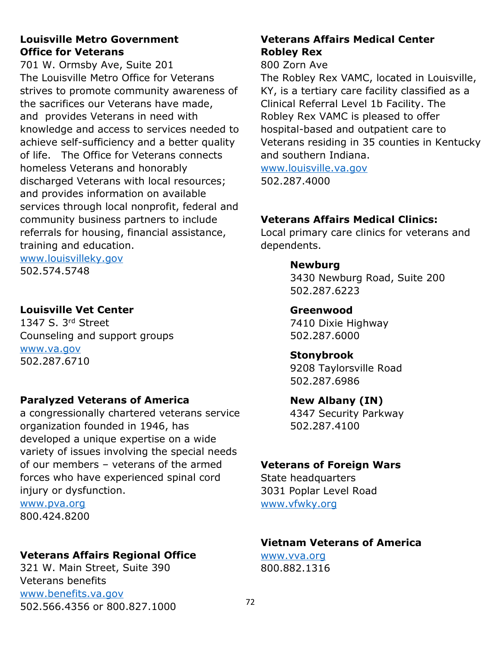#### **Louisville Metro Government Office for Veterans**

701 W. Ormsby Ave, Suite 201 The Louisville Metro Office for Veterans strives to promote community awareness of the sacrifices our Veterans have made, and provides Veterans in need with knowledge and access to services needed to achieve self-sufficiency and a better quality of life. The Office for Veterans connects homeless Veterans and honorably discharged Veterans with local resources; and provides information on available services through local nonprofit, federal and community business partners to include referrals for housing, financial assistance, training and education.

[www.louisvilleky.gov](http://www.louisvilleky.gov/) 502.574.5748

### **Louisville Vet Center**

1347 S. 3rd Street Counseling and support groups [www.va.gov](http://www.va.gov/) 502.287.6710

## **Paralyzed Veterans of America**

a congressionally chartered veterans service organization founded in 1946, has developed a unique expertise on a wide variety of issues involving the special needs of our members – veterans of the armed forces who have experienced [spinal cord](https://pva.org/research-resources/spinal-cord-injury-information/)  [injury](https://pva.org/research-resources/spinal-cord-injury-information/) or [dysfunction.](https://pva.org/research-resources/spinal-cord-disease/)

[www.pva.org](http://www.pva.org/) 800.424.8200

## **Veterans Affairs Regional Office**

321 W. Main Street, Suite 390 Veterans benefits [www.benefits.va.gov](http://www.benefits.va.gov/) 502.566.4356 or 800.827.1000

## **Veterans Affairs Medical Center Robley Rex**

800 Zorn Ave

The Robley Rex VAMC, located in Louisville, KY, is a tertiary care facility classified as a Clinical Referral Level 1b Facility. The Robley Rex VAMC is pleased to offer hospital-based and outpatient care to Veterans residing in 35 counties in Kentucky and southern Indiana.

[www.louisville.va.gov](http://www.louisville.va.gov/) 502.287.4000

# **Veterans Affairs Medical Clinics:**

Local primary care clinics for veterans and dependents.

### **Newburg**

3430 Newburg Road, Suite 200 502.287.6223

### **Greenwood**

7410 Dixie Highway 502.287.6000

## **Stonybrook**

9208 Taylorsville Road 502.287.6986

## **New Albany (IN)**

4347 Security Parkway 502.287.4100

# **Veterans of Foreign Wars**

State headquarters 3031 Poplar Level Road [www.vfwky.org](http://www.vfwky.org/)

## **Vietnam Veterans of America**

[www.vva.org](http://www.vva.org/) 800.882.1316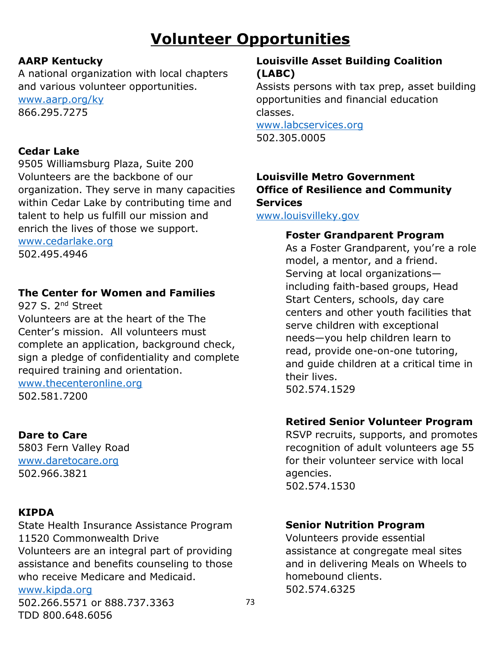# **Volunteer Opportunities**

# **AARP Kentucky**

A national organization with local chapters and various volunteer opportunities.

[www.aarp.org/ky](http://www.aarp.org/ky) 866.295.7275

### **Cedar Lake**

9505 Williamsburg Plaza, Suite 200 Volunteers are the backbone of our organization. They serve in many capacities within Cedar Lake by contributing time and talent to help us fulfill our mission and enrich the lives of those we support.

[www.cedarlake.org](http://www.cedarlake.org/) 502.495.4946

# **The Center for Women and Families**

927 S. 2<sup>nd</sup> Street Volunteers are at the heart of the The Center's mission. All volunteers must complete an application, background check, sign a pledge of confidentiality and complete required training and orientation.

# [www.thecenteronline.org](http://www.thecenteronline.org/)

502.581.7200

# **Dare to Care**

5803 Fern Valley Road [www.daretocare.org](http://www.daretocare.org/) 502.966.3821

#### **KIPDA**

State Health Insurance Assistance Program 11520 Commonwealth Drive Volunteers are an integral part of providing

assistance and benefits counseling to those who receive Medicare and Medicaid.

# [www.kipda.org](http://www.kipda.org/)

502.266.5571 or 888.737.3363 TDD 800.648.6056

# **Louisville Asset Building Coalition (LABC)**

Assists persons with tax prep, asset building opportunities and financial education classes.

[www.labcservices.org](http://www.labcservices.org/) 502.305.0005

### **Louisville Metro Government Office of Resilience and Community Services**

[www.louisvilleky.gov](http://www.louisvilleky.gov/)

#### **Foster Grandparent Program**

As a Foster Grandparent, you're a role model, a mentor, and a friend. Serving at local organizations including faith-based groups, Head Start Centers, schools, day care centers and other youth facilities that serve children with exceptional needs—you help children learn to read, provide one-on-one tutoring, and guide children at a critical time in their lives. 502.574.1529

#### **Retired Senior Volunteer Program**

RSVP recruits, supports, and promotes recognition of adult volunteers age 55 for their volunteer service with local agencies. 502.574.1530

#### **Senior Nutrition Program**

Volunteers provide essential assistance at congregate meal sites and in delivering Meals on Wheels to homebound clients. 502.574.6325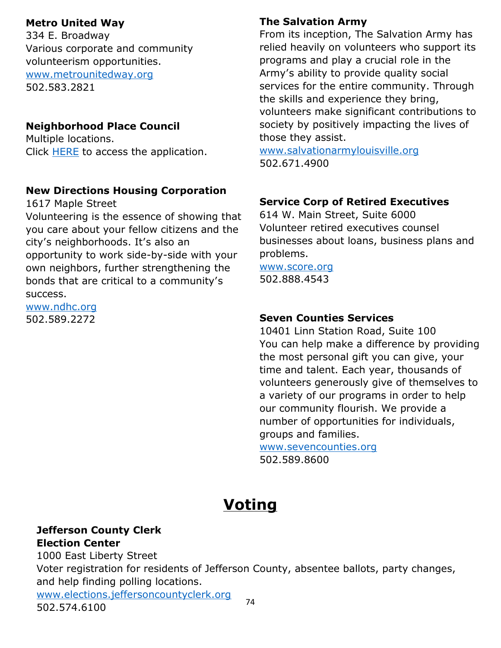#### **Metro United Way**

334 E. Broadway Various corporate and community volunteerism opportunities. [www.metrounitedway.org](http://www.metrounitedway.org/) 502.583.2821

#### **Neighborhood Place Council**

Multiple locations. Click **HERE** to access the application.

#### **New Directions Housing Corporation**

1617 Maple Street

Volunteering is the essence of showing that you care about your fellow citizens and the city's neighborhoods. It's also an opportunity to work side-by-side with your own neighbors, further strengthening the bonds that are critical to a community's success.

[www.ndhc.org](http://www.ndhc.org/) 502.589.2272

# **The Salvation Army**

From its inception, The Salvation Army has relied heavily on volunteers who support its programs and play a crucial role in the Army's ability to provide quality social services for the entire community. Through the skills and experience they bring, volunteers make significant contributions to society by positively impacting the lives of those they assist.

[www.salvationarmylouisville.org](http://www.salvationarmylouisville.org/) 502.671.4900

#### **Service Corp of Retired Executives**

614 W. Main Street, Suite 6000 Volunteer retired executives counsel businesses about loans, business plans and problems.

[www.score.org](http://www.score.org/) 502.888.4543

#### **Seven Counties Services**

10401 Linn Station Road, Suite 100 You can help make a difference by providing the most personal gift you can give, your time and talent. Each year, thousands of volunteers generously give of themselves to a variety of our programs in order to help our community flourish. We provide a number of opportunities for individuals, groups and families.

[www.sevencounties.org](http://www.sevencounties.org/) 502.589.8600

# **Voting**

#### **Jefferson County Clerk Election Center**

74 1000 East Liberty Street Voter registration for residents of Jefferson County, absentee ballots, party changes, and help finding polling locations. [www.elections.jeffersoncountyclerk.org](http://www.elections.jeffersoncountyclerk.org/)